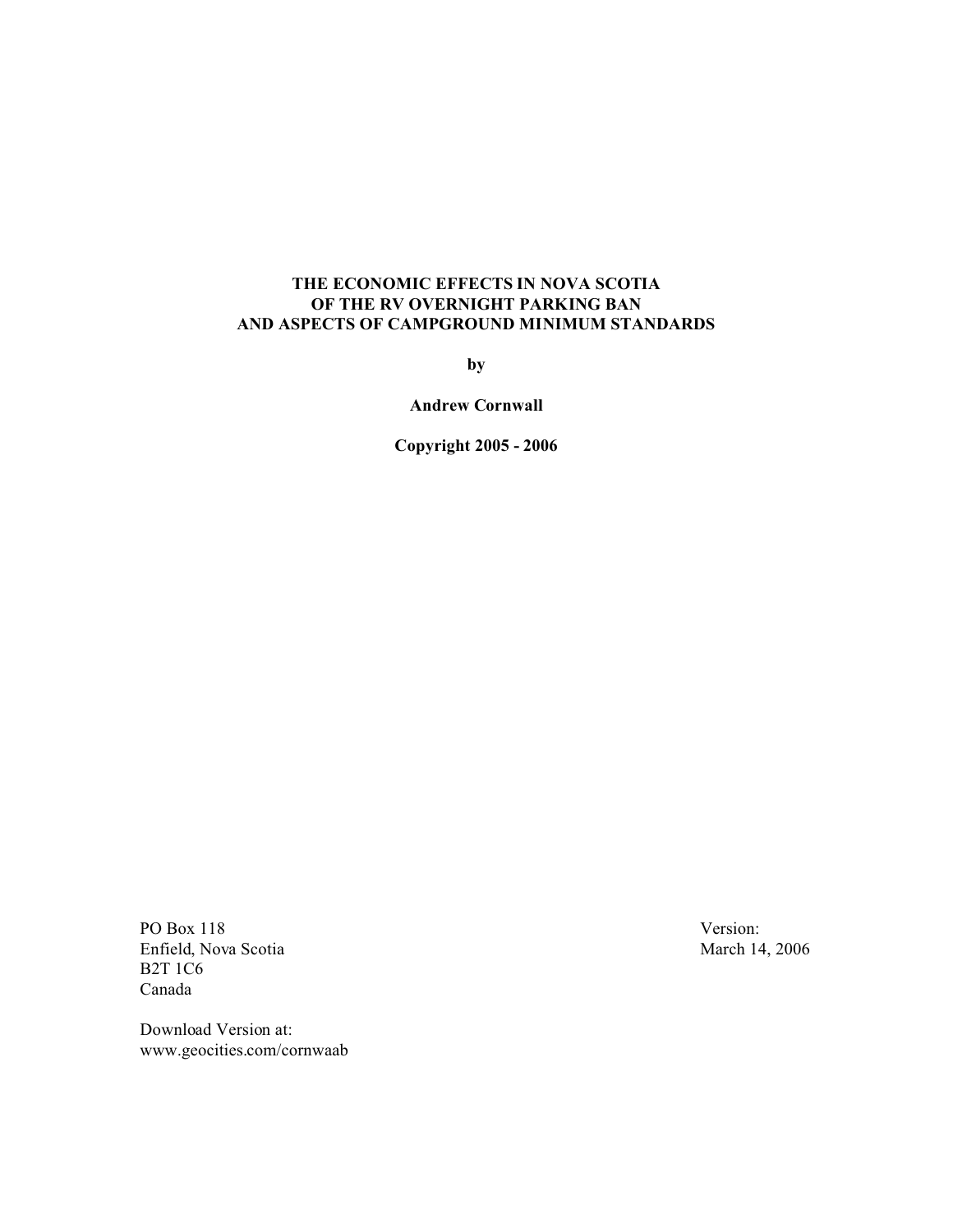## **THE ECONOMIC EFFECTS IN NOVA SCOTIA OF THE RV OVERNIGHT PARKING BAN AND ASPECTS OF CAMPGROUND MINIMUM STANDARDS**

**by**

**Andrew Cornwall**

**Copyright 2005 - 2006**

PO Box 118 Version:<br>
Enfield, Nova Scotia (14, 2006) March 14, 2006 Enfield, Nova Scotia B2T 1C6 Canada

Download Version at: www.geocities.com/cornwaab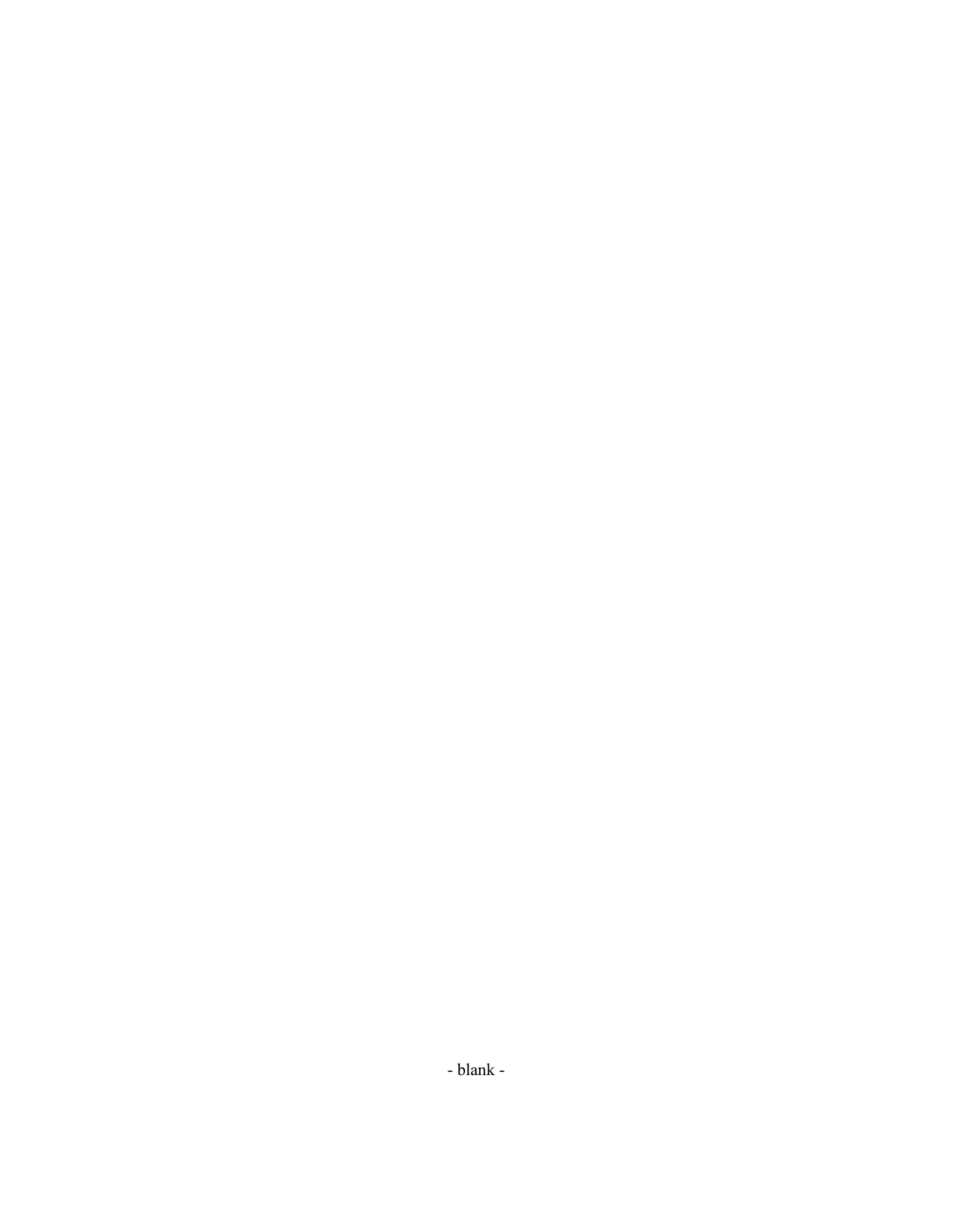- blank -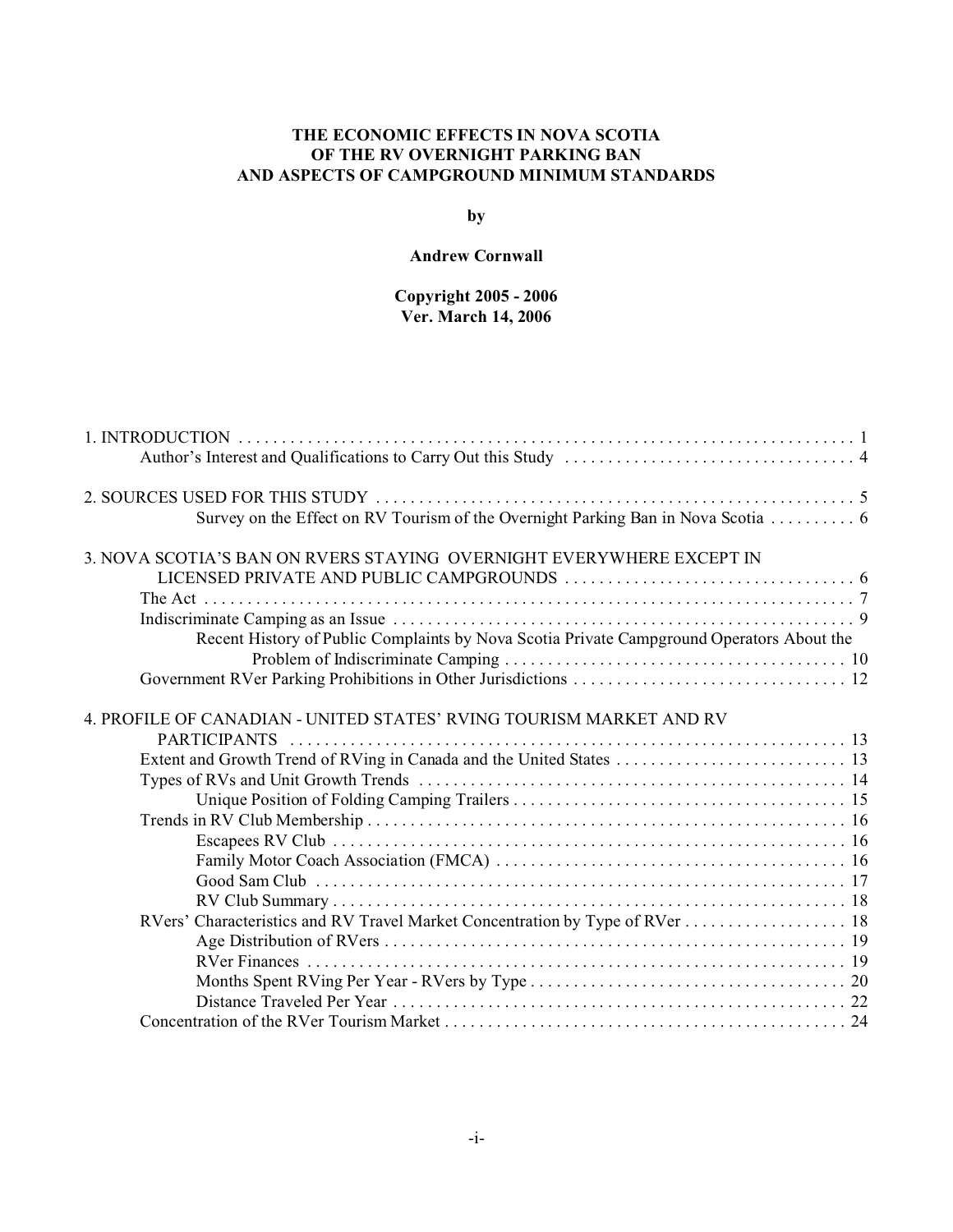## **THE ECONOMIC EFFECTS IN NOVA SCOTIA OF THE RV OVERNIGHT PARKING BAN AND ASPECTS OF CAMPGROUND MINIMUM STANDARDS**

**by**

## **Andrew Cornwall**

### **Copyright 2005 - 2006 Ver. March 14, 2006**

| Survey on the Effect on RV Tourism of the Overnight Parking Ban in Nova Scotia  6         |  |
|-------------------------------------------------------------------------------------------|--|
| 3. NOVA SCOTIA'S BAN ON RVERS STAYING OVERNIGHT EVERYWHERE EXCEPT IN                      |  |
|                                                                                           |  |
|                                                                                           |  |
|                                                                                           |  |
| Recent History of Public Complaints by Nova Scotia Private Campground Operators About the |  |
|                                                                                           |  |
|                                                                                           |  |
|                                                                                           |  |
| 4. PROFILE OF CANADIAN - UNITED STATES' RVING TOURISM MARKET AND RV                       |  |
|                                                                                           |  |
|                                                                                           |  |
|                                                                                           |  |
|                                                                                           |  |
|                                                                                           |  |
|                                                                                           |  |
|                                                                                           |  |
|                                                                                           |  |
|                                                                                           |  |
|                                                                                           |  |
| RVers' Characteristics and RV Travel Market Concentration by Type of RVer  18             |  |
|                                                                                           |  |
|                                                                                           |  |
|                                                                                           |  |
|                                                                                           |  |
|                                                                                           |  |
|                                                                                           |  |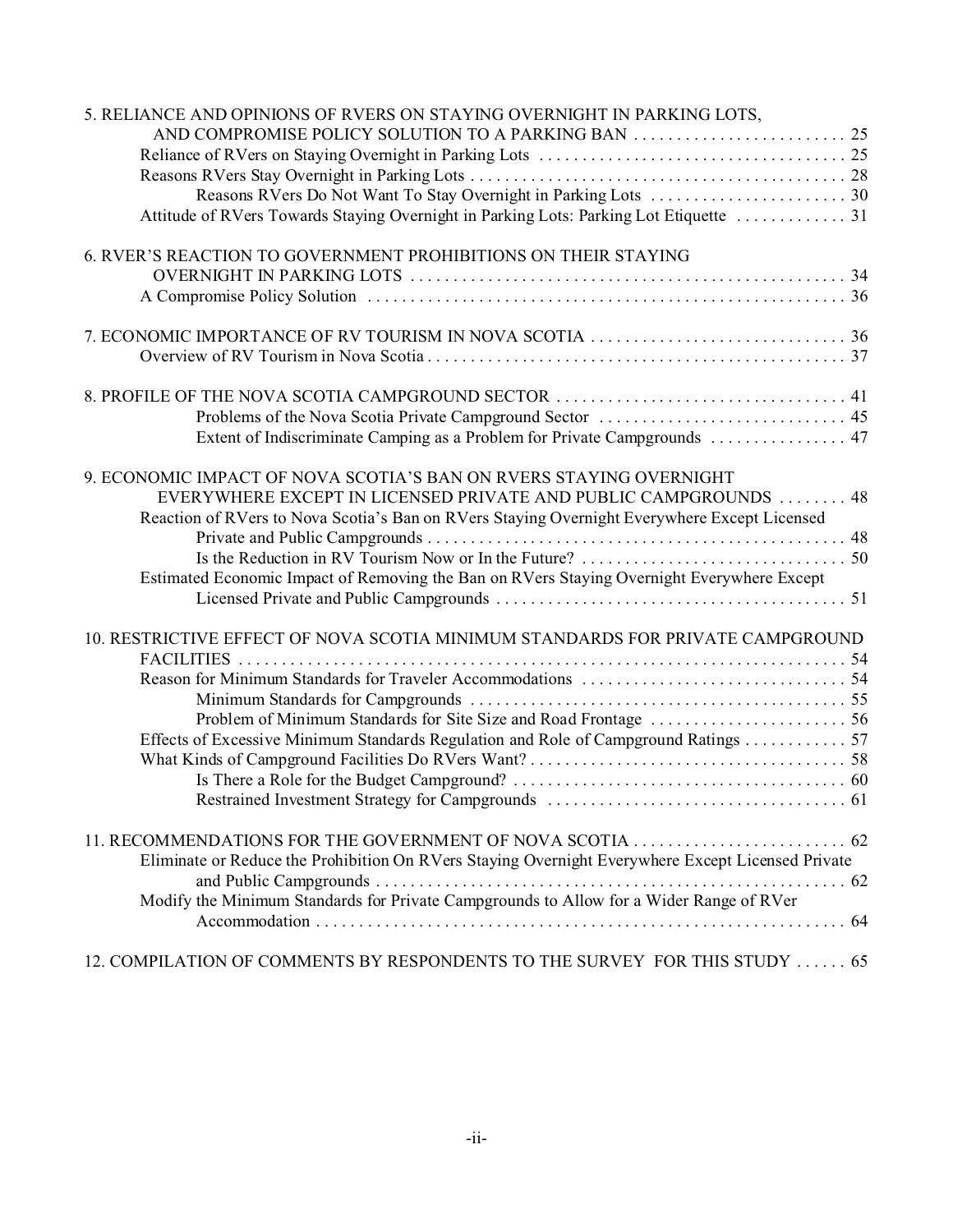| 5. RELIANCE AND OPINIONS OF RVERS ON STAYING OVERNIGHT IN PARKING LOTS,                           |  |
|---------------------------------------------------------------------------------------------------|--|
|                                                                                                   |  |
|                                                                                                   |  |
|                                                                                                   |  |
|                                                                                                   |  |
| Attitude of RVers Towards Staying Overnight in Parking Lots: Parking Lot Etiquette  31            |  |
| 6. RVER'S REACTION TO GOVERNMENT PROHIBITIONS ON THEIR STAYING                                    |  |
|                                                                                                   |  |
|                                                                                                   |  |
|                                                                                                   |  |
|                                                                                                   |  |
|                                                                                                   |  |
|                                                                                                   |  |
| Extent of Indiscriminate Camping as a Problem for Private Campgrounds  47                         |  |
| 9. ECONOMIC IMPACT OF NOVA SCOTIA'S BAN ON RVERS STAYING OVERNIGHT                                |  |
| EVERYWHERE EXCEPT IN LICENSED PRIVATE AND PUBLIC CAMPGROUNDS  48                                  |  |
| Reaction of RVers to Nova Scotia's Ban on RVers Staying Overnight Everywhere Except Licensed      |  |
|                                                                                                   |  |
|                                                                                                   |  |
| Estimated Economic Impact of Removing the Ban on RVers Staying Overnight Everywhere Except        |  |
|                                                                                                   |  |
| 10. RESTRICTIVE EFFECT OF NOVA SCOTIA MINIMUM STANDARDS FOR PRIVATE CAMPGROUND                    |  |
|                                                                                                   |  |
|                                                                                                   |  |
|                                                                                                   |  |
|                                                                                                   |  |
| Effects of Excessive Minimum Standards Regulation and Role of Campground Ratings  57              |  |
|                                                                                                   |  |
|                                                                                                   |  |
|                                                                                                   |  |
|                                                                                                   |  |
| Eliminate or Reduce the Prohibition On RVers Staying Overnight Everywhere Except Licensed Private |  |
|                                                                                                   |  |
| Modify the Minimum Standards for Private Campgrounds to Allow for a Wider Range of RVer           |  |
|                                                                                                   |  |
| 12. COMPILATION OF COMMENTS BY RESPONDENTS TO THE SURVEY FOR THIS STUDY  65                       |  |
|                                                                                                   |  |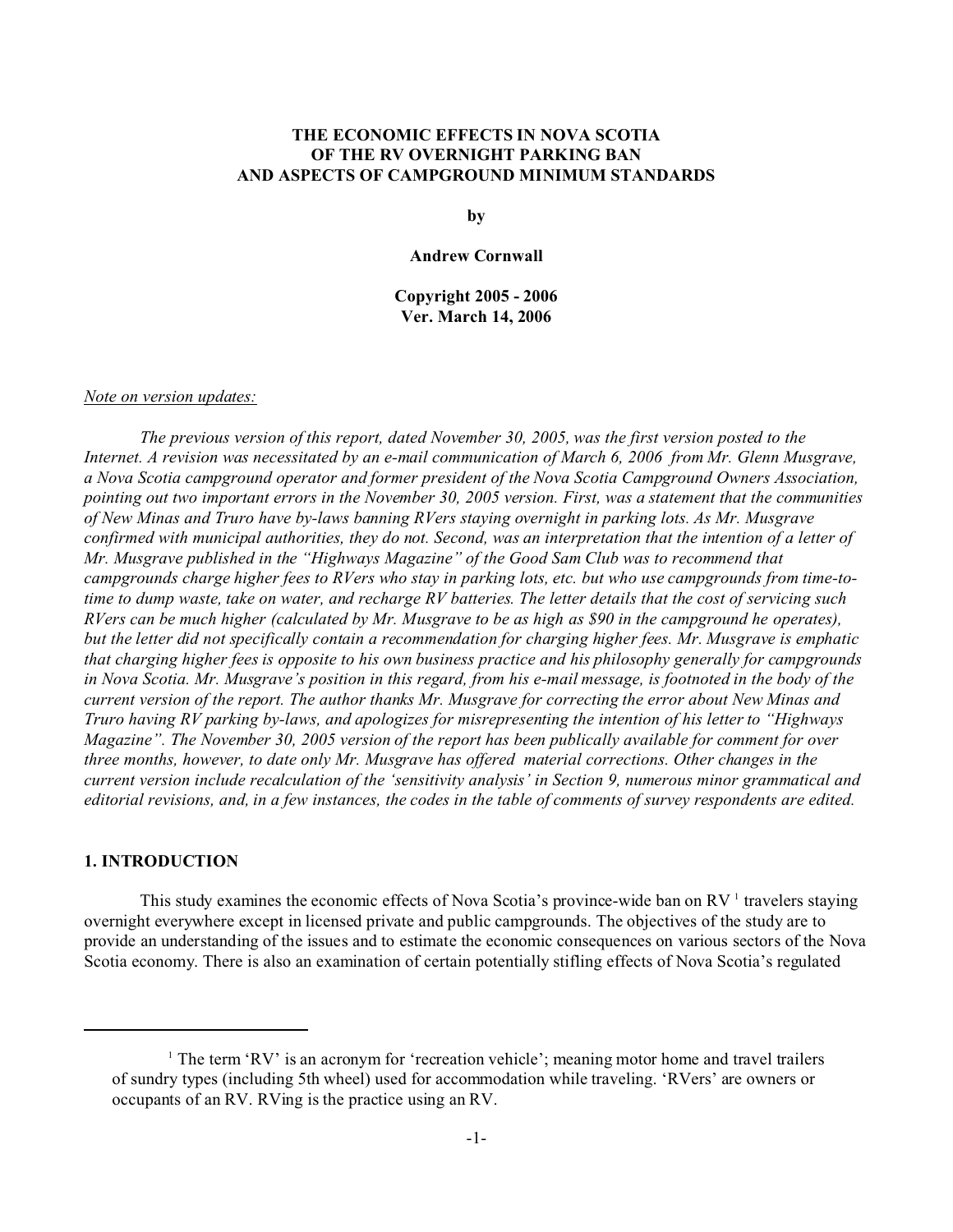### **THE ECONOMIC EFFECTS IN NOVA SCOTIA OF THE RV OVERNIGHT PARKING BAN AND ASPECTS OF CAMPGROUND MINIMUM STANDARDS**

**by**

### **Andrew Cornwall**

**Copyright 2005 - 2006 Ver. March 14, 2006**

#### *Note on version updates:*

*The previous version of this report, dated November 30, 2005, was the first version posted to the Internet. A revision was necessitated by an e-mail communication of March 6, 2006 from Mr. Glenn Musgrave, a Nova Scotia campground operator and former president of the Nova Scotia Campground Owners Association, pointing out two important errors in the November 30, 2005 version. First, was a statement that the communities of New Minas and Truro have by-laws banning RVers staying overnight in parking lots. As Mr. Musgrave confirmed with municipal authorities, they do not. Second, was an interpretation that the intention of a letter of Mr. Musgrave published in the "Highways Magazine" of the Good Sam Club was to recommend that campgrounds charge higher fees to RVers who stay in parking lots, etc. but who use campgrounds from time-totime to dump waste, take on water, and recharge RV batteries. The letter details that the cost of servicing such RVers can be much higher (calculated by Mr. Musgrave to be as high as \$90 in the campground he operates), but the letter did not specifically contain a recommendation for charging higher fees. Mr. Musgrave is emphatic that charging higher fees is opposite to his own business practice and his philosophy generally for campgrounds in Nova Scotia. Mr. Musgrave's position in this regard, from his e-mail message, is footnoted in the body of the current version of the report. The author thanks Mr. Musgrave for correcting the error about New Minas and Truro having RV parking by-laws, and apologizes for misrepresenting the intention of his letter to "Highways Magazine". The November 30, 2005 version of the report has been publically available for comment for over three months, however, to date only Mr. Musgrave has offered material corrections. Other changes in the current version include recalculation of the 'sensitivity analysis' in Section 9, numerous minor grammatical and editorial revisions, and, in a few instances, the codes in the table of comments of survey respondents are edited.*

#### **1. INTRODUCTION**

This study examines the economic effects of Nova Scotia's province-wide ban on  $RV<sup>1</sup>$  travelers staying overnight everywhere except in licensed private and public campgrounds. The objectives of the study are to provide an understanding of the issues and to estimate the economic consequences on various sectors of the Nova Scotia economy. There is also an examination of certain potentially stifling effects of Nova Scotia's regulated

<sup>&</sup>lt;sup>1</sup> The term 'RV' is an acronym for 'recreation vehicle'; meaning motor home and travel trailers of sundry types (including 5th wheel) used for accommodation while traveling. 'RVers' are owners or occupants of an RV. RVing is the practice using an RV.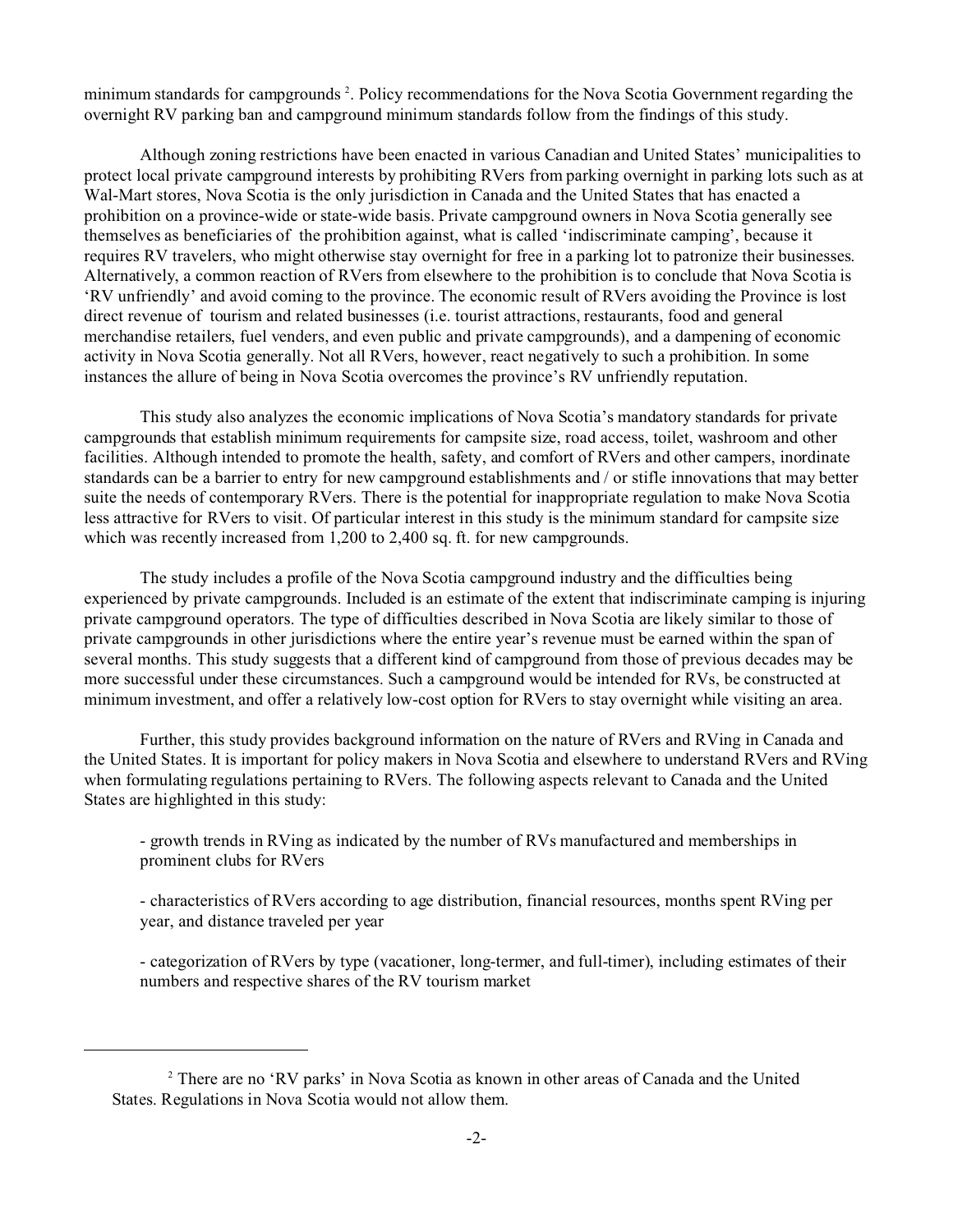minimum standards for campgrounds<sup>2</sup>. Policy recommendations for the Nova Scotia Government regarding the overnight RV parking ban and campground minimum standards follow from the findings of this study.

Although zoning restrictions have been enacted in various Canadian and United States' municipalities to protect local private campground interests by prohibiting RVers from parking overnight in parking lots such as at Wal-Mart stores, Nova Scotia is the only jurisdiction in Canada and the United States that has enacted a prohibition on a province-wide or state-wide basis. Private campground owners in Nova Scotia generally see themselves as beneficiaries of the prohibition against, what is called 'indiscriminate camping', because it requires RV travelers, who might otherwise stay overnight for free in a parking lot to patronize their businesses. Alternatively, a common reaction of RVers from elsewhere to the prohibition is to conclude that Nova Scotia is 'RV unfriendly' and avoid coming to the province. The economic result of RVers avoiding the Province is lost direct revenue of tourism and related businesses (i.e. tourist attractions, restaurants, food and general merchandise retailers, fuel venders, and even public and private campgrounds), and a dampening of economic activity in Nova Scotia generally. Not all RVers, however, react negatively to such a prohibition. In some instances the allure of being in Nova Scotia overcomes the province's RV unfriendly reputation.

This study also analyzes the economic implications of Nova Scotia's mandatory standards for private campgrounds that establish minimum requirements for campsite size, road access, toilet, washroom and other facilities. Although intended to promote the health, safety, and comfort of RVers and other campers, inordinate standards can be a barrier to entry for new campground establishments and / or stifle innovations that may better suite the needs of contemporary RVers. There is the potential for inappropriate regulation to make Nova Scotia less attractive for RVers to visit. Of particular interest in this study is the minimum standard for campsite size which was recently increased from 1,200 to 2,400 sq. ft. for new campgrounds.

The study includes a profile of the Nova Scotia campground industry and the difficulties being experienced by private campgrounds. Included is an estimate of the extent that indiscriminate camping is injuring private campground operators. The type of difficulties described in Nova Scotia are likely similar to those of private campgrounds in other jurisdictions where the entire year's revenue must be earned within the span of several months. This study suggests that a different kind of campground from those of previous decades may be more successful under these circumstances. Such a campground would be intended for RVs, be constructed at minimum investment, and offer a relatively low-cost option for RVers to stay overnight while visiting an area.

Further, this study provides background information on the nature of RVers and RVing in Canada and the United States. It is important for policy makers in Nova Scotia and elsewhere to understand RVers and RVing when formulating regulations pertaining to RVers. The following aspects relevant to Canada and the United States are highlighted in this study:

- growth trends in RVing as indicated by the number of RVs manufactured and memberships in prominent clubs for RVers

- characteristics of RVers according to age distribution, financial resources, months spent RVing per year, and distance traveled per year

- categorization of RVers by type (vacationer, long-termer, and full-timer), including estimates of their numbers and respective shares of the RV tourism market

<sup>&</sup>lt;sup>2</sup> There are no 'RV parks' in Nova Scotia as known in other areas of Canada and the United States. Regulations in Nova Scotia would not allow them.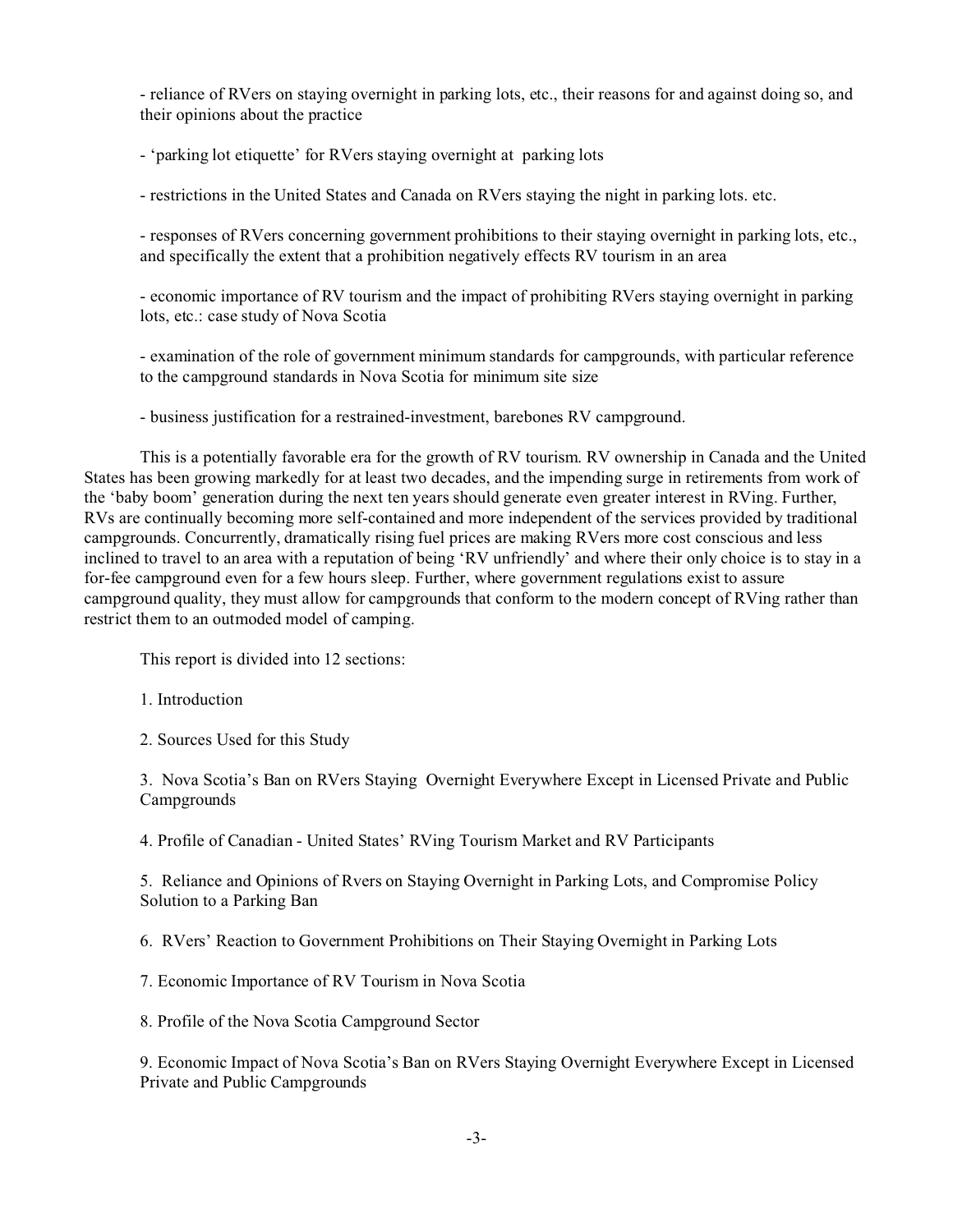- reliance of RVers on staying overnight in parking lots, etc., their reasons for and against doing so, and their opinions about the practice

- 'parking lot etiquette' for RVers staying overnight at parking lots

- restrictions in the United States and Canada on RVers staying the night in parking lots. etc.

- responses of RVers concerning government prohibitions to their staying overnight in parking lots, etc., and specifically the extent that a prohibition negatively effects RV tourism in an area

- economic importance of RV tourism and the impact of prohibiting RVers staying overnight in parking lots, etc.: case study of Nova Scotia

- examination of the role of government minimum standards for campgrounds, with particular reference to the campground standards in Nova Scotia for minimum site size

- business justification for a restrained-investment, barebones RV campground.

This is a potentially favorable era for the growth of RV tourism. RV ownership in Canada and the United States has been growing markedly for at least two decades, and the impending surge in retirements from work of the 'baby boom' generation during the next ten years should generate even greater interest in RVing. Further, RVs are continually becoming more self-contained and more independent of the services provided by traditional campgrounds. Concurrently, dramatically rising fuel prices are making RVers more cost conscious and less inclined to travel to an area with a reputation of being 'RV unfriendly' and where their only choice is to stay in a for-fee campground even for a few hours sleep. Further, where government regulations exist to assure campground quality, they must allow for campgrounds that conform to the modern concept of RVing rather than restrict them to an outmoded model of camping.

This report is divided into 12 sections:

1. Introduction

2. Sources Used for this Study

3. Nova Scotia's Ban on RVers Staying Overnight Everywhere Except in Licensed Private and Public Campgrounds

4. Profile of Canadian - United States' RVing Tourism Market and RV Participants

5. Reliance and Opinions of Rvers on Staying Overnight in Parking Lots, and Compromise Policy Solution to a Parking Ban

6. RVers' Reaction to Government Prohibitions on Their Staying Overnight in Parking Lots

7. Economic Importance of RV Tourism in Nova Scotia

8. Profile of the Nova Scotia Campground Sector

9. Economic Impact of Nova Scotia's Ban on RVers Staying Overnight Everywhere Except in Licensed Private and Public Campgrounds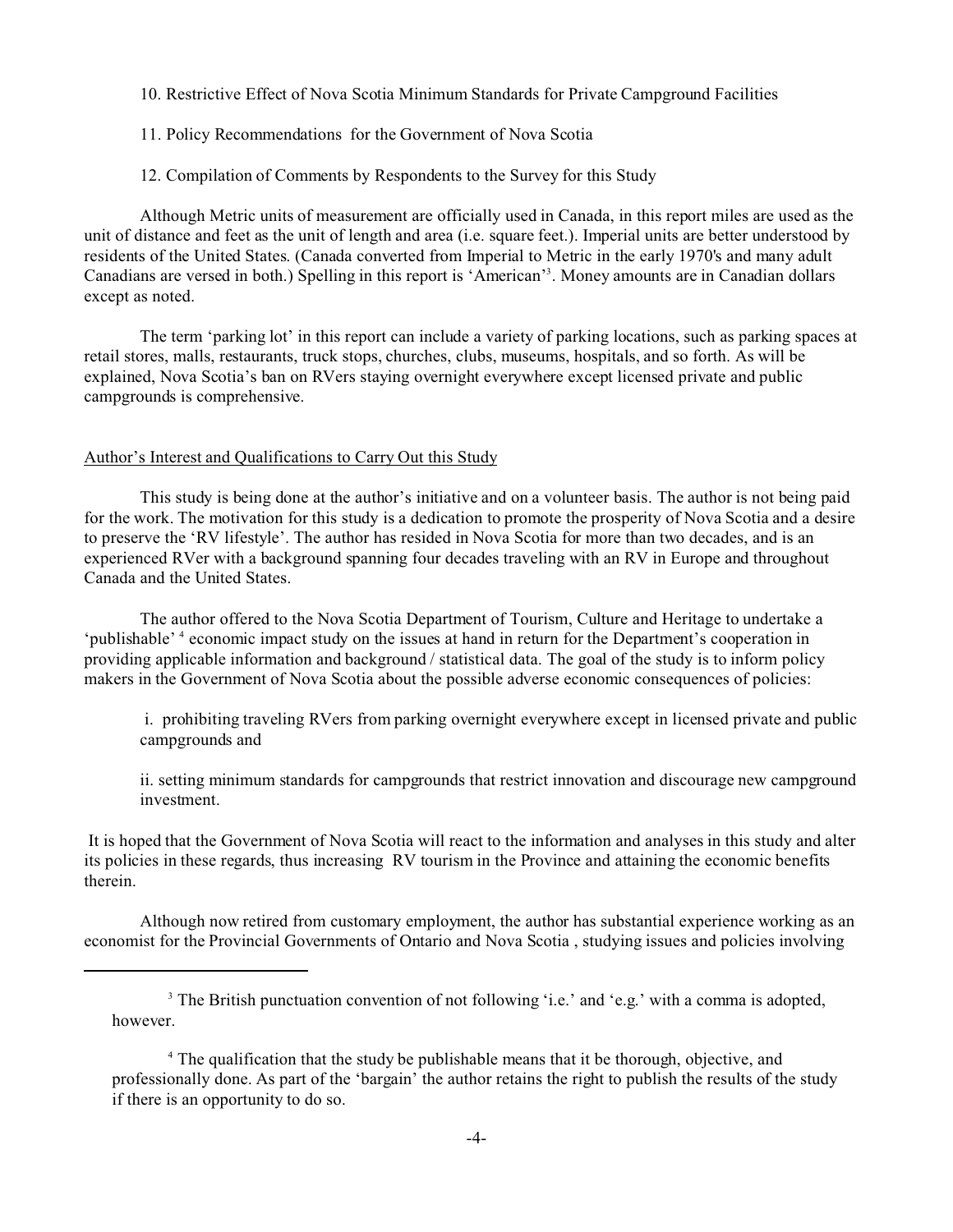- 10. Restrictive Effect of Nova Scotia Minimum Standards for Private Campground Facilities
- 11. Policy Recommendations for the Government of Nova Scotia
- 12. Compilation of Comments by Respondents to the Survey for this Study

Although Metric units of measurement are officially used in Canada, in this report miles are used as the unit of distance and feet as the unit of length and area (i.e. square feet.). Imperial units are better understood by residents of the United States. (Canada converted from Imperial to Metric in the early 1970's and many adult Canadians are versed in both.) Spelling in this report is 'American'<sup>3</sup> . Money amounts are in Canadian dollars except as noted.

The term 'parking lot' in this report can include a variety of parking locations, such as parking spaces at retail stores, malls, restaurants, truck stops, churches, clubs, museums, hospitals, and so forth. As will be explained, Nova Scotia's ban on RVers staying overnight everywhere except licensed private and public campgrounds is comprehensive.

### Author's Interest and Qualifications to Carry Out this Study

This study is being done at the author's initiative and on a volunteer basis. The author is not being paid for the work. The motivation for this study is a dedication to promote the prosperity of Nova Scotia and a desire to preserve the 'RV lifestyle'. The author has resided in Nova Scotia for more than two decades, and is an experienced RVer with a background spanning four decades traveling with an RV in Europe and throughout Canada and the United States.

The author offered to the Nova Scotia Department of Tourism, Culture and Heritage to undertake a 'publishable'<sup>4</sup> economic impact study on the issues at hand in return for the Department's cooperation in providing applicable information and background / statistical data. The goal of the study is to inform policy makers in the Government of Nova Scotia about the possible adverse economic consequences of policies:

 i. prohibiting traveling RVers from parking overnight everywhere except in licensed private and public campgrounds and

ii. setting minimum standards for campgrounds that restrict innovation and discourage new campground investment.

 It is hoped that the Government of Nova Scotia will react to the information and analyses in this study and alter its policies in these regards, thus increasing RV tourism in the Province and attaining the economic benefits therein.

Although now retired from customary employment, the author has substantial experience working as an economist for the Provincial Governments of Ontario and Nova Scotia , studying issues and policies involving

<sup>&</sup>lt;sup>3</sup> The British punctuation convention of not following 'i.e.' and 'e.g.' with a comma is adopted, however.

<sup>&</sup>lt;sup>4</sup> The qualification that the study be publishable means that it be thorough, objective, and professionally done. As part of the 'bargain' the author retains the right to publish the results of the study if there is an opportunity to do so.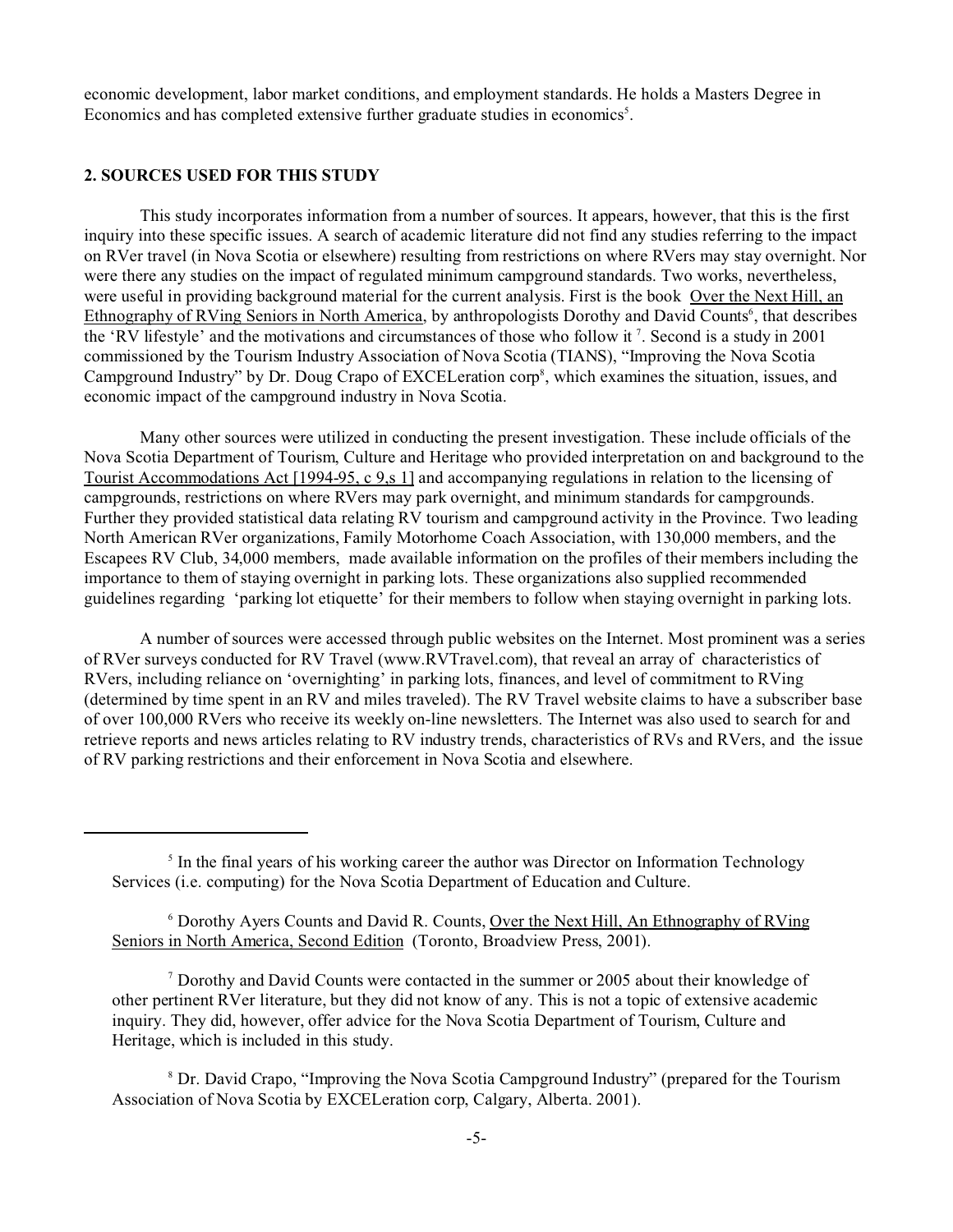economic development, labor market conditions, and employment standards. He holds a Masters Degree in Economics and has completed extensive further graduate studies in economics<sup>5</sup>.

### **2. SOURCES USED FOR THIS STUDY**

This study incorporates information from a number of sources. It appears, however, that this is the first inquiry into these specific issues. A search of academic literature did not find any studies referring to the impact on RVer travel (in Nova Scotia or elsewhere) resulting from restrictions on where RVers may stay overnight. Nor were there any studies on the impact of regulated minimum campground standards. Two works, nevertheless, were useful in providing background material for the current analysis. First is the book Over the Next Hill, an Ethnography of RVing Seniors in North America, by anthropologists Dorothy and David Counts<sup>6</sup>, that describes the 'RV lifestyle' and the motivations and circumstances of those who follow it <sup>7</sup>. Second is a study in 2001 commissioned by the Tourism Industry Association of Nova Scotia (TIANS), "Improving the Nova Scotia Campground Industry" by Dr. Doug Crapo of EXCELeration corp<sup>8</sup>, which examines the situation, issues, and economic impact of the campground industry in Nova Scotia.

Many other sources were utilized in conducting the present investigation. These include officials of the Nova Scotia Department of Tourism, Culture and Heritage who provided interpretation on and background to the Tourist Accommodations Act [1994-95, c 9,s 1] and accompanying regulations in relation to the licensing of campgrounds, restrictions on where RVers may park overnight, and minimum standards for campgrounds. Further they provided statistical data relating RV tourism and campground activity in the Province. Two leading North American RVer organizations, Family Motorhome Coach Association, with 130,000 members, and the Escapees RV Club, 34,000 members, made available information on the profiles of their members including the importance to them of staying overnight in parking lots. These organizations also supplied recommended guidelines regarding 'parking lot etiquette' for their members to follow when staying overnight in parking lots.

A number of sources were accessed through public websites on the Internet. Most prominent was a series of RVer surveys conducted for RV Travel (www.RVTravel.com), that reveal an array of characteristics of RVers, including reliance on 'overnighting' in parking lots, finances, and level of commitment to RVing (determined by time spent in an RV and miles traveled). The RV Travel website claims to have a subscriber base of over 100,000 RVers who receive its weekly on-line newsletters. The Internet was also used to search for and retrieve reports and news articles relating to RV industry trends, characteristics of RVs and RVers, and the issue of RV parking restrictions and their enforcement in Nova Scotia and elsewhere.

<sup>&</sup>lt;sup>5</sup> In the final years of his working career the author was Director on Information Technology Services (i.e. computing) for the Nova Scotia Department of Education and Culture.

<sup>&</sup>lt;sup>6</sup> Dorothy Ayers Counts and David R. Counts, Over the Next Hill, An Ethnography of RVing Seniors in North America, Second Edition (Toronto, Broadview Press, 2001).

<sup>&</sup>lt;sup>7</sup> Dorothy and David Counts were contacted in the summer or 2005 about their knowledge of other pertinent RVer literature, but they did not know of any. This is not a topic of extensive academic inquiry. They did, however, offer advice for the Nova Scotia Department of Tourism, Culture and Heritage, which is included in this study.

<sup>&</sup>lt;sup>8</sup> Dr. David Crapo, "Improving the Nova Scotia Campground Industry" (prepared for the Tourism Association of Nova Scotia by EXCELeration corp, Calgary, Alberta. 2001).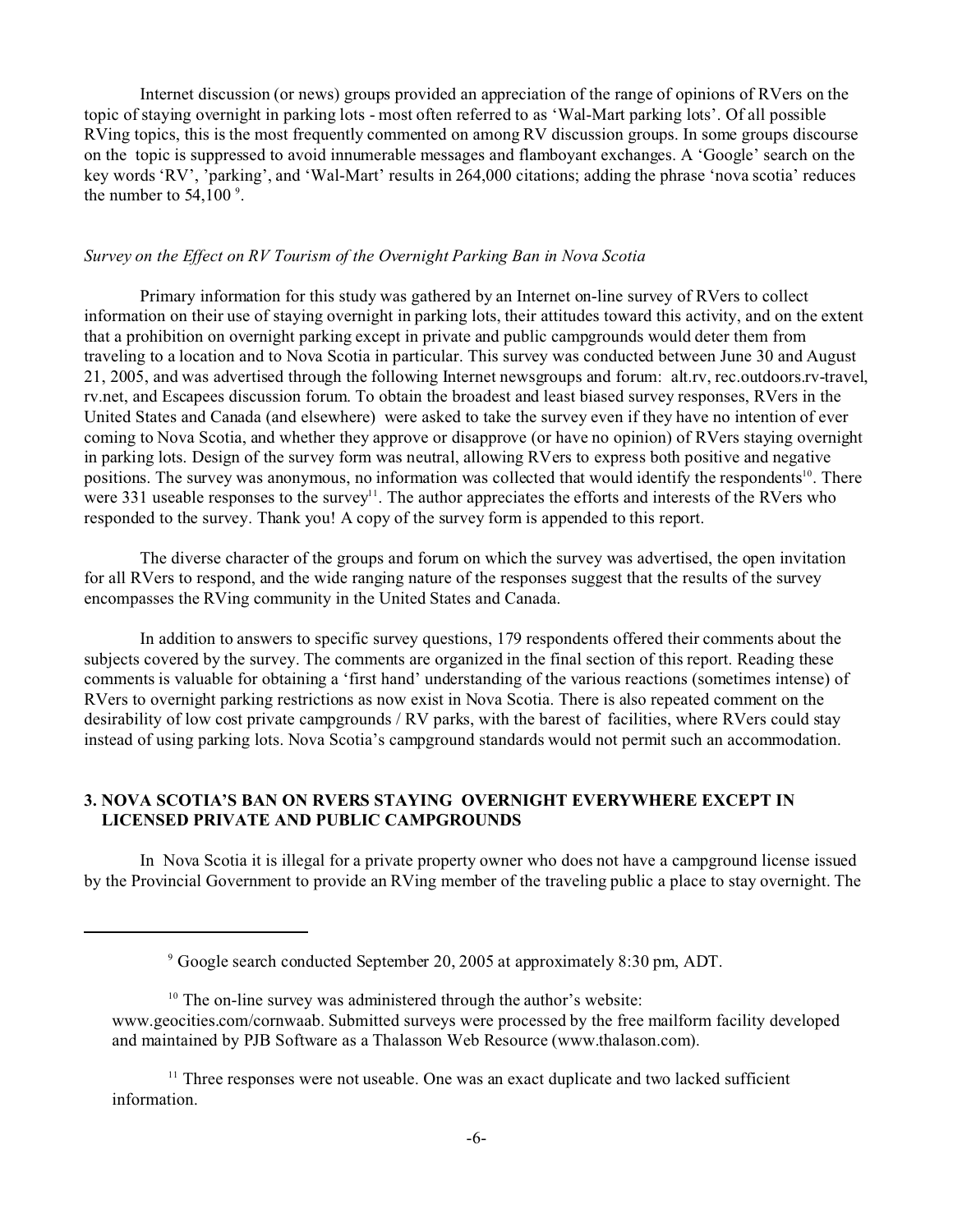Internet discussion (or news) groups provided an appreciation of the range of opinions of RVers on the topic of staying overnight in parking lots - most often referred to as 'Wal-Mart parking lots'. Of all possible RVing topics, this is the most frequently commented on among RV discussion groups. In some groups discourse on the topic is suppressed to avoid innumerable messages and flamboyant exchanges. A 'Google' search on the key words 'RV', 'parking', and 'Wal-Mart' results in 264,000 citations; adding the phrase 'nova scotia' reduces the number to  $54,100^{\circ}$ .

### *Survey on the Effect on RV Tourism of the Overnight Parking Ban in Nova Scotia*

Primary information for this study was gathered by an Internet on-line survey of RVers to collect information on their use of staying overnight in parking lots, their attitudes toward this activity, and on the extent that a prohibition on overnight parking except in private and public campgrounds would deter them from traveling to a location and to Nova Scotia in particular. This survey was conducted between June 30 and August 21, 2005, and was advertised through the following Internet newsgroups and forum: alt.rv, rec.outdoors.rv-travel, rv.net, and Escapees discussion forum. To obtain the broadest and least biased survey responses, RVers in the United States and Canada (and elsewhere) were asked to take the survey even if they have no intention of ever coming to Nova Scotia, and whether they approve or disapprove (or have no opinion) of RVers staying overnight in parking lots. Design of the survey form was neutral, allowing RVers to express both positive and negative positions. The survey was anonymous, no information was collected that would identify the respondents<sup>10</sup>. There were 331 useable responses to the survey<sup>11</sup>. The author appreciates the efforts and interests of the RVers who responded to the survey. Thank you! A copy of the survey form is appended to this report.

The diverse character of the groups and forum on which the survey was advertised, the open invitation for all RVers to respond, and the wide ranging nature of the responses suggest that the results of the survey encompasses the RVing community in the United States and Canada.

In addition to answers to specific survey questions, 179 respondents offered their comments about the subjects covered by the survey. The comments are organized in the final section of this report. Reading these comments is valuable for obtaining a 'first hand' understanding of the various reactions (sometimes intense) of RVers to overnight parking restrictions as now exist in Nova Scotia. There is also repeated comment on the desirability of low cost private campgrounds / RV parks, with the barest of facilities, where RVers could stay instead of using parking lots. Nova Scotia's campground standards would not permit such an accommodation.

### **3. NOVA SCOTIA'S BAN ON RVERS STAYING OVERNIGHT EVERYWHERE EXCEPT IN LICENSED PRIVATE AND PUBLIC CAMPGROUNDS**

In Nova Scotia it is illegal for a private property owner who does not have a campground license issued by the Provincial Government to provide an RVing member of the traveling public a place to stay overnight. The

<sup>9</sup> Google search conducted September 20, 2005 at approximately 8:30 pm, ADT.

<sup>&</sup>lt;sup>10</sup> The on-line survey was administered through the author's website: www.geocities.com/cornwaab. Submitted surveys were processed by the free mailform facility developed and maintained by PJB Software as a Thalasson Web Resource (www.thalason.com).

 $11$  Three responses were not useable. One was an exact duplicate and two lacked sufficient information.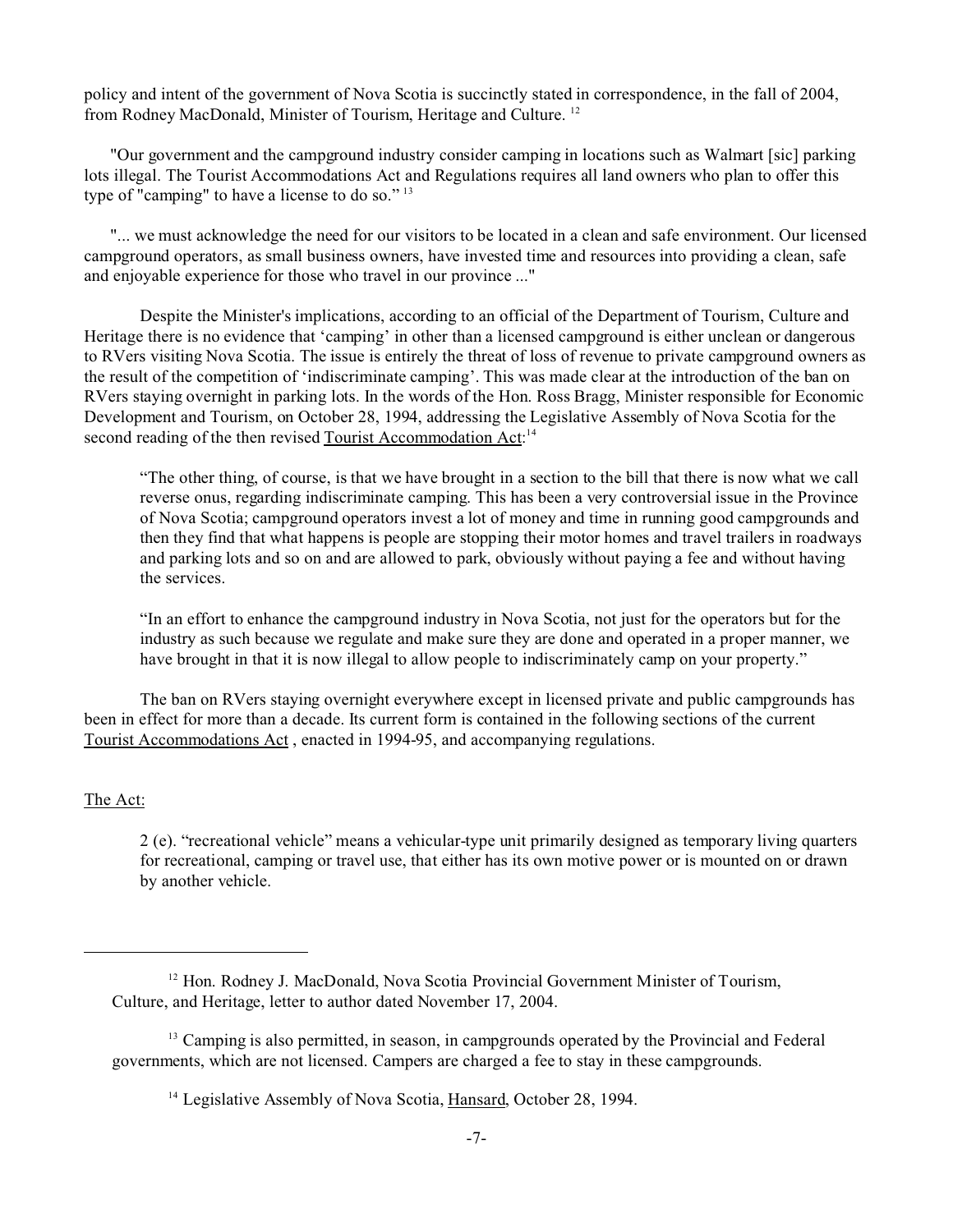policy and intent of the government of Nova Scotia is succinctly stated in correspondence, in the fall of 2004, from Rodney MacDonald, Minister of Tourism, Heritage and Culture. <sup>12</sup>

 "Our government and the campground industry consider camping in locations such as Walmart [sic] parking lots illegal. The Tourist Accommodations Act and Regulations requires all land owners who plan to offer this type of "camping" to have a license to do so."<sup>13</sup>

 "... we must acknowledge the need for our visitors to be located in a clean and safe environment. Our licensed campground operators, as small business owners, have invested time and resources into providing a clean, safe and enjoyable experience for those who travel in our province ..."

Despite the Minister's implications, according to an official of the Department of Tourism, Culture and Heritage there is no evidence that 'camping' in other than a licensed campground is either unclean or dangerous to RVers visiting Nova Scotia. The issue is entirely the threat of loss of revenue to private campground owners as the result of the competition of 'indiscriminate camping'. This was made clear at the introduction of the ban on RVers staying overnight in parking lots. In the words of the Hon. Ross Bragg, Minister responsible for Economic Development and Tourism, on October 28, 1994, addressing the Legislative Assembly of Nova Scotia for the second reading of the then revised Tourist Accommodation Act:<sup>14</sup>

"The other thing, of course, is that we have brought in a section to the bill that there is now what we call reverse onus, regarding indiscriminate camping. This has been a very controversial issue in the Province of Nova Scotia; campground operators invest a lot of money and time in running good campgrounds and then they find that what happens is people are stopping their motor homes and travel trailers in roadways and parking lots and so on and are allowed to park, obviously without paying a fee and without having the services.

"In an effort to enhance the campground industry in Nova Scotia, not just for the operators but for the industry as such because we regulate and make sure they are done and operated in a proper manner, we have brought in that it is now illegal to allow people to indiscriminately camp on your property."

The ban on RVers staying overnight everywhere except in licensed private and public campgrounds has been in effect for more than a decade. Its current form is contained in the following sections of the current Tourist Accommodations Act , enacted in 1994-95, and accompanying regulations.

#### The Act:

2 (e). "recreational vehicle" means a vehicular-type unit primarily designed as temporary living quarters for recreational, camping or travel use, that either has its own motive power or is mounted on or drawn by another vehicle.

<sup>&</sup>lt;sup>12</sup> Hon. Rodney J. MacDonald, Nova Scotia Provincial Government Minister of Tourism, Culture, and Heritage, letter to author dated November 17, 2004.

<sup>&</sup>lt;sup>13</sup> Camping is also permitted, in season, in campgrounds operated by the Provincial and Federal governments, which are not licensed. Campers are charged a fee to stay in these campgrounds.

<sup>&</sup>lt;sup>14</sup> Legislative Assembly of Nova Scotia, Hansard, October 28, 1994.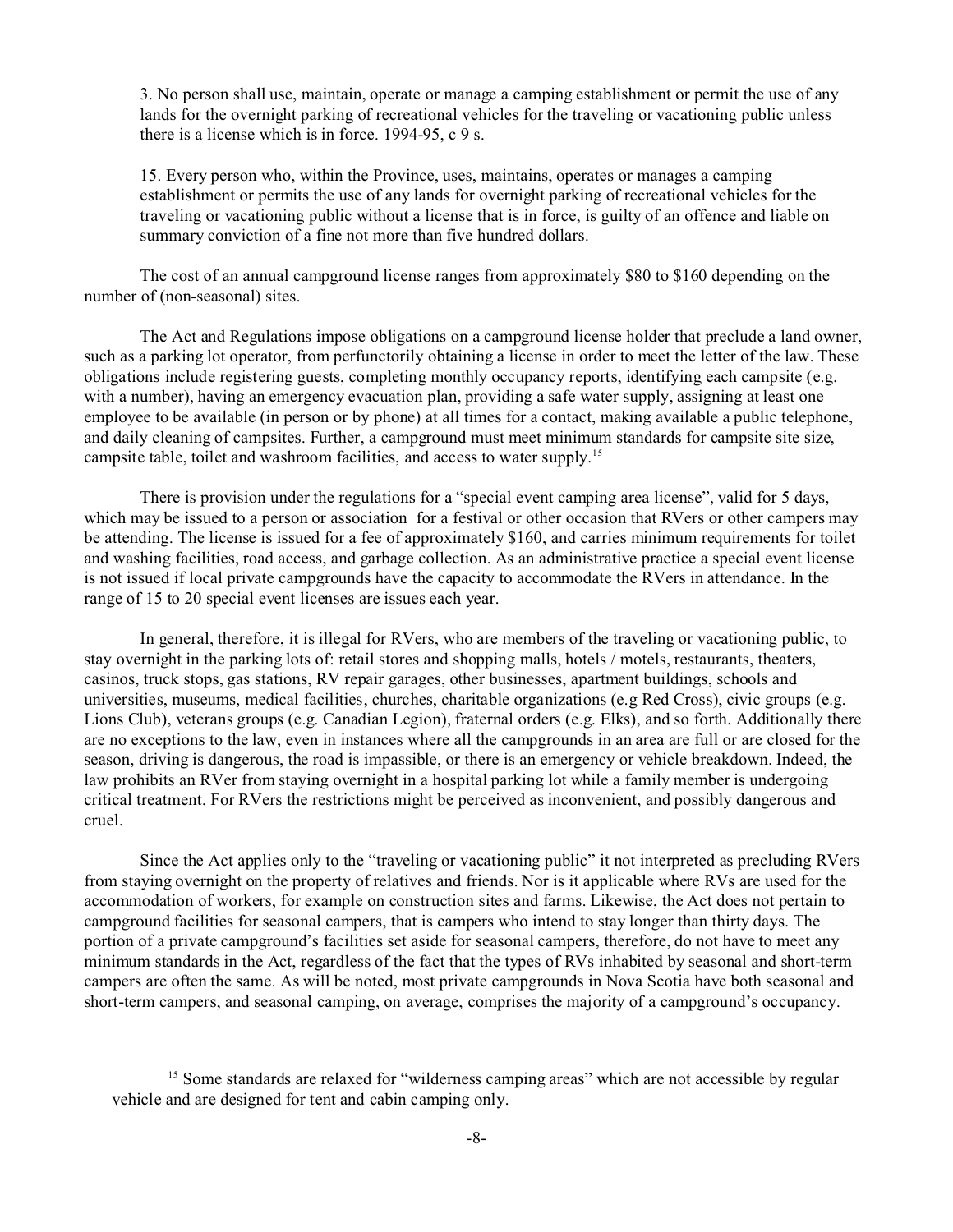3. No person shall use, maintain, operate or manage a camping establishment or permit the use of any lands for the overnight parking of recreational vehicles for the traveling or vacationing public unless there is a license which is in force. 1994-95, c 9 s.

15. Every person who, within the Province, uses, maintains, operates or manages a camping establishment or permits the use of any lands for overnight parking of recreational vehicles for the traveling or vacationing public without a license that is in force, is guilty of an offence and liable on summary conviction of a fine not more than five hundred dollars.

The cost of an annual campground license ranges from approximately \$80 to \$160 depending on the number of (non-seasonal) sites.

The Act and Regulations impose obligations on a campground license holder that preclude a land owner, such as a parking lot operator, from perfunctorily obtaining a license in order to meet the letter of the law. These obligations include registering guests, completing monthly occupancy reports, identifying each campsite (e.g. with a number), having an emergency evacuation plan, providing a safe water supply, assigning at least one employee to be available (in person or by phone) at all times for a contact, making available a public telephone, and daily cleaning of campsites. Further, a campground must meet minimum standards for campsite site size, campsite table, toilet and washroom facilities, and access to water supply.<sup>15</sup>

There is provision under the regulations for a "special event camping area license", valid for 5 days, which may be issued to a person or association for a festival or other occasion that RVers or other campers may be attending. The license is issued for a fee of approximately \$160, and carries minimum requirements for toilet and washing facilities, road access, and garbage collection. As an administrative practice a special event license is not issued if local private campgrounds have the capacity to accommodate the RVers in attendance. In the range of 15 to 20 special event licenses are issues each year.

In general, therefore, it is illegal for RVers, who are members of the traveling or vacationing public, to stay overnight in the parking lots of: retail stores and shopping malls, hotels / motels, restaurants, theaters, casinos, truck stops, gas stations, RV repair garages, other businesses, apartment buildings, schools and universities, museums, medical facilities, churches, charitable organizations (e.g Red Cross), civic groups (e.g. Lions Club), veterans groups (e.g. Canadian Legion), fraternal orders (e.g. Elks), and so forth. Additionally there are no exceptions to the law, even in instances where all the campgrounds in an area are full or are closed for the season, driving is dangerous, the road is impassible, or there is an emergency or vehicle breakdown. Indeed, the law prohibits an RVer from staying overnight in a hospital parking lot while a family member is undergoing critical treatment. For RVers the restrictions might be perceived as inconvenient, and possibly dangerous and cruel.

Since the Act applies only to the "traveling or vacationing public" it not interpreted as precluding RVers from staying overnight on the property of relatives and friends. Nor is it applicable where RVs are used for the accommodation of workers, for example on construction sites and farms. Likewise, the Act does not pertain to campground facilities for seasonal campers, that is campers who intend to stay longer than thirty days. The portion of a private campground's facilities set aside for seasonal campers, therefore, do not have to meet any minimum standards in the Act, regardless of the fact that the types of RVs inhabited by seasonal and short-term campers are often the same. As will be noted, most private campgrounds in Nova Scotia have both seasonal and short-term campers, and seasonal camping, on average, comprises the majority of a campground's occupancy.

<sup>&</sup>lt;sup>15</sup> Some standards are relaxed for "wilderness camping areas" which are not accessible by regular vehicle and are designed for tent and cabin camping only.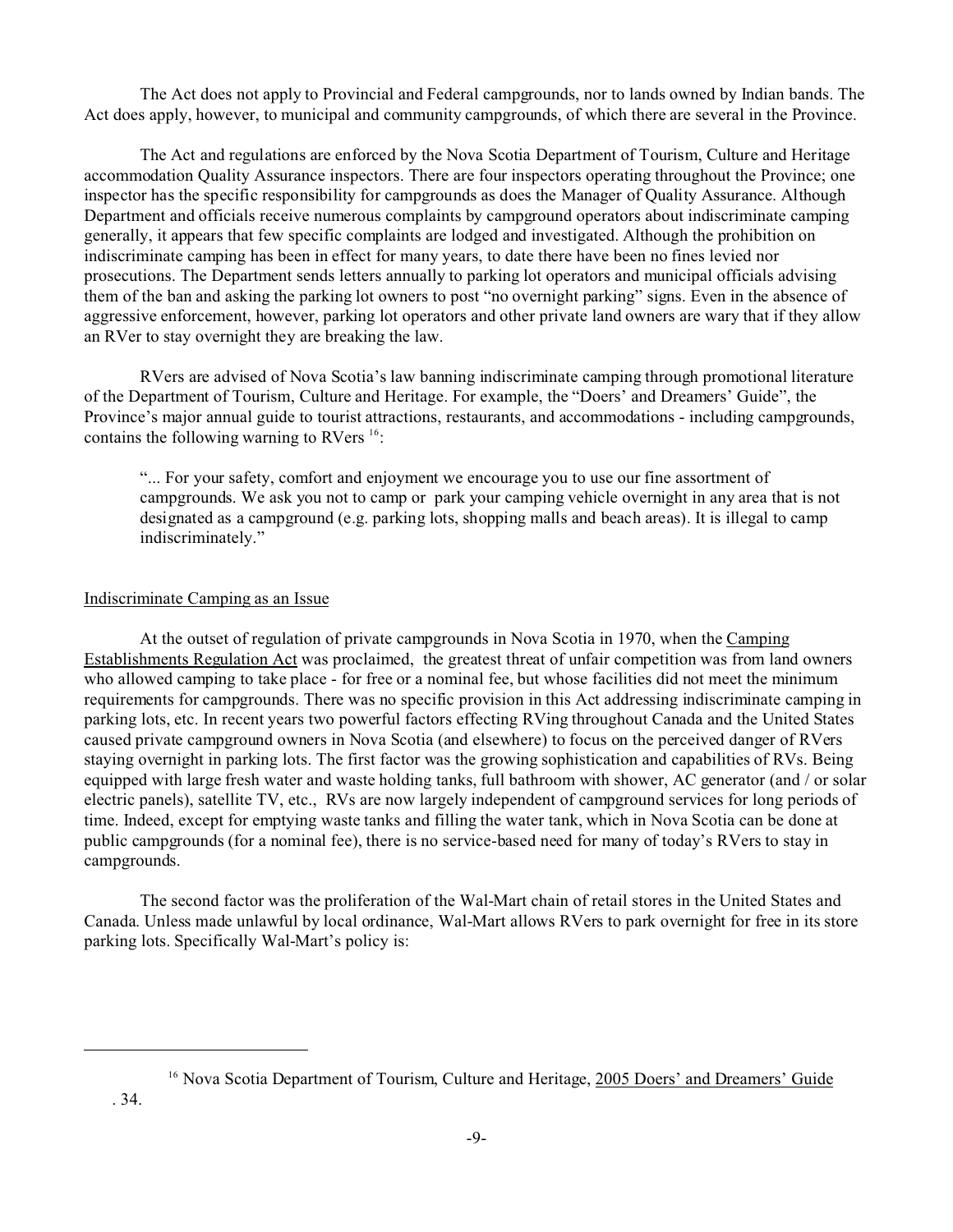The Act does not apply to Provincial and Federal campgrounds, nor to lands owned by Indian bands. The Act does apply, however, to municipal and community campgrounds, of which there are several in the Province.

The Act and regulations are enforced by the Nova Scotia Department of Tourism, Culture and Heritage accommodation Quality Assurance inspectors. There are four inspectors operating throughout the Province; one inspector has the specific responsibility for campgrounds as does the Manager of Quality Assurance. Although Department and officials receive numerous complaints by campground operators about indiscriminate camping generally, it appears that few specific complaints are lodged and investigated. Although the prohibition on indiscriminate camping has been in effect for many years, to date there have been no fines levied nor prosecutions. The Department sends letters annually to parking lot operators and municipal officials advising them of the ban and asking the parking lot owners to post "no overnight parking" signs. Even in the absence of aggressive enforcement, however, parking lot operators and other private land owners are wary that if they allow an RVer to stay overnight they are breaking the law.

RVers are advised of Nova Scotia's law banning indiscriminate camping through promotional literature of the Department of Tourism, Culture and Heritage. For example, the "Doers' and Dreamers' Guide", the Province's major annual guide to tourist attractions, restaurants, and accommodations - including campgrounds, contains the following warning to RVers <sup>16</sup>:

"... For your safety, comfort and enjoyment we encourage you to use our fine assortment of campgrounds. We ask you not to camp or park your camping vehicle overnight in any area that is not designated as a campground (e.g. parking lots, shopping malls and beach areas). It is illegal to camp indiscriminately."

### Indiscriminate Camping as an Issue

At the outset of regulation of private campgrounds in Nova Scotia in 1970, when the Camping Establishments Regulation Act was proclaimed, the greatest threat of unfair competition was from land owners who allowed camping to take place - for free or a nominal fee, but whose facilities did not meet the minimum requirements for campgrounds. There was no specific provision in this Act addressing indiscriminate camping in parking lots, etc. In recent years two powerful factors effecting RVing throughout Canada and the United States caused private campground owners in Nova Scotia (and elsewhere) to focus on the perceived danger of RVers staying overnight in parking lots. The first factor was the growing sophistication and capabilities of RVs. Being equipped with large fresh water and waste holding tanks, full bathroom with shower, AC generator (and / or solar electric panels), satellite TV, etc., RVs are now largely independent of campground services for long periods of time. Indeed, except for emptying waste tanks and filling the water tank, which in Nova Scotia can be done at public campgrounds (for a nominal fee), there is no service-based need for many of today's RVers to stay in campgrounds.

The second factor was the proliferation of the Wal-Mart chain of retail stores in the United States and Canada. Unless made unlawful by local ordinance, Wal-Mart allows RVers to park overnight for free in its store parking lots. Specifically Wal-Mart's policy is:

<sup>&</sup>lt;sup>16</sup> Nova Scotia Department of Tourism, Culture and Heritage, 2005 Doers' and Dreamers' Guide . 34.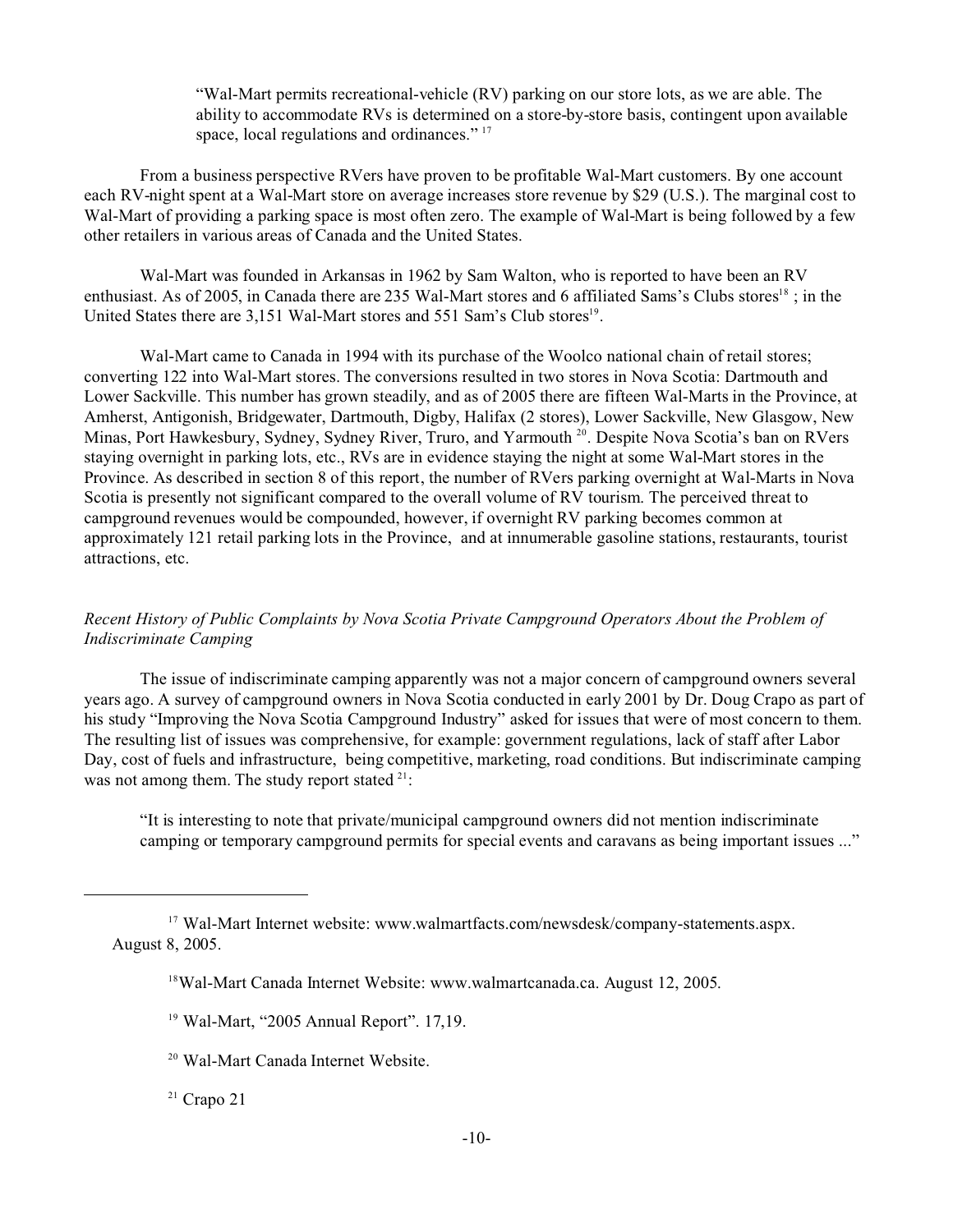"Wal-Mart permits recreational-vehicle (RV) parking on our store lots, as we are able. The ability to accommodate RVs is determined on a store-by-store basis, contingent upon available space, local regulations and ordinances."<sup>17</sup>

From a business perspective RVers have proven to be profitable Wal-Mart customers. By one account each RV-night spent at a Wal-Mart store on average increases store revenue by \$29 (U.S.). The marginal cost to Wal-Mart of providing a parking space is most often zero. The example of Wal-Mart is being followed by a few other retailers in various areas of Canada and the United States.

Wal-Mart was founded in Arkansas in 1962 by Sam Walton, who is reported to have been an RV enthusiast. As of 2005, in Canada there are 235 Wal-Mart stores and 6 affiliated Sams's Clubs stores<sup>18</sup>; in the United States there are 3,151 Wal-Mart stores and 551 Sam's Club stores<sup>19</sup>.

Wal-Mart came to Canada in 1994 with its purchase of the Woolco national chain of retail stores; converting 122 into Wal-Mart stores. The conversions resulted in two stores in Nova Scotia: Dartmouth and Lower Sackville. This number has grown steadily, and as of 2005 there are fifteen Wal-Marts in the Province, at Amherst, Antigonish, Bridgewater, Dartmouth, Digby, Halifax (2 stores), Lower Sackville, New Glasgow, New Minas, Port Hawkesbury, Sydney, Sydney River, Truro, and Yarmouth <sup>20</sup>. Despite Nova Scotia's ban on RVers staying overnight in parking lots, etc., RVs are in evidence staying the night at some Wal-Mart stores in the Province. As described in section 8 of this report, the number of RVers parking overnight at Wal-Marts in Nova Scotia is presently not significant compared to the overall volume of RV tourism. The perceived threat to campground revenues would be compounded, however, if overnight RV parking becomes common at approximately 121 retail parking lots in the Province, and at innumerable gasoline stations, restaurants, tourist attractions, etc.

## *Recent History of Public Complaints by Nova Scotia Private Campground Operators About the Problem of Indiscriminate Camping*

The issue of indiscriminate camping apparently was not a major concern of campground owners several years ago. A survey of campground owners in Nova Scotia conducted in early 2001 by Dr. Doug Crapo as part of his study "Improving the Nova Scotia Campground Industry" asked for issues that were of most concern to them. The resulting list of issues was comprehensive, for example: government regulations, lack of staff after Labor Day, cost of fuels and infrastructure, being competitive, marketing, road conditions. But indiscriminate camping was not among them. The study report stated  $2^1$ :

"It is interesting to note that private/municipal campground owners did not mention indiscriminate camping or temporary campground permits for special events and caravans as being important issues ..."

 $21$  Crapo 21

<sup>&</sup>lt;sup>17</sup> Wal-Mart Internet website: www.walmartfacts.com/newsdesk/company-statements.aspx. August 8, 2005.

<sup>18</sup>Wal-Mart Canada Internet Website: www.walmartcanada.ca. August 12, 2005.

<sup>19</sup> Wal-Mart, "2005 Annual Report". 17,19.

<sup>20</sup> Wal-Mart Canada Internet Website.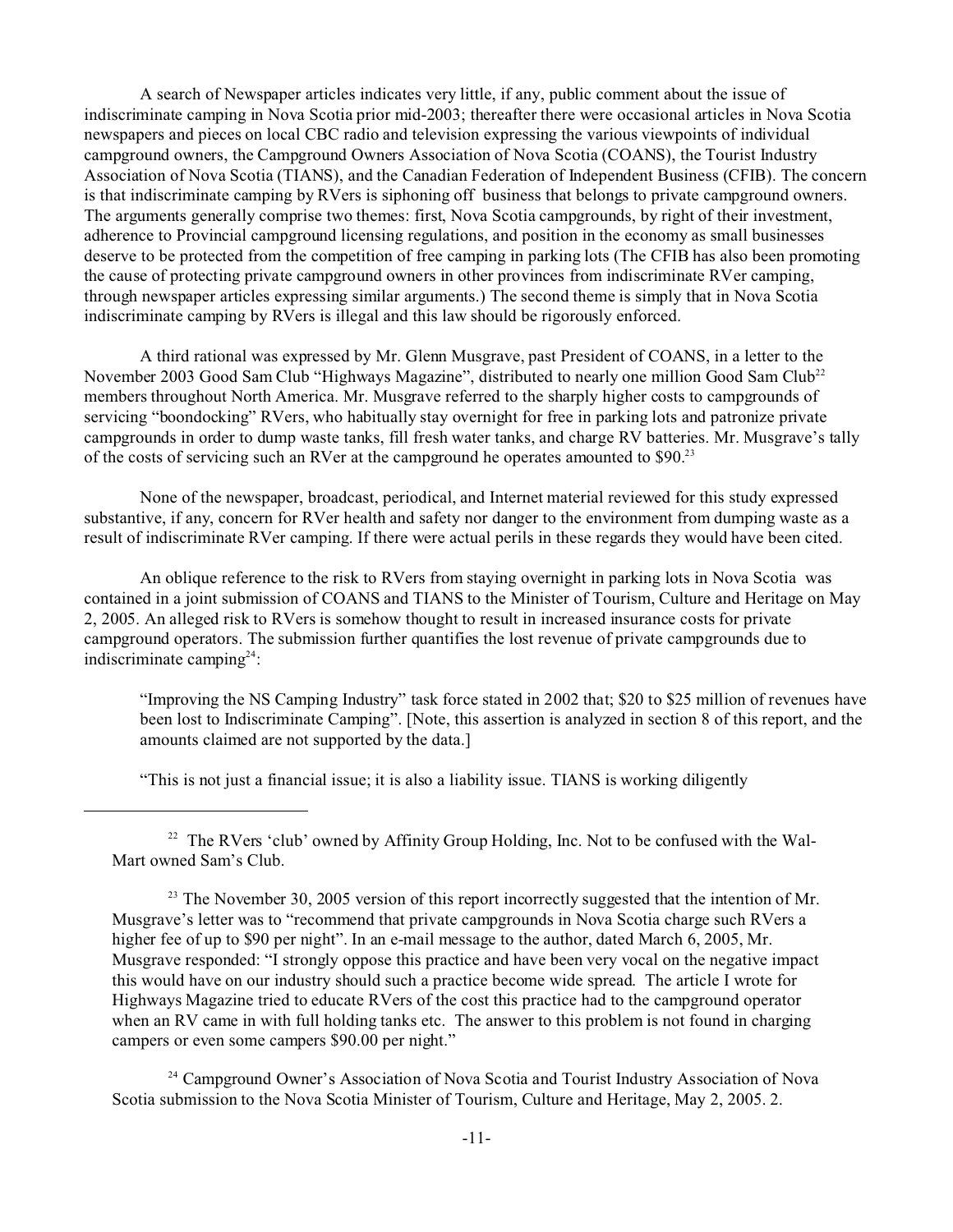A search of Newspaper articles indicates very little, if any, public comment about the issue of indiscriminate camping in Nova Scotia prior mid-2003; thereafter there were occasional articles in Nova Scotia newspapers and pieces on local CBC radio and television expressing the various viewpoints of individual campground owners, the Campground Owners Association of Nova Scotia (COANS), the Tourist Industry Association of Nova Scotia (TIANS), and the Canadian Federation of Independent Business (CFIB). The concern is that indiscriminate camping by RVers is siphoning off business that belongs to private campground owners. The arguments generally comprise two themes: first, Nova Scotia campgrounds, by right of their investment, adherence to Provincial campground licensing regulations, and position in the economy as small businesses deserve to be protected from the competition of free camping in parking lots (The CFIB has also been promoting the cause of protecting private campground owners in other provinces from indiscriminate RVer camping, through newspaper articles expressing similar arguments.) The second theme is simply that in Nova Scotia indiscriminate camping by RVers is illegal and this law should be rigorously enforced.

A third rational was expressed by Mr. Glenn Musgrave, past President of COANS, in a letter to the November 2003 Good Sam Club "Highways Magazine", distributed to nearly one million Good Sam Club<sup>22</sup> members throughout North America. Mr. Musgrave referred to the sharply higher costs to campgrounds of servicing "boondocking" RVers, who habitually stay overnight for free in parking lots and patronize private campgrounds in order to dump waste tanks, fill fresh water tanks, and charge RV batteries. Mr. Musgrave's tally of the costs of servicing such an RVer at the campground he operates amounted to  $$90.^{23}$ 

None of the newspaper, broadcast, periodical, and Internet material reviewed for this study expressed substantive, if any, concern for RVer health and safety nor danger to the environment from dumping waste as a result of indiscriminate RVer camping. If there were actual perils in these regards they would have been cited.

An oblique reference to the risk to RVers from staying overnight in parking lots in Nova Scotia was contained in a joint submission of COANS and TIANS to the Minister of Tourism, Culture and Heritage on May 2, 2005. An alleged risk to RVers is somehow thought to result in increased insurance costs for private campground operators. The submission further quantifies the lost revenue of private campgrounds due to indiscriminate camping<sup>24</sup>:

"Improving the NS Camping Industry" task force stated in 2002 that; \$20 to \$25 million of revenues have been lost to Indiscriminate Camping". [Note, this assertion is analyzed in section 8 of this report, and the amounts claimed are not supported by the data.]

"This is not just a financial issue; it is also a liability issue. TIANS is working diligently

<sup>22</sup> The RVers 'club' owned by Affinity Group Holding, Inc. Not to be confused with the Wal-Mart owned Sam's Club.

<sup>23</sup> The November 30, 2005 version of this report incorrectly suggested that the intention of Mr. Musgrave's letter was to "recommend that private campgrounds in Nova Scotia charge such RVers a higher fee of up to \$90 per night". In an e-mail message to the author, dated March 6, 2005, Mr. Musgrave responded: "I strongly oppose this practice and have been very vocal on the negative impact this would have on our industry should such a practice become wide spread. The article I wrote for Highways Magazine tried to educate RVers of the cost this practice had to the campground operator when an RV came in with full holding tanks etc. The answer to this problem is not found in charging campers or even some campers \$90.00 per night."

<sup>24</sup> Campground Owner's Association of Nova Scotia and Tourist Industry Association of Nova Scotia submission to the Nova Scotia Minister of Tourism, Culture and Heritage, May 2, 2005. 2.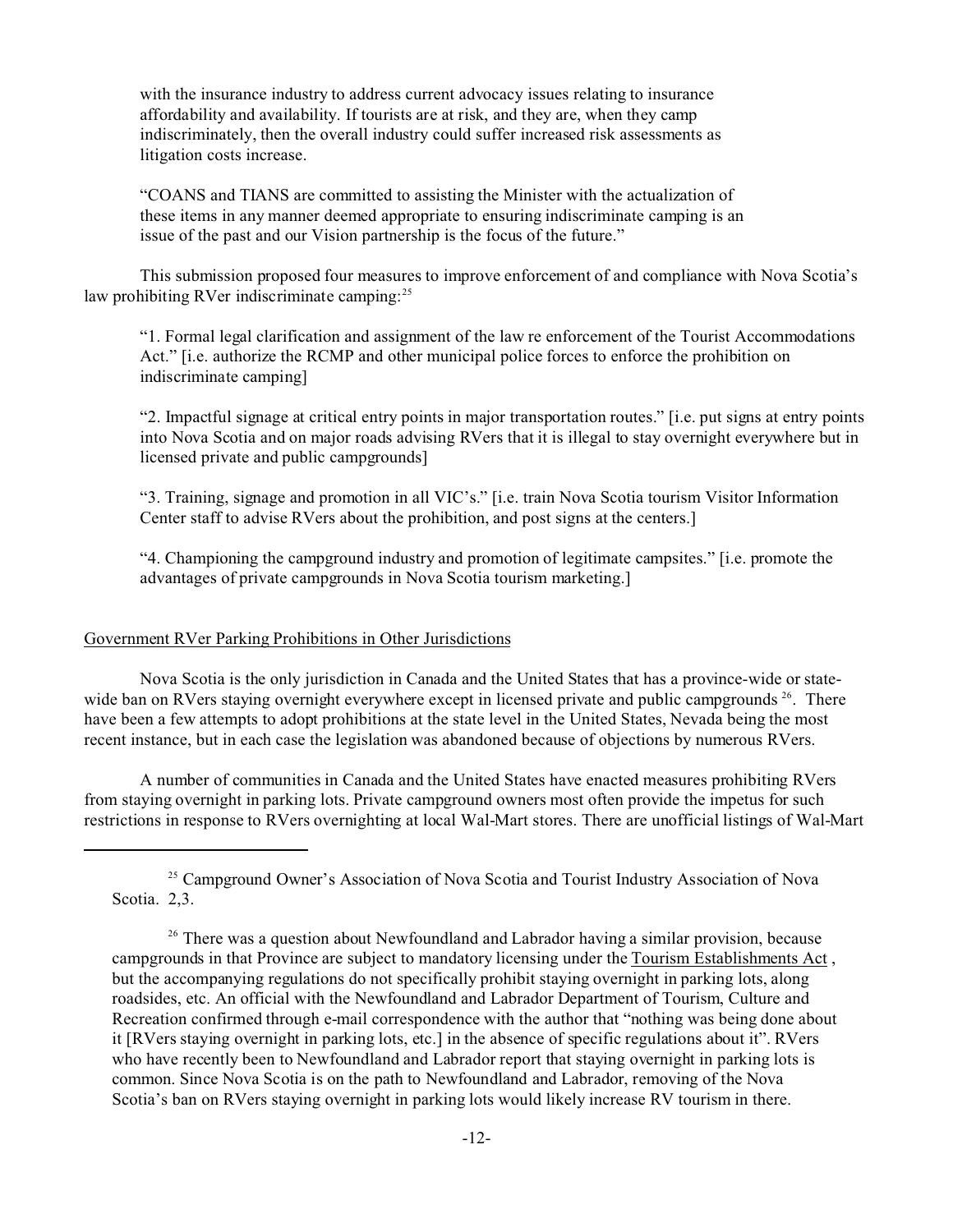with the insurance industry to address current advocacy issues relating to insurance affordability and availability. If tourists are at risk, and they are, when they camp indiscriminately, then the overall industry could suffer increased risk assessments as litigation costs increase.

"COANS and TIANS are committed to assisting the Minister with the actualization of these items in any manner deemed appropriate to ensuring indiscriminate camping is an issue of the past and our Vision partnership is the focus of the future."

This submission proposed four measures to improve enforcement of and compliance with Nova Scotia's law prohibiting RVer indiscriminate camping:<sup>25</sup>

"1. Formal legal clarification and assignment of the law re enforcement of the Tourist Accommodations Act." [i.e. authorize the RCMP and other municipal police forces to enforce the prohibition on indiscriminate camping]

"2. Impactful signage at critical entry points in major transportation routes." [i.e. put signs at entry points into Nova Scotia and on major roads advising RVers that it is illegal to stay overnight everywhere but in licensed private and public campgrounds]

"3. Training, signage and promotion in all VIC's." [i.e. train Nova Scotia tourism Visitor Information Center staff to advise RVers about the prohibition, and post signs at the centers.]

"4. Championing the campground industry and promotion of legitimate campsites." [i.e. promote the advantages of private campgrounds in Nova Scotia tourism marketing.]

#### Government RVer Parking Prohibitions in Other Jurisdictions

Nova Scotia is the only jurisdiction in Canada and the United States that has a province-wide or statewide ban on RVers staying overnight everywhere except in licensed private and public campgrounds  $^{26}$ . There have been a few attempts to adopt prohibitions at the state level in the United States, Nevada being the most recent instance, but in each case the legislation was abandoned because of objections by numerous RVers.

A number of communities in Canada and the United States have enacted measures prohibiting RVers from staying overnight in parking lots. Private campground owners most often provide the impetus for such restrictions in response to RVers overnighting at local Wal-Mart stores. There are unofficial listings of Wal-Mart

<sup>25</sup> Campground Owner's Association of Nova Scotia and Tourist Industry Association of Nova Scotia. 2,3.

 $26$  There was a question about Newfoundland and Labrador having a similar provision, because campgrounds in that Province are subject to mandatory licensing under the Tourism Establishments Act , but the accompanying regulations do not specifically prohibit staying overnight in parking lots, along roadsides, etc. An official with the Newfoundland and Labrador Department of Tourism, Culture and Recreation confirmed through e-mail correspondence with the author that "nothing was being done about it [RVers staying overnight in parking lots, etc.] in the absence of specific regulations about it". RVers who have recently been to Newfoundland and Labrador report that staying overnight in parking lots is common. Since Nova Scotia is on the path to Newfoundland and Labrador, removing of the Nova Scotia's ban on RVers staying overnight in parking lots would likely increase RV tourism in there.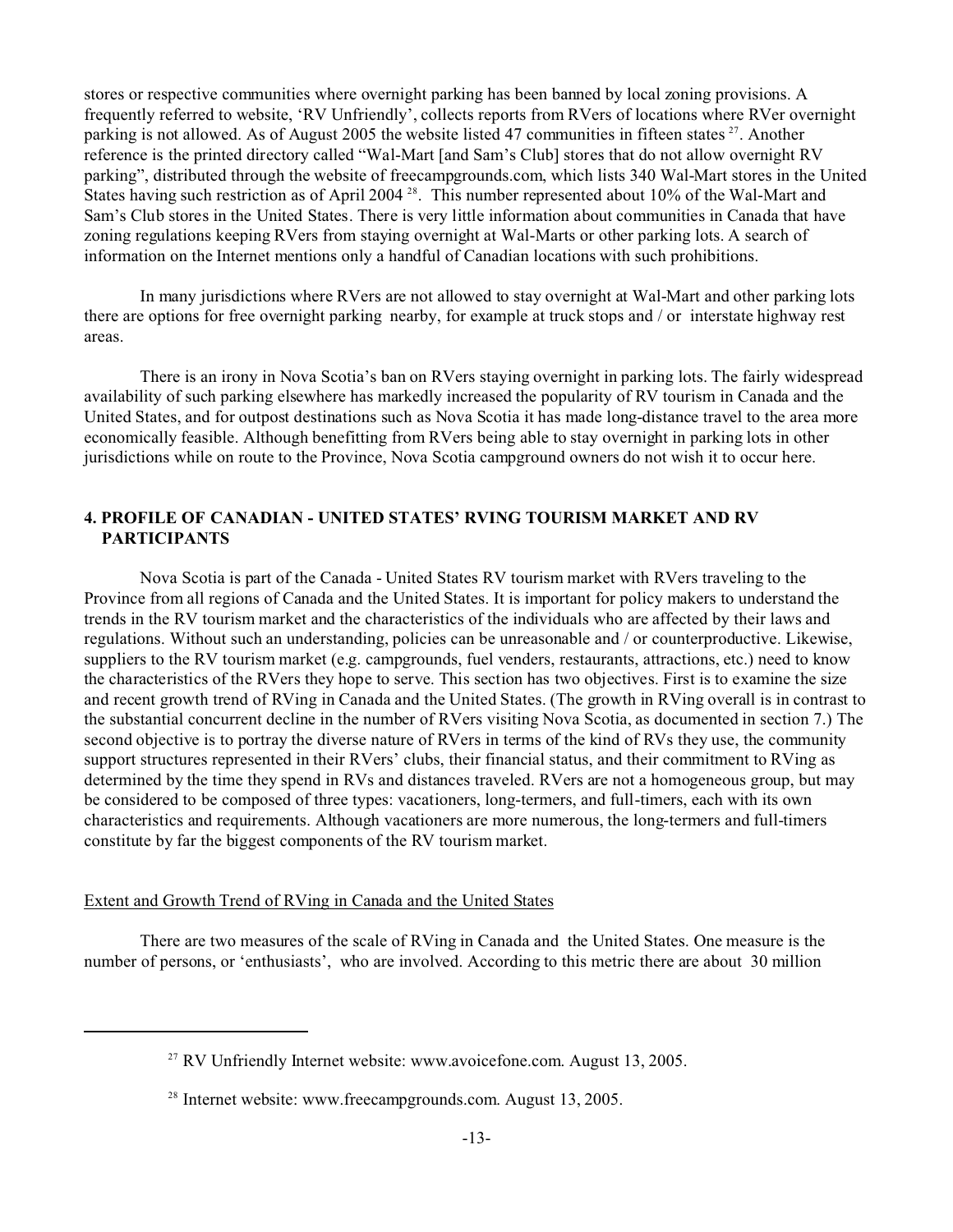stores or respective communities where overnight parking has been banned by local zoning provisions. A frequently referred to website, 'RV Unfriendly', collects reports from RVers of locations where RVer overnight parking is not allowed. As of August 2005 the website listed 47 communities in fifteen states  $27$ . Another reference is the printed directory called "Wal-Mart [and Sam's Club] stores that do not allow overnight RV parking", distributed through the website of freecampgrounds.com, which lists 340 Wal-Mart stores in the United States having such restriction as of April 2004<sup>28</sup>. This number represented about 10% of the Wal-Mart and Sam's Club stores in the United States. There is very little information about communities in Canada that have zoning regulations keeping RVers from staying overnight at Wal-Marts or other parking lots. A search of information on the Internet mentions only a handful of Canadian locations with such prohibitions.

In many jurisdictions where RVers are not allowed to stay overnight at Wal-Mart and other parking lots there are options for free overnight parking nearby, for example at truck stops and / or interstate highway rest areas.

There is an irony in Nova Scotia's ban on RVers staying overnight in parking lots. The fairly widespread availability of such parking elsewhere has markedly increased the popularity of RV tourism in Canada and the United States, and for outpost destinations such as Nova Scotia it has made long-distance travel to the area more economically feasible. Although benefitting from RVers being able to stay overnight in parking lots in other jurisdictions while on route to the Province, Nova Scotia campground owners do not wish it to occur here.

## **4. PROFILE OF CANADIAN - UNITED STATES' RVING TOURISM MARKET AND RV PARTICIPANTS**

Nova Scotia is part of the Canada - United States RV tourism market with RVers traveling to the Province from all regions of Canada and the United States. It is important for policy makers to understand the trends in the RV tourism market and the characteristics of the individuals who are affected by their laws and regulations. Without such an understanding, policies can be unreasonable and / or counterproductive. Likewise, suppliers to the RV tourism market (e.g. campgrounds, fuel venders, restaurants, attractions, etc.) need to know the characteristics of the RVers they hope to serve. This section has two objectives. First is to examine the size and recent growth trend of RVing in Canada and the United States. (The growth in RVing overall is in contrast to the substantial concurrent decline in the number of RVers visiting Nova Scotia, as documented in section 7.) The second objective is to portray the diverse nature of RVers in terms of the kind of RVs they use, the community support structures represented in their RVers' clubs, their financial status, and their commitment to RVing as determined by the time they spend in RVs and distances traveled. RVers are not a homogeneous group, but may be considered to be composed of three types: vacationers, long-termers, and full-timers, each with its own characteristics and requirements. Although vacationers are more numerous, the long-termers and full-timers constitute by far the biggest components of the RV tourism market.

### Extent and Growth Trend of RVing in Canada and the United States

There are two measures of the scale of RVing in Canada and the United States. One measure is the number of persons, or 'enthusiasts', who are involved. According to this metric there are about 30 million

 $27$  RV Unfriendly Internet website: www.avoicefone.com. August 13, 2005.

<sup>28</sup> Internet website: www.freecampgrounds.com. August 13, 2005.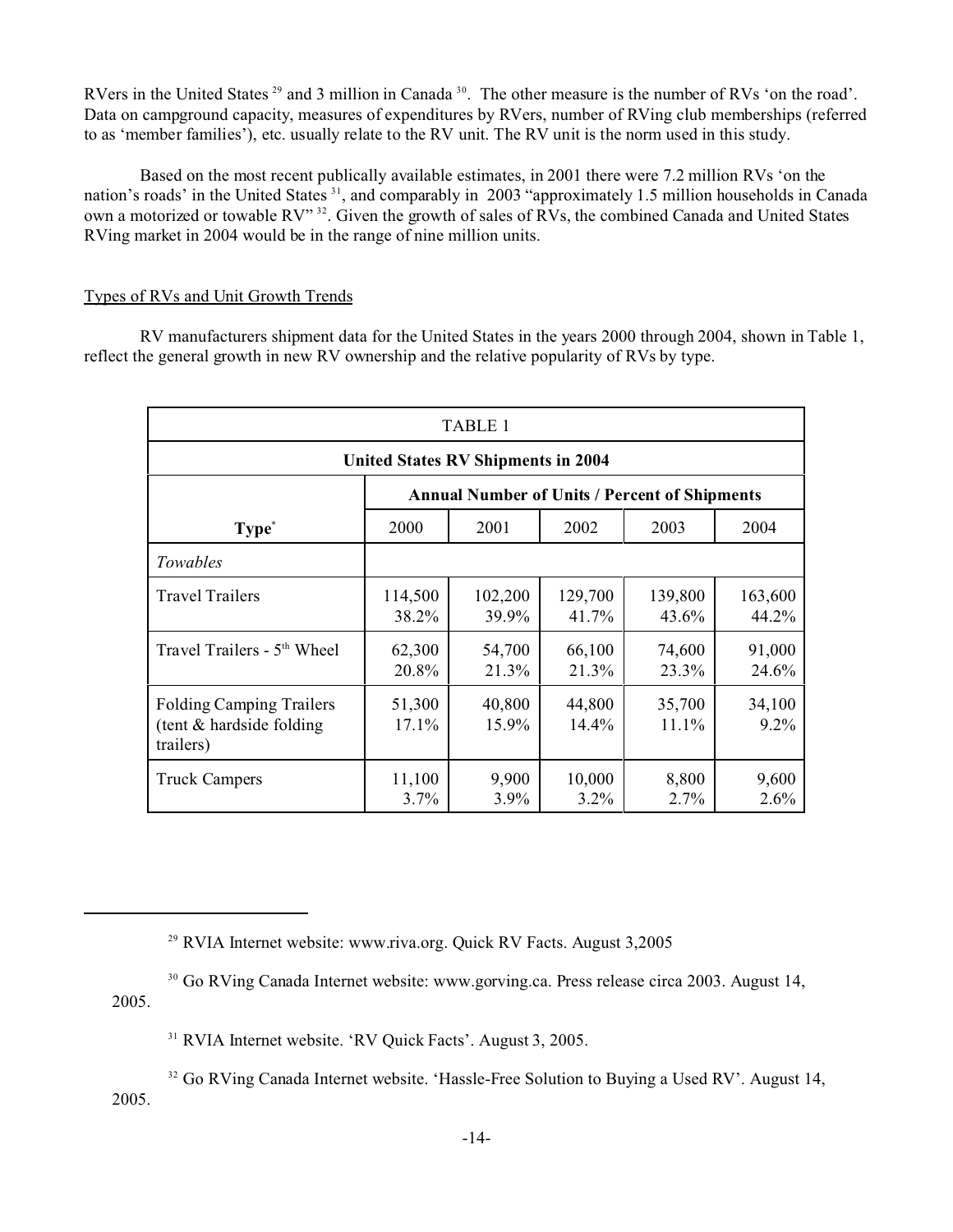RVers in the United States <sup>29</sup> and 3 million in Canada <sup>30</sup>. The other measure is the number of RVs 'on the road'. Data on campground capacity, measures of expenditures by RVers, number of RVing club memberships (referred to as 'member families'), etc. usually relate to the RV unit. The RV unit is the norm used in this study.

Based on the most recent publically available estimates, in 2001 there were 7.2 million RVs 'on the nation's roads' in the United States <sup>31</sup>, and comparably in 2003 "approximately 1.5 million households in Canada own a motorized or towable RV" <sup>32</sup>. Given the growth of sales of RVs, the combined Canada and United States RVing market in 2004 would be in the range of nine million units.

## Types of RVs and Unit Growth Trends

RV manufacturers shipment data for the United States in the years 2000 through 2004, shown in Table 1, reflect the general growth in new RV ownership and the relative popularity of RVs by type.

| <b>TABLE 1</b>                                                            |                                                      |                                           |                    |                    |                   |
|---------------------------------------------------------------------------|------------------------------------------------------|-------------------------------------------|--------------------|--------------------|-------------------|
|                                                                           |                                                      | <b>United States RV Shipments in 2004</b> |                    |                    |                   |
|                                                                           | <b>Annual Number of Units / Percent of Shipments</b> |                                           |                    |                    |                   |
| Type <sup>*</sup>                                                         | 2000                                                 | 2001                                      | 2002               | 2003               | 2004              |
| Towables                                                                  |                                                      |                                           |                    |                    |                   |
| <b>Travel Trailers</b>                                                    | 114,500<br>38.2%                                     | 102,200<br>39.9%                          | 129,700<br>41.7%   | 139,800<br>43.6%   | 163,600<br>44.2%  |
| Travel Trailers - 5 <sup>th</sup> Wheel                                   | 62,300<br>20.8%                                      | 54,700<br>21.3%                           | 66,100<br>21.3%    | 74,600<br>23.3%    | 91,000<br>24.6%   |
| <b>Folding Camping Trailers</b><br>(tent & hardside folding)<br>trailers) | 51,300<br>$17.1\%$                                   | 40,800<br>15.9%                           | 44,800<br>$14.4\%$ | 35,700<br>$11.1\%$ | 34,100<br>$9.2\%$ |
| <b>Truck Campers</b>                                                      | 11,100<br>$3.7\%$                                    | 9,900<br>$3.9\%$                          | 10,000<br>$3.2\%$  | 8,800<br>$2.7\%$   | 9,600<br>2.6%     |

<sup>29</sup> RVIA Internet website: www.riva.org. Quick RV Facts. August 3,2005

<sup>30</sup> Go RVing Canada Internet website: www.gorving.ca. Press release circa 2003. August 14, 2005.

<sup>31</sup> RVIA Internet website. 'RV Quick Facts'. August 3, 2005.

<sup>32</sup> Go RVing Canada Internet website. 'Hassle-Free Solution to Buying a Used RV'. August 14, 2005.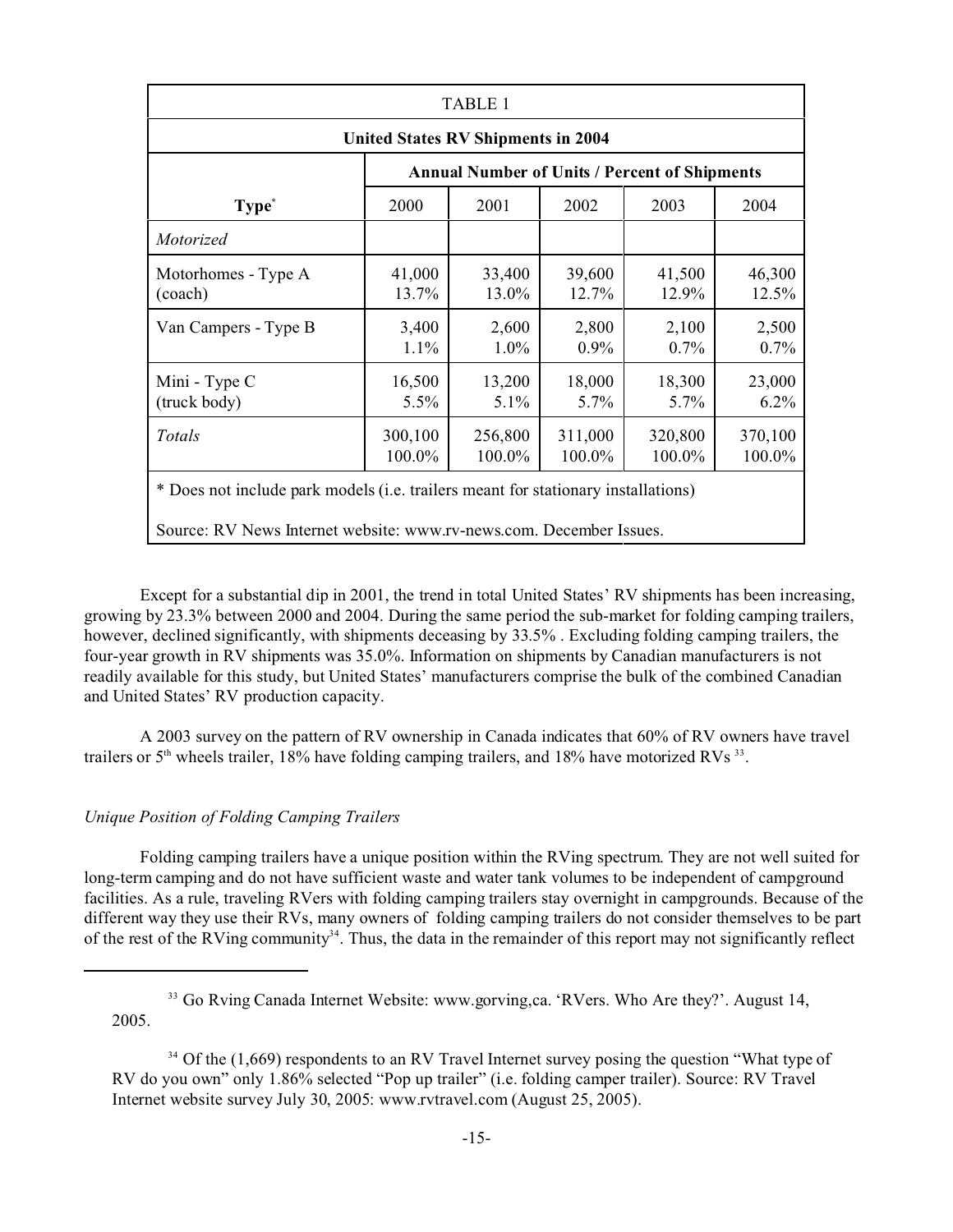| TABLE 1                                                                           |                   |                                                      |                   |                   |                   |
|-----------------------------------------------------------------------------------|-------------------|------------------------------------------------------|-------------------|-------------------|-------------------|
|                                                                                   |                   | <b>United States RV Shipments in 2004</b>            |                   |                   |                   |
|                                                                                   |                   | <b>Annual Number of Units / Percent of Shipments</b> |                   |                   |                   |
| Type <sup>*</sup>                                                                 | 2000              | 2001                                                 | 2002              | 2003              | 2004              |
| Motorized                                                                         |                   |                                                      |                   |                   |                   |
| Motorhomes - Type A<br>(coach)                                                    | 41,000<br>13.7%   | 33,400<br>13.0%                                      | 39,600<br>12.7%   | 41,500<br>12.9%   | 46,300<br>12.5%   |
| Van Campers - Type B                                                              | 3,400<br>1.1%     | 2,600<br>1.0%                                        | 2,800<br>$0.9\%$  | 2,100<br>0.7%     | 2,500<br>0.7%     |
| Mini - Type $C$<br>(truck body)                                                   | 16,500<br>$5.5\%$ | 13,200<br>$5.1\%$                                    | 18,000<br>$5.7\%$ | 18,300<br>$5.7\%$ | 23,000<br>6.2%    |
| Totals                                                                            | 300,100<br>100.0% | 256,800<br>100.0%                                    | 311,000<br>100.0% | 320,800<br>100.0% | 370,100<br>100.0% |
| * Does not include park models (i.e. trailers meant for stationary installations) |                   |                                                      |                   |                   |                   |
| Source: RV News Internet website: www.rv-news.com. December Issues.               |                   |                                                      |                   |                   |                   |

Except for a substantial dip in 2001, the trend in total United States' RV shipments has been increasing, growing by 23.3% between 2000 and 2004. During the same period the sub-market for folding camping trailers, however, declined significantly, with shipments deceasing by 33.5% . Excluding folding camping trailers, the four-year growth in RV shipments was 35.0%. Information on shipments by Canadian manufacturers is not readily available for this study, but United States' manufacturers comprise the bulk of the combined Canadian and United States' RV production capacity.

A 2003 survey on the pattern of RV ownership in Canada indicates that 60% of RV owners have travel trailers or  $5<sup>th</sup>$  wheels trailer, 18% have folding camping trailers, and 18% have motorized RVs  $^{33}$ .

#### *Unique Position of Folding Camping Trailers*

Folding camping trailers have a unique position within the RVing spectrum. They are not well suited for long-term camping and do not have sufficient waste and water tank volumes to be independent of campground facilities. As a rule, traveling RVers with folding camping trailers stay overnight in campgrounds. Because of the different way they use their RVs, many owners of folding camping trailers do not consider themselves to be part of the rest of the RVing community<sup>34</sup>. Thus, the data in the remainder of this report may not significantly reflect

<sup>&</sup>lt;sup>33</sup> Go Rving Canada Internet Website: www.gorving,ca. 'RVers. Who Are they?'. August 14, 2005.

<sup>&</sup>lt;sup>34</sup> Of the (1,669) respondents to an RV Travel Internet survey posing the question "What type of RV do you own" only 1.86% selected "Pop up trailer" (i.e. folding camper trailer). Source: RV Travel Internet website survey July 30, 2005: www.rvtravel.com (August 25, 2005).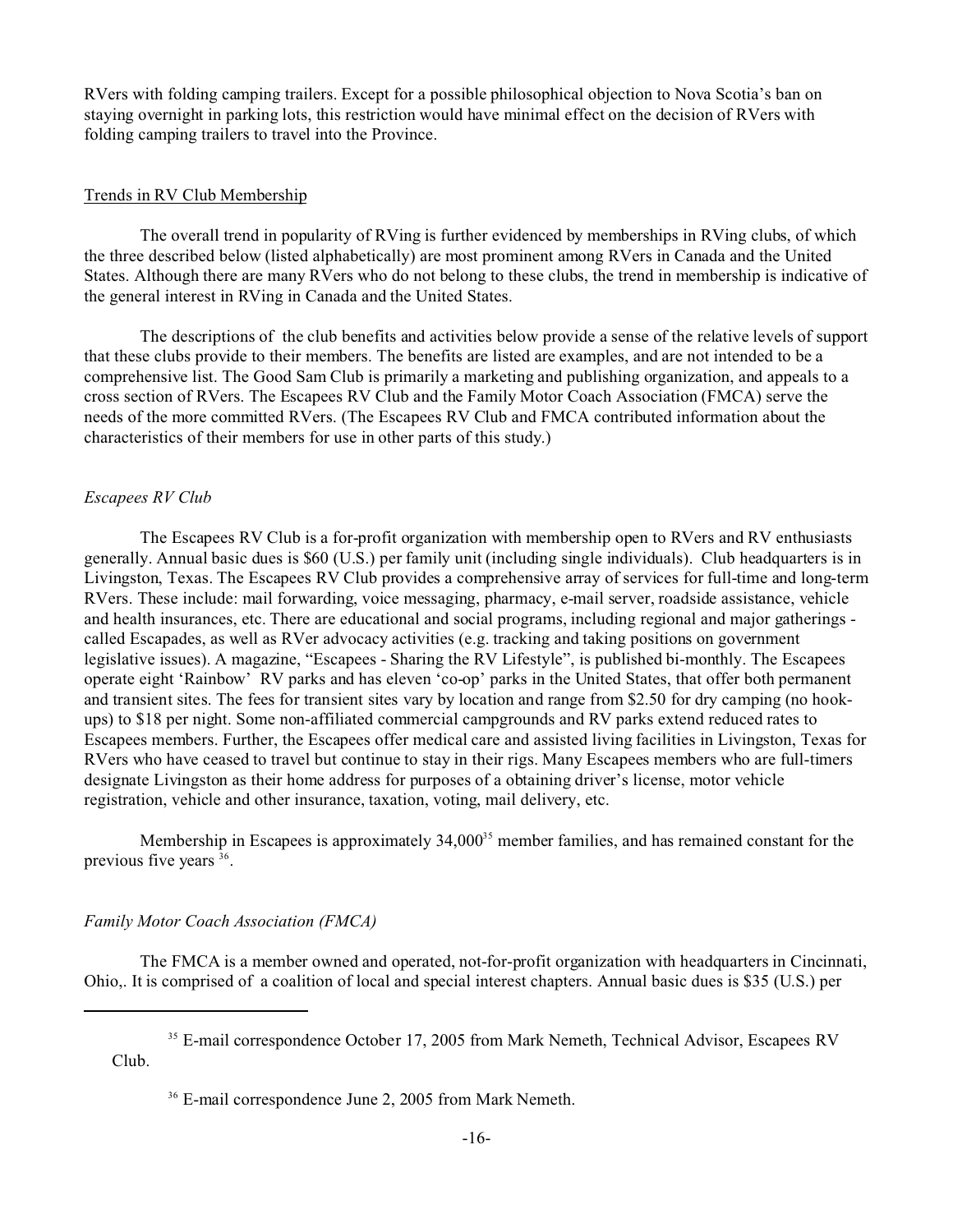RVers with folding camping trailers. Except for a possible philosophical objection to Nova Scotia's ban on staying overnight in parking lots, this restriction would have minimal effect on the decision of RVers with folding camping trailers to travel into the Province.

#### Trends in RV Club Membership

The overall trend in popularity of RVing is further evidenced by memberships in RVing clubs, of which the three described below (listed alphabetically) are most prominent among RVers in Canada and the United States. Although there are many RVers who do not belong to these clubs, the trend in membership is indicative of the general interest in RVing in Canada and the United States.

The descriptions of the club benefits and activities below provide a sense of the relative levels of support that these clubs provide to their members. The benefits are listed are examples, and are not intended to be a comprehensive list. The Good Sam Club is primarily a marketing and publishing organization, and appeals to a cross section of RVers. The Escapees RV Club and the Family Motor Coach Association (FMCA) serve the needs of the more committed RVers. (The Escapees RV Club and FMCA contributed information about the characteristics of their members for use in other parts of this study.)

### *Escapees RV Club*

The Escapees RV Club is a for-profit organization with membership open to RVers and RV enthusiasts generally. Annual basic dues is \$60 (U.S.) per family unit (including single individuals). Club headquarters is in Livingston, Texas. The Escapees RV Club provides a comprehensive array of services for full-time and long-term RVers. These include: mail forwarding, voice messaging, pharmacy, e-mail server, roadside assistance, vehicle and health insurances, etc. There are educational and social programs, including regional and major gatherings called Escapades, as well as RVer advocacy activities (e.g. tracking and taking positions on government legislative issues). A magazine, "Escapees - Sharing the RV Lifestyle", is published bi-monthly. The Escapees operate eight 'Rainbow' RV parks and has eleven 'co-op' parks in the United States, that offer both permanent and transient sites. The fees for transient sites vary by location and range from \$2.50 for dry camping (no hookups) to \$18 per night. Some non-affiliated commercial campgrounds and RV parks extend reduced rates to Escapees members. Further, the Escapees offer medical care and assisted living facilities in Livingston, Texas for RVers who have ceased to travel but continue to stay in their rigs. Many Escapees members who are full-timers designate Livingston as their home address for purposes of a obtaining driver's license, motor vehicle registration, vehicle and other insurance, taxation, voting, mail delivery, etc.

Membership in Escapees is approximately 34,000<sup>35</sup> member families, and has remained constant for the previous five years <sup>36</sup>.

### *Family Motor Coach Association (FMCA)*

The FMCA is a member owned and operated, not-for-profit organization with headquarters in Cincinnati, Ohio,. It is comprised of a coalition of local and special interest chapters. Annual basic dues is \$35 (U.S.) per

<sup>&</sup>lt;sup>35</sup> E-mail correspondence October 17, 2005 from Mark Nemeth, Technical Advisor, Escapees RV Club.

<sup>&</sup>lt;sup>36</sup> E-mail correspondence June 2, 2005 from Mark Nemeth.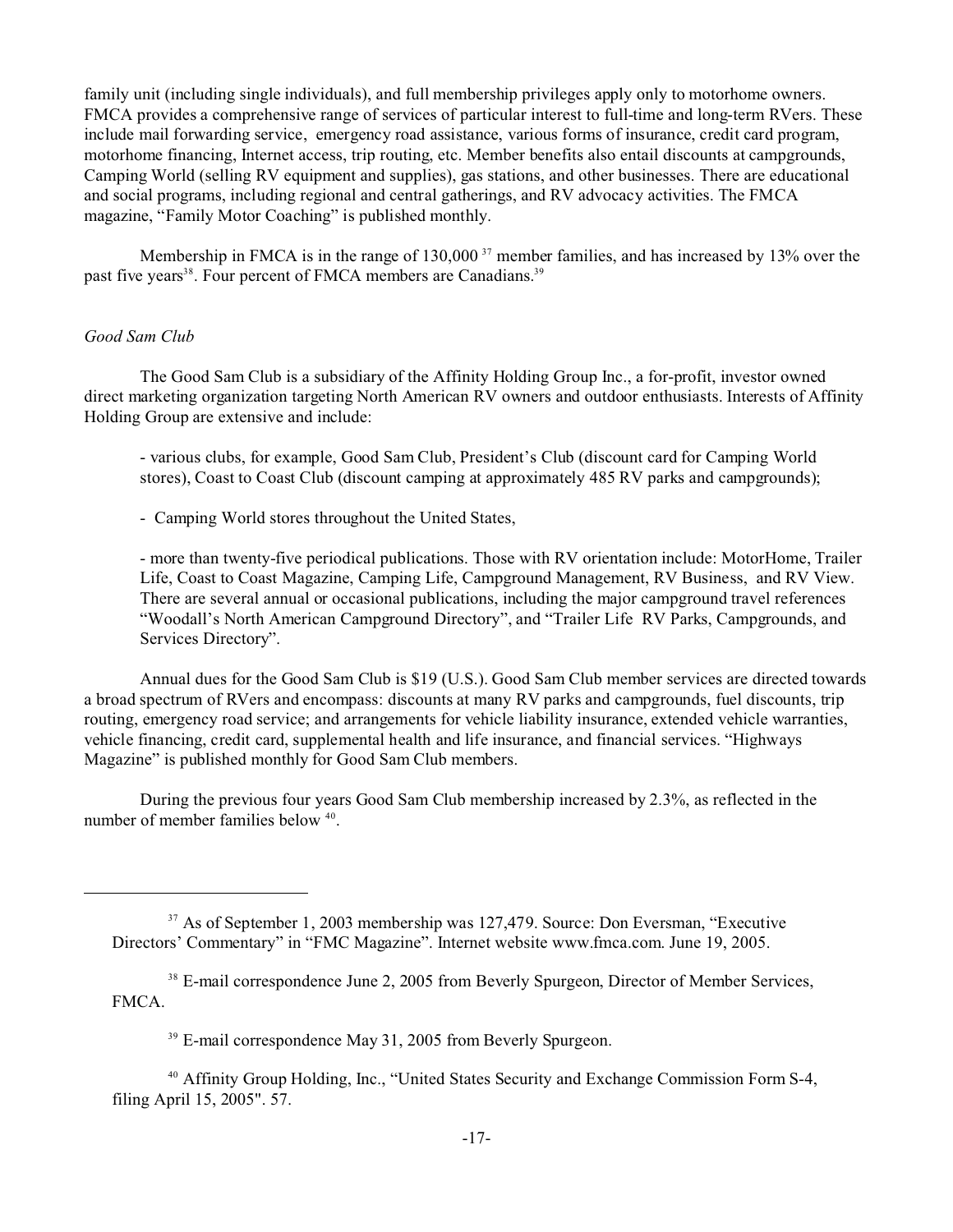family unit (including single individuals), and full membership privileges apply only to motorhome owners. FMCA provides a comprehensive range of services of particular interest to full-time and long-term RVers. These include mail forwarding service, emergency road assistance, various forms of insurance, credit card program, motorhome financing, Internet access, trip routing, etc. Member benefits also entail discounts at campgrounds, Camping World (selling RV equipment and supplies), gas stations, and other businesses. There are educational and social programs, including regional and central gatherings, and RV advocacy activities. The FMCA magazine, "Family Motor Coaching" is published monthly.

Membership in FMCA is in the range of 130,000<sup>37</sup> member families, and has increased by 13% over the past five years<sup>38</sup>. Four percent of FMCA members are Canadians.<sup>39</sup>

### *Good Sam Club*

The Good Sam Club is a subsidiary of the Affinity Holding Group Inc., a for-profit, investor owned direct marketing organization targeting North American RV owners and outdoor enthusiasts. Interests of Affinity Holding Group are extensive and include:

- various clubs, for example, Good Sam Club, President's Club (discount card for Camping World stores), Coast to Coast Club (discount camping at approximately 485 RV parks and campgrounds);

- Camping World stores throughout the United States,

- more than twenty-five periodical publications. Those with RV orientation include: MotorHome, Trailer Life, Coast to Coast Magazine, Camping Life, Campground Management, RV Business, and RV View. There are several annual or occasional publications, including the major campground travel references "Woodall's North American Campground Directory", and "Trailer Life RV Parks, Campgrounds, and Services Directory".

Annual dues for the Good Sam Club is \$19 (U.S.). Good Sam Club member services are directed towards a broad spectrum of RVers and encompass: discounts at many RV parks and campgrounds, fuel discounts, trip routing, emergency road service; and arrangements for vehicle liability insurance, extended vehicle warranties, vehicle financing, credit card, supplemental health and life insurance, and financial services. "Highways Magazine" is published monthly for Good Sam Club members.

During the previous four years Good Sam Club membership increased by 2.3%, as reflected in the number of member families below <sup>40</sup>.

<sup>40</sup> Affinity Group Holding, Inc., "United States Security and Exchange Commission Form S-4, filing April 15, 2005". 57.

<sup>37</sup> As of September 1, 2003 membership was 127,479. Source: Don Eversman, "Executive Directors' Commentary" in "FMC Magazine". Internet website www.fmca.com. June 19, 2005.

<sup>&</sup>lt;sup>38</sup> E-mail correspondence June 2, 2005 from Beverly Spurgeon, Director of Member Services, FMCA.

<sup>&</sup>lt;sup>39</sup> E-mail correspondence May 31, 2005 from Beverly Spurgeon.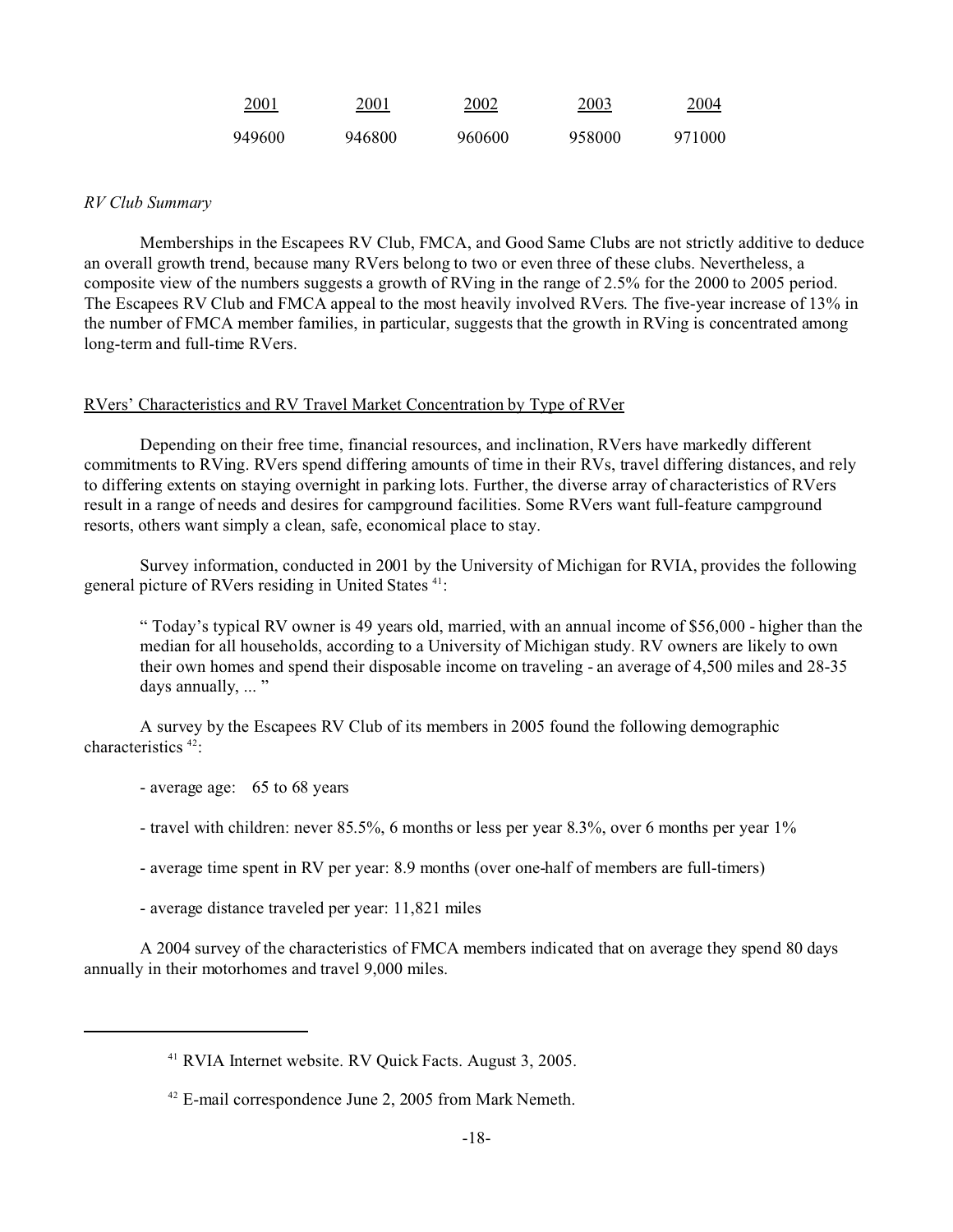| 2001   | 2001   | 2002   | 2003   | <u>2004</u> |
|--------|--------|--------|--------|-------------|
| 949600 | 946800 | 960600 | 958000 | 971000      |

## *RV Club Summary*

Memberships in the Escapees RV Club, FMCA, and Good Same Clubs are not strictly additive to deduce an overall growth trend, because many RVers belong to two or even three of these clubs. Nevertheless, a composite view of the numbers suggests a growth of RVing in the range of 2.5% for the 2000 to 2005 period. The Escapees RV Club and FMCA appeal to the most heavily involved RVers. The five-year increase of 13% in the number of FMCA member families, in particular, suggests that the growth in RVing is concentrated among long-term and full-time RVers.

### RVers' Characteristics and RV Travel Market Concentration by Type of RVer

Depending on their free time, financial resources, and inclination, RVers have markedly different commitments to RVing. RVers spend differing amounts of time in their RVs, travel differing distances, and rely to differing extents on staying overnight in parking lots. Further, the diverse array of characteristics of RVers result in a range of needs and desires for campground facilities. Some RVers want full-feature campground resorts, others want simply a clean, safe, economical place to stay.

Survey information, conducted in 2001 by the University of Michigan for RVIA, provides the following general picture of RVers residing in United States <sup>41</sup>:

" Today's typical RV owner is 49 years old, married, with an annual income of \$56,000 - higher than the median for all households, according to a University of Michigan study. RV owners are likely to own their own homes and spend their disposable income on traveling - an average of 4,500 miles and 28-35 days annually, ... "

A survey by the Escapees RV Club of its members in 2005 found the following demographic characteristics <sup>42</sup>:

- average age: 65 to 68 years

- travel with children: never 85.5%, 6 months or less per year 8.3%, over 6 months per year 1%
- average time spent in RV per year: 8.9 months (over one-half of members are full-timers)
- average distance traveled per year: 11,821 miles

A 2004 survey of the characteristics of FMCA members indicated that on average they spend 80 days annually in their motorhomes and travel 9,000 miles.

<sup>41</sup> RVIA Internet website. RV Quick Facts. August 3, 2005.

<sup>42</sup> E-mail correspondence June 2, 2005 from Mark Nemeth.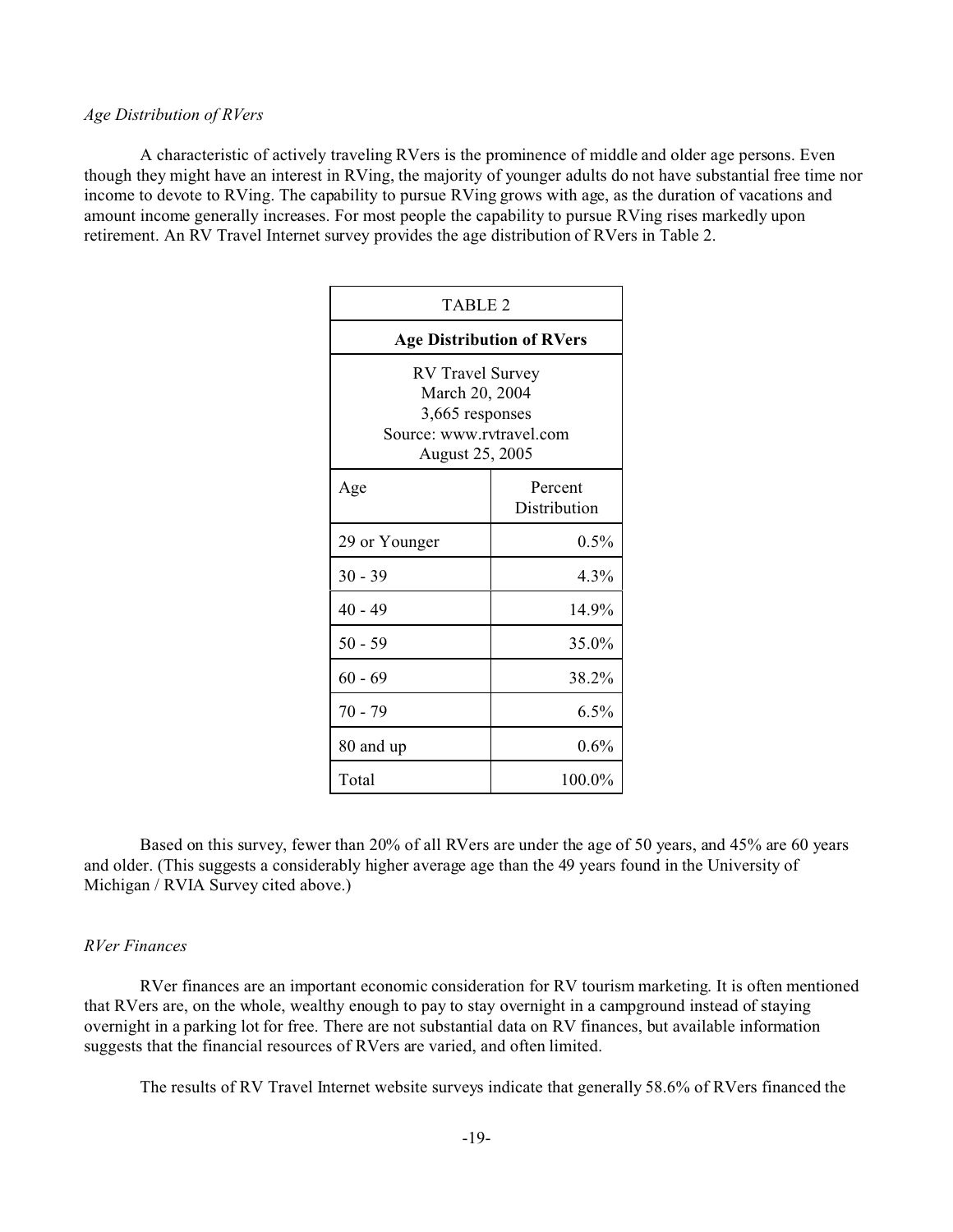#### *Age Distribution of RVers*

A characteristic of actively traveling RVers is the prominence of middle and older age persons. Even though they might have an interest in RVing, the majority of younger adults do not have substantial free time nor income to devote to RVing. The capability to pursue RVing grows with age, as the duration of vacations and amount income generally increases. For most people the capability to pursue RVing rises markedly upon retirement. An RV Travel Internet survey provides the age distribution of RVers in Table 2.

| TABLE <sub>2</sub>                                                                                                 |                                  |  |  |
|--------------------------------------------------------------------------------------------------------------------|----------------------------------|--|--|
|                                                                                                                    | <b>Age Distribution of RVers</b> |  |  |
| <b>RV Travel Survey</b><br>March 20, 2004<br>3,665 responses<br>Source: www.rytravel.com<br><b>August 25, 2005</b> |                                  |  |  |
| Age                                                                                                                | Percent<br>Distribution          |  |  |
| 29 or Younger                                                                                                      | $0.5\%$                          |  |  |
| $30 - 39$                                                                                                          | $4.3\%$                          |  |  |
| $40 - 49$                                                                                                          | 14.9%                            |  |  |
| $50 - 59$                                                                                                          | 35.0%                            |  |  |
| $60 - 69$                                                                                                          | 38.2%                            |  |  |
| $70 - 79$                                                                                                          | $6.5\%$                          |  |  |
| 80 and up                                                                                                          | $0.6\%$                          |  |  |
| Total                                                                                                              | $100.0\%$                        |  |  |

Based on this survey, fewer than 20% of all RVers are under the age of 50 years, and 45% are 60 years and older. (This suggests a considerably higher average age than the 49 years found in the University of Michigan / RVIA Survey cited above.)

### *RVer Finances*

RVer finances are an important economic consideration for RV tourism marketing. It is often mentioned that RVers are, on the whole, wealthy enough to pay to stay overnight in a campground instead of staying overnight in a parking lot for free. There are not substantial data on RV finances, but available information suggests that the financial resources of RVers are varied, and often limited.

The results of RV Travel Internet website surveys indicate that generally 58.6% of RVers financed the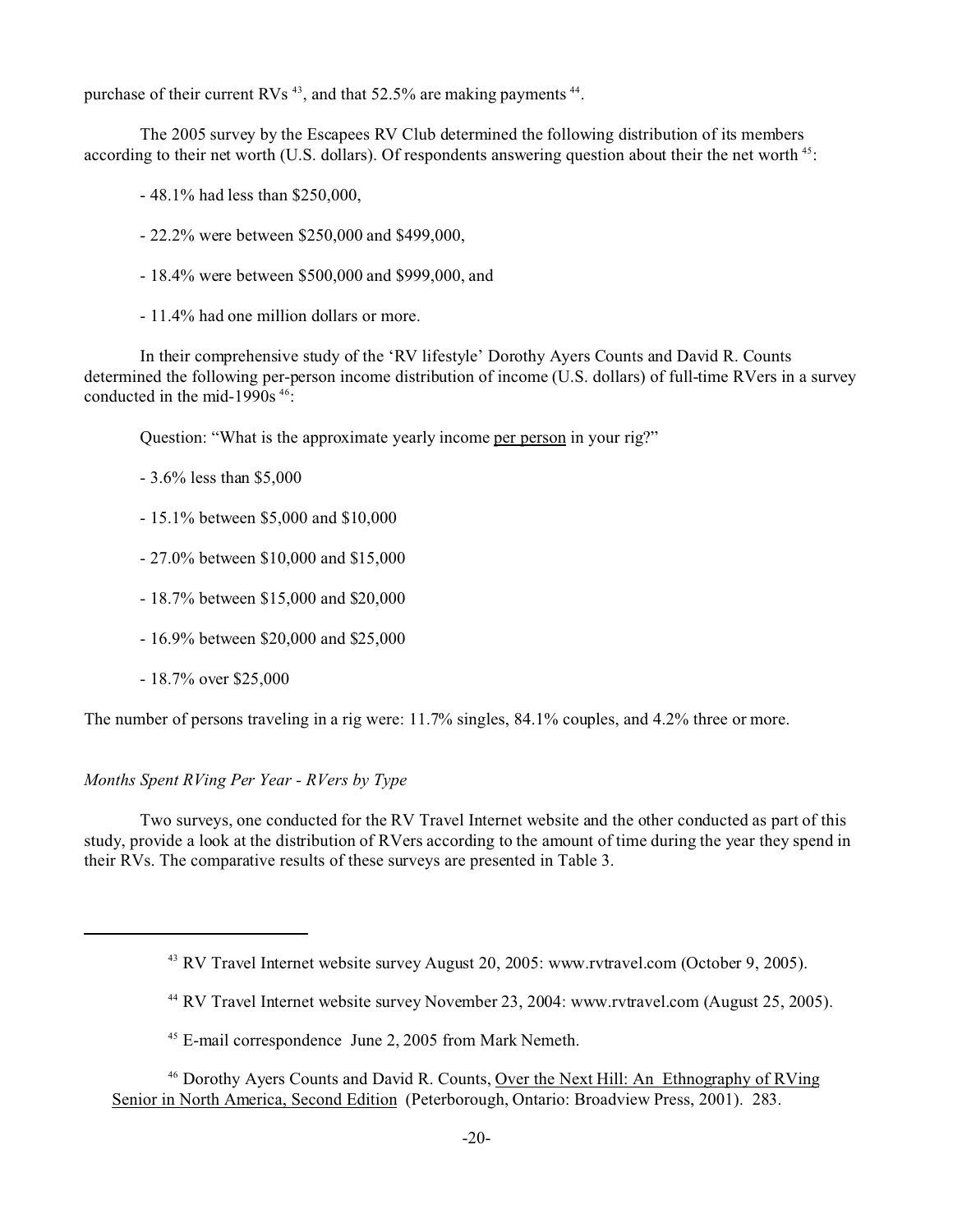purchase of their current RVs<sup>43</sup>, and that 52.5% are making payments<sup>44</sup>.

The 2005 survey by the Escapees RV Club determined the following distribution of its members according to their net worth (U.S. dollars). Of respondents answering question about their the net worth <sup>45</sup>:

- 48.1% had less than \$250,000,
- 22.2% were between \$250,000 and \$499,000,
- 18.4% were between \$500,000 and \$999,000, and
- 11.4% had one million dollars or more.

In their comprehensive study of the 'RV lifestyle' Dorothy Ayers Counts and David R. Counts determined the following per-person income distribution of income (U.S. dollars) of full-time RVers in a survey conducted in the mid-1990s  $46$ :

Question: "What is the approximate yearly income per person in your rig?"

- 3.6% less than \$5,000
- 15.1% between \$5,000 and \$10,000
- 27.0% between \$10,000 and \$15,000
- 18.7% between \$15,000 and \$20,000
- 16.9% between \$20,000 and \$25,000
- 18.7% over \$25,000

The number of persons traveling in a rig were: 11.7% singles, 84.1% couples, and 4.2% three or more.

## *Months Spent RVing Per Year - RVers by Type*

Two surveys, one conducted for the RV Travel Internet website and the other conducted as part of this study, provide a look at the distribution of RVers according to the amount of time during the year they spend in their RVs. The comparative results of these surveys are presented in Table 3.

- <sup>44</sup> RV Travel Internet website survey November 23, 2004: www.rvtravel.com (August 25, 2005).
- <sup>45</sup> E-mail correspondence June 2, 2005 from Mark Nemeth.
- <sup>46</sup> Dorothy Ayers Counts and David R. Counts, Over the Next Hill: An Ethnography of RVing Senior in North America, Second Edition (Peterborough, Ontario: Broadview Press, 2001). 283.

<sup>43</sup> RV Travel Internet website survey August 20, 2005: www.rvtravel.com (October 9, 2005).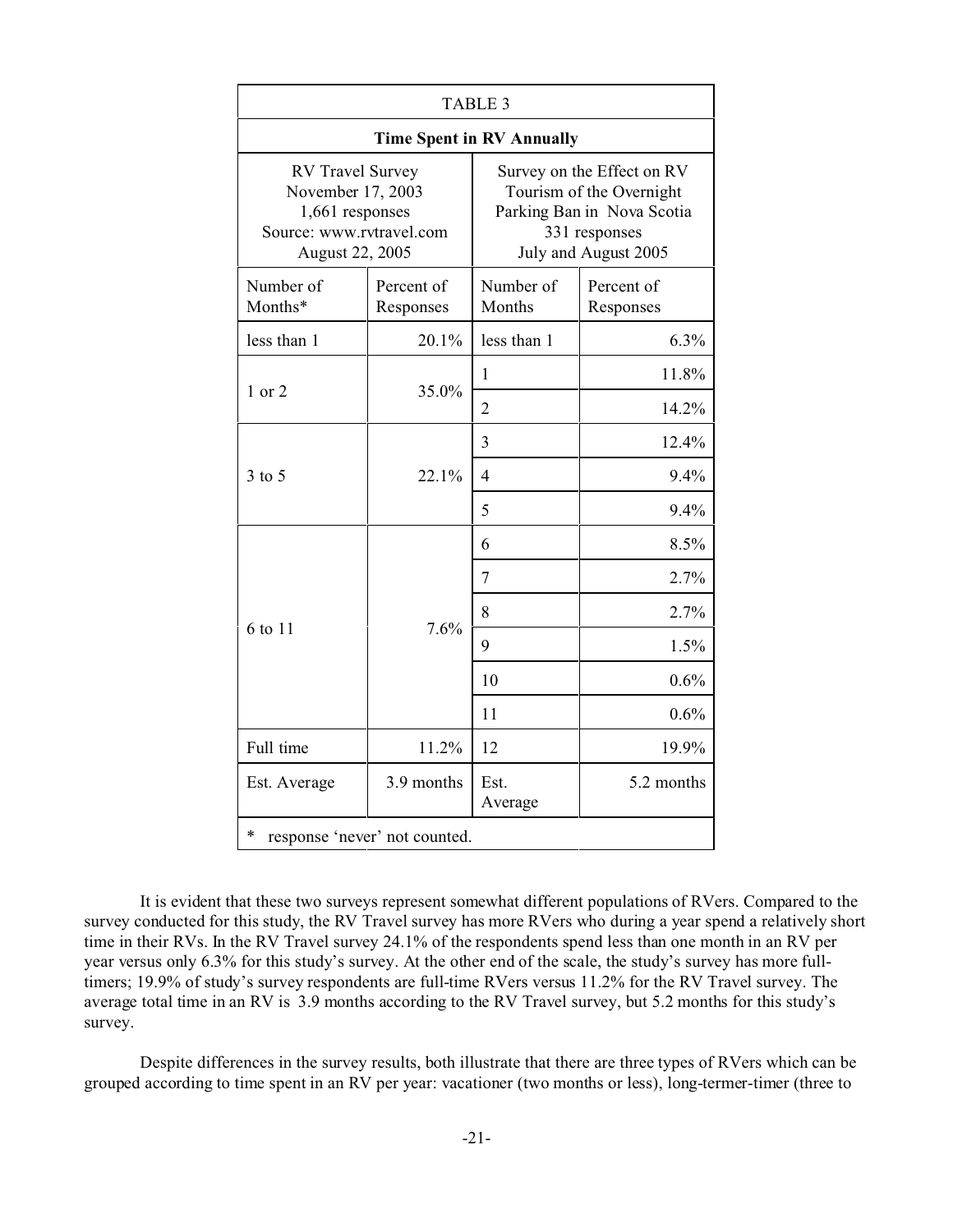| <b>TABLE 3</b>                                                                                                 |                         |                                                                                                                               |                         |  |
|----------------------------------------------------------------------------------------------------------------|-------------------------|-------------------------------------------------------------------------------------------------------------------------------|-------------------------|--|
|                                                                                                                |                         | <b>Time Spent in RV Annually</b>                                                                                              |                         |  |
| <b>RV</b> Travel Survey<br>November 17, 2003<br>1,661 responses<br>Source: www.rvtravel.com<br>August 22, 2005 |                         | Survey on the Effect on RV<br>Tourism of the Overnight<br>Parking Ban in Nova Scotia<br>331 responses<br>July and August 2005 |                         |  |
| Number of<br>Months*                                                                                           | Percent of<br>Responses | Number of<br>Months                                                                                                           | Percent of<br>Responses |  |
| less than 1                                                                                                    | 20.1%                   | less than 1                                                                                                                   | 6.3%                    |  |
|                                                                                                                |                         | $\mathbf{1}$                                                                                                                  | 11.8%                   |  |
| 1 or 2                                                                                                         | 35.0%                   | $\overline{2}$                                                                                                                | 14.2%                   |  |
|                                                                                                                |                         | 3                                                                                                                             | 12.4%                   |  |
| $3$ to $5$                                                                                                     | 22.1%                   | 4                                                                                                                             | 9.4%                    |  |
|                                                                                                                |                         | 5                                                                                                                             | 9.4%                    |  |
|                                                                                                                |                         | 6                                                                                                                             | 8.5%                    |  |
|                                                                                                                |                         | 7                                                                                                                             | 2.7%                    |  |
| 6 to 11                                                                                                        | 7.6%                    | 8                                                                                                                             | 2.7%                    |  |
|                                                                                                                |                         | 9                                                                                                                             | 1.5%                    |  |
|                                                                                                                |                         | 10                                                                                                                            | 0.6%                    |  |
|                                                                                                                |                         | 11                                                                                                                            | 0.6%                    |  |
| Full time                                                                                                      | 11.2%                   | 12                                                                                                                            | 19.9%                   |  |
| Est. Average                                                                                                   | 3.9 months              | Est.<br>Average                                                                                                               | 5.2 months              |  |
| *<br>response 'never' not counted.                                                                             |                         |                                                                                                                               |                         |  |

It is evident that these two surveys represent somewhat different populations of RVers. Compared to the survey conducted for this study, the RV Travel survey has more RVers who during a year spend a relatively short time in their RVs. In the RV Travel survey 24.1% of the respondents spend less than one month in an RV per year versus only 6.3% for this study's survey. At the other end of the scale, the study's survey has more fulltimers; 19.9% of study's survey respondents are full-time RVers versus 11.2% for the RV Travel survey. The average total time in an RV is 3.9 months according to the RV Travel survey, but 5.2 months for this study's survey.

Despite differences in the survey results, both illustrate that there are three types of RVers which can be grouped according to time spent in an RV per year: vacationer (two months or less), long-termer-timer (three to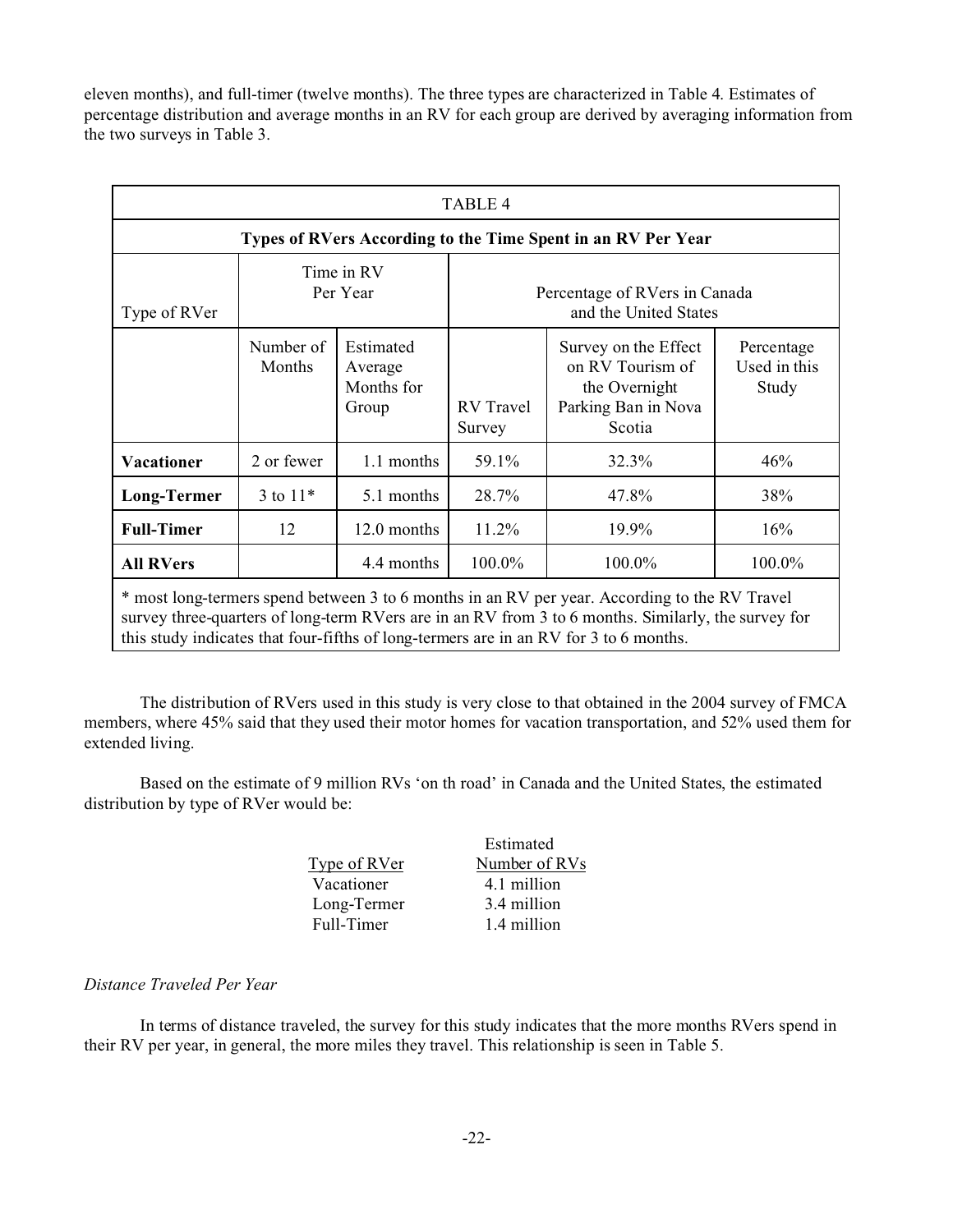eleven months), and full-timer (twelve months). The three types are characterized in Table 4. Estimates of percentage distribution and average months in an RV for each group are derived by averaging information from the two surveys in Table 3.

| <b>TABLE 4</b>    |                                                                                  |                                             |                            |                                                                                            |                                     |
|-------------------|----------------------------------------------------------------------------------|---------------------------------------------|----------------------------|--------------------------------------------------------------------------------------------|-------------------------------------|
|                   |                                                                                  |                                             |                            | Types of RVers According to the Time Spent in an RV Per Year                               |                                     |
| Type of RVer      | Time in RV<br>Per Year<br>Percentage of RVers in Canada<br>and the United States |                                             |                            |                                                                                            |                                     |
|                   | Number of<br><b>Months</b>                                                       | Estimated<br>Average<br>Months for<br>Group | <b>RV</b> Travel<br>Survey | Survey on the Effect<br>on RV Tourism of<br>the Overnight<br>Parking Ban in Nova<br>Scotia | Percentage<br>Used in this<br>Study |
| Vacationer        | 2 or fewer                                                                       | 1.1 months                                  | 59.1%                      | 32.3%                                                                                      | 46%                                 |
| Long-Termer       | $3$ to $11*$                                                                     | 5.1 months                                  | 28.7%                      | 47.8%                                                                                      | 38%                                 |
| <b>Full-Timer</b> | 12                                                                               | 12.0 months                                 | 11.2%                      | 19.9%                                                                                      | 16%                                 |
| <b>All RVers</b>  |                                                                                  | 4.4 months                                  | 100.0%                     | 100.0%                                                                                     | 100.0%                              |

\* most long-termers spend between 3 to 6 months in an RV per year. According to the RV Travel survey three-quarters of long-term RVers are in an RV from 3 to 6 months. Similarly, the survey for this study indicates that four-fifths of long-termers are in an RV for 3 to 6 months.

The distribution of RVers used in this study is very close to that obtained in the 2004 survey of FMCA members, where 45% said that they used their motor homes for vacation transportation, and 52% used them for extended living.

Based on the estimate of 9 million RVs 'on th road' in Canada and the United States, the estimated distribution by type of RVer would be:

|              | Estimated     |
|--------------|---------------|
| Type of RVer | Number of RVs |
| Vacationer   | 4.1 million   |
| Long-Termer  | 3.4 million   |
| Full-Timer   | 1.4 million   |

## *Distance Traveled Per Year*

In terms of distance traveled, the survey for this study indicates that the more months RVers spend in their RV per year, in general, the more miles they travel. This relationship is seen in Table 5.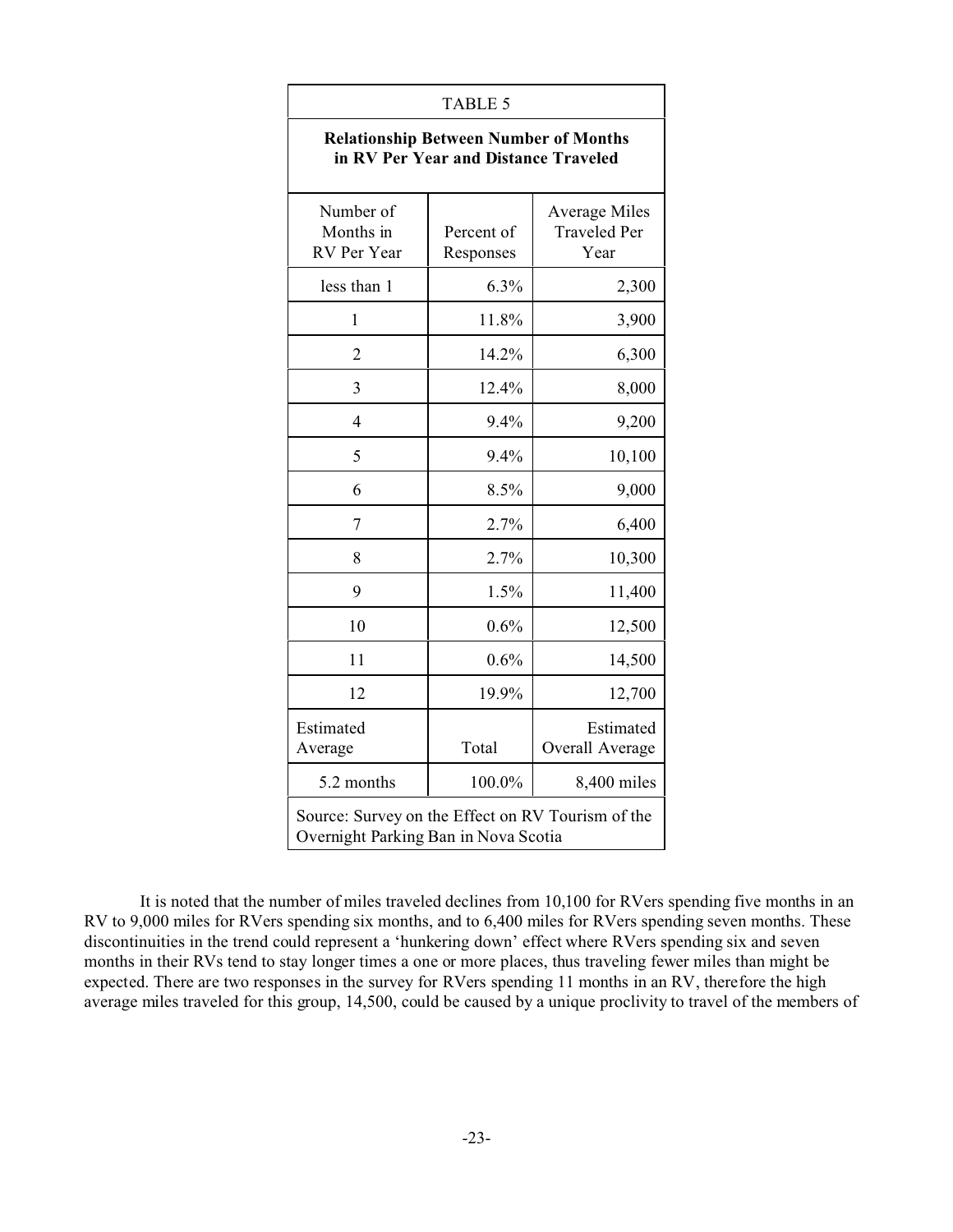| <b>TABLE 5</b>                                                                            |                                      |                                                     |  |
|-------------------------------------------------------------------------------------------|--------------------------------------|-----------------------------------------------------|--|
| <b>Relationship Between Number of Months</b>                                              | in RV Per Year and Distance Traveled |                                                     |  |
| Number of<br>Months in<br>RV Per Year                                                     | Percent of<br>Responses              | <b>Average Miles</b><br><b>Traveled Per</b><br>Year |  |
| less than 1                                                                               | 6.3%                                 | 2,300                                               |  |
| 1                                                                                         | 11.8%                                | 3,900                                               |  |
| $\overline{2}$                                                                            | 14.2%                                | 6,300                                               |  |
| 3                                                                                         | 12.4%                                | 8,000                                               |  |
| $\overline{4}$                                                                            | 9.4%                                 | 9,200                                               |  |
| 5                                                                                         | 9.4%                                 | 10,100                                              |  |
| 6                                                                                         | 8.5%                                 | 9,000                                               |  |
| 7                                                                                         | 2.7%                                 | 6,400                                               |  |
| 8                                                                                         | 2.7%                                 | 10,300                                              |  |
| 9                                                                                         | 1.5%                                 | 11,400                                              |  |
| 10                                                                                        | 0.6%                                 | 12,500                                              |  |
| 11                                                                                        | 0.6%                                 | 14,500                                              |  |
| 12                                                                                        | 19.9%                                | 12,700                                              |  |
| Estimated<br>Average                                                                      | Total                                | Estimated<br>Overall Average                        |  |
| 5.2 months                                                                                | 100.0%                               | 8,400 miles                                         |  |
| Source: Survey on the Effect on RV Tourism of the<br>Overnight Parking Ban in Nova Scotia |                                      |                                                     |  |

It is noted that the number of miles traveled declines from 10,100 for RVers spending five months in an RV to 9,000 miles for RVers spending six months, and to 6,400 miles for RVers spending seven months. These discontinuities in the trend could represent a 'hunkering down' effect where RVers spending six and seven months in their RVs tend to stay longer times a one or more places, thus traveling fewer miles than might be expected. There are two responses in the survey for RVers spending 11 months in an RV, therefore the high average miles traveled for this group, 14,500, could be caused by a unique proclivity to travel of the members of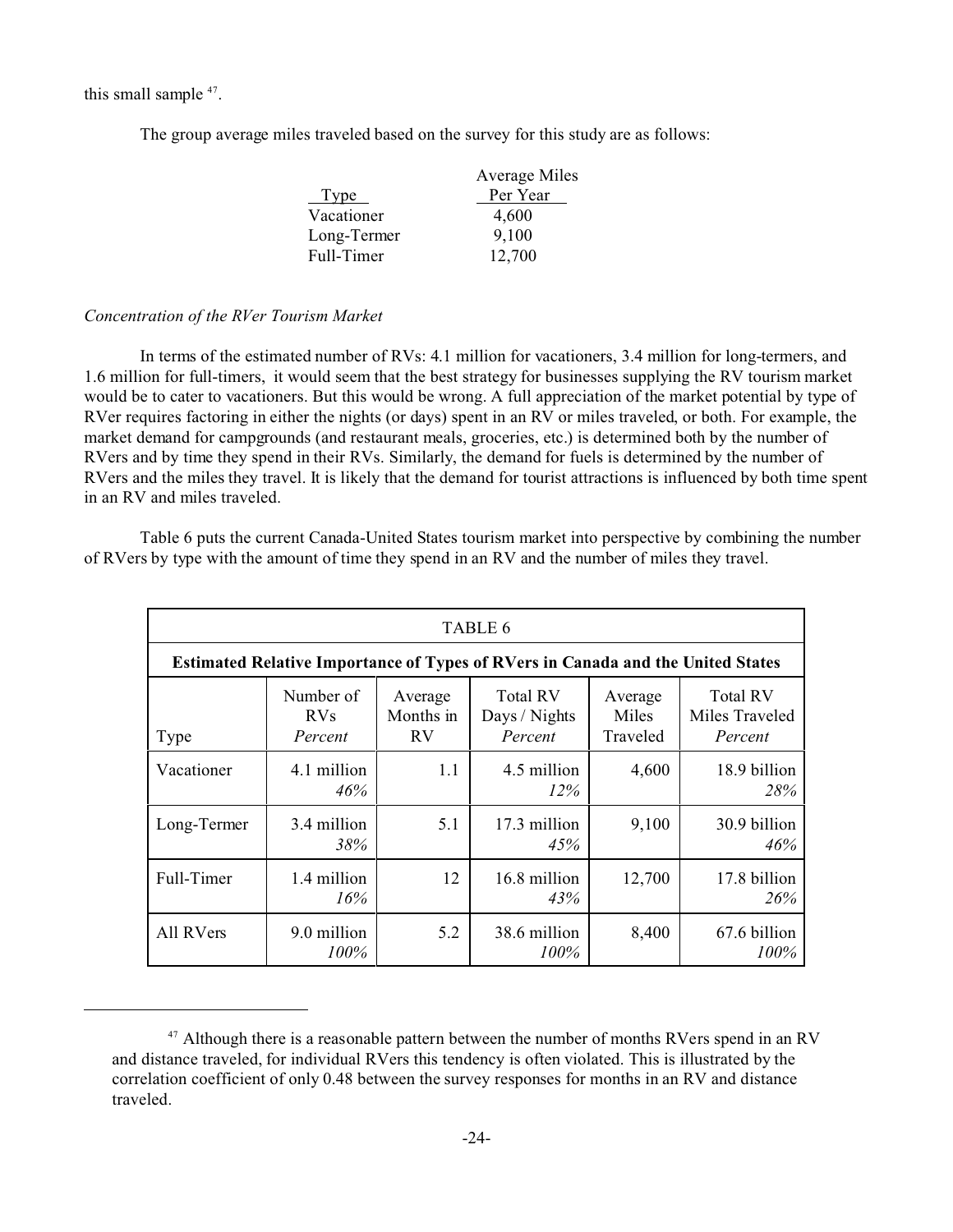this small sample  $47$ .

The group average miles traveled based on the survey for this study are as follows:

|             | <b>Average Miles</b> |
|-------------|----------------------|
| Type        | Per Year             |
| Vacationer  | 4,600                |
| Long-Termer | 9,100                |
| Full-Timer  | 12,700               |

#### *Concentration of the RVer Tourism Market*

In terms of the estimated number of RVs: 4.1 million for vacationers, 3.4 million for long-termers, and 1.6 million for full-timers, it would seem that the best strategy for businesses supplying the RV tourism market would be to cater to vacationers. But this would be wrong. A full appreciation of the market potential by type of RVer requires factoring in either the nights (or days) spent in an RV or miles traveled, or both. For example, the market demand for campgrounds (and restaurant meals, groceries, etc.) is determined both by the number of RVers and by time they spend in their RVs. Similarly, the demand for fuels is determined by the number of RVers and the miles they travel. It is likely that the demand for tourist attractions is influenced by both time spent in an RV and miles traveled.

Table 6 puts the current Canada-United States tourism market into perspective by combining the number of RVers by type with the amount of time they spend in an RV and the number of miles they travel.

| TABLE 6     |                                                                                        |                            |                                             |                              |                                              |  |
|-------------|----------------------------------------------------------------------------------------|----------------------------|---------------------------------------------|------------------------------|----------------------------------------------|--|
|             | <b>Estimated Relative Importance of Types of RVers in Canada and the United States</b> |                            |                                             |                              |                                              |  |
| Type        | Number of<br>RVs<br>Percent                                                            | Average<br>Months in<br>RV | <b>Total RV</b><br>Days / Nights<br>Percent | Average<br>Miles<br>Traveled | <b>Total RV</b><br>Miles Traveled<br>Percent |  |
| Vacationer  | 4.1 million<br>46%                                                                     | 1.1                        | 4.5 million<br>$12\%$                       | 4,600                        | 18.9 billion<br>28%                          |  |
| Long-Termer | 3.4 million<br>38%                                                                     | 5.1                        | 17.3 million<br>45%                         | 9,100                        | 30.9 billion<br>46%                          |  |
| Full-Timer  | 1.4 million<br>16%                                                                     | 12                         | 16.8 million<br>43%                         | 12,700                       | 17.8 billion<br>26%                          |  |
| All RVers   | 9.0 million<br>100%                                                                    | 5.2                        | 38.6 million<br>100%                        | 8,400                        | 67.6 billion<br>100%                         |  |

<sup>&</sup>lt;sup>47</sup> Although there is a reasonable pattern between the number of months RVers spend in an RV and distance traveled, for individual RVers this tendency is often violated. This is illustrated by the correlation coefficient of only 0.48 between the survey responses for months in an RV and distance traveled.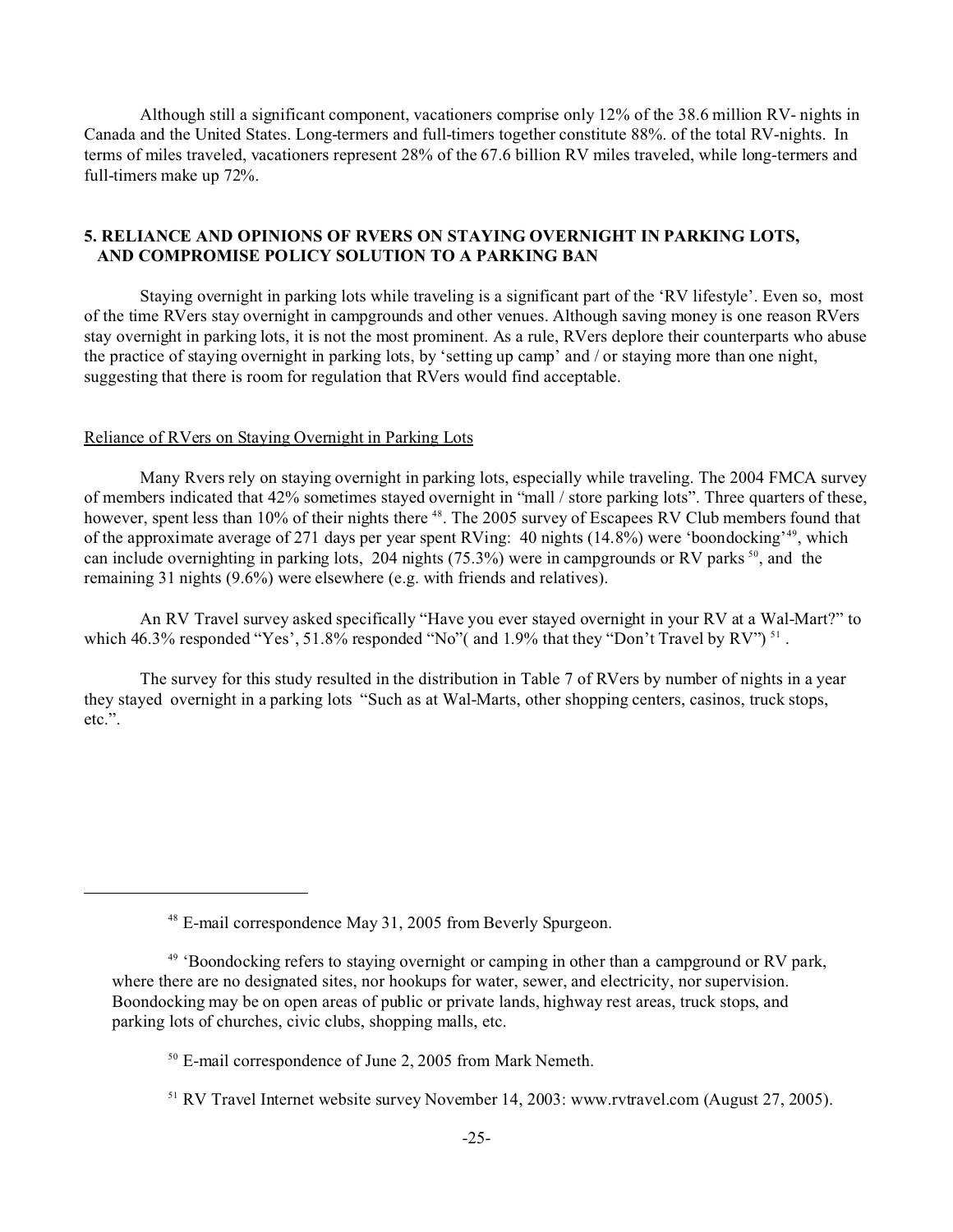Although still a significant component, vacationers comprise only 12% of the 38.6 million RV- nights in Canada and the United States. Long-termers and full-timers together constitute 88%. of the total RV-nights. In terms of miles traveled, vacationers represent 28% of the 67.6 billion RV miles traveled, while long-termers and full-timers make up 72%.

### **5. RELIANCE AND OPINIONS OF RVERS ON STAYING OVERNIGHT IN PARKING LOTS, AND COMPROMISE POLICY SOLUTION TO A PARKING BAN**

Staying overnight in parking lots while traveling is a significant part of the 'RV lifestyle'. Even so, most of the time RVers stay overnight in campgrounds and other venues. Although saving money is one reason RVers stay overnight in parking lots, it is not the most prominent. As a rule, RVers deplore their counterparts who abuse the practice of staying overnight in parking lots, by 'setting up camp' and / or staying more than one night, suggesting that there is room for regulation that RVers would find acceptable.

#### Reliance of RVers on Staying Overnight in Parking Lots

Many Rvers rely on staying overnight in parking lots, especially while traveling. The 2004 FMCA survey of members indicated that 42% sometimes stayed overnight in "mall / store parking lots". Three quarters of these, however, spent less than 10% of their nights there <sup>48</sup>. The 2005 survey of Escapees RV Club members found that of the approximate average of 271 days per year spent RVing: 40 nights (14.8%) were 'boondocking'<sup>49</sup>, which can include overnighting in parking lots, 204 nights  $(75.3%)$  were in campgrounds or RV parks <sup>50</sup>, and the remaining 31 nights (9.6%) were elsewhere (e.g. with friends and relatives).

An RV Travel survey asked specifically "Have you ever stayed overnight in your RV at a Wal-Mart?" to which 46.3% responded "Yes', 51.8% responded "No" (and 1.9% that they "Don't Travel by RV")  $^{51}$ .

The survey for this study resulted in the distribution in Table 7 of RVers by number of nights in a year they stayed overnight in a parking lots "Such as at Wal-Marts, other shopping centers, casinos, truck stops, etc.".

<sup>48</sup> E-mail correspondence May 31, 2005 from Beverly Spurgeon.

 $49$  'Boondocking refers to staying overnight or camping in other than a campground or RV park, where there are no designated sites, nor hookups for water, sewer, and electricity, nor supervision. Boondocking may be on open areas of public or private lands, highway rest areas, truck stops, and parking lots of churches, civic clubs, shopping malls, etc.

<sup>&</sup>lt;sup>50</sup> E-mail correspondence of June 2, 2005 from Mark Nemeth.

<sup>51</sup> RV Travel Internet website survey November 14, 2003: www.rvtravel.com (August 27, 2005).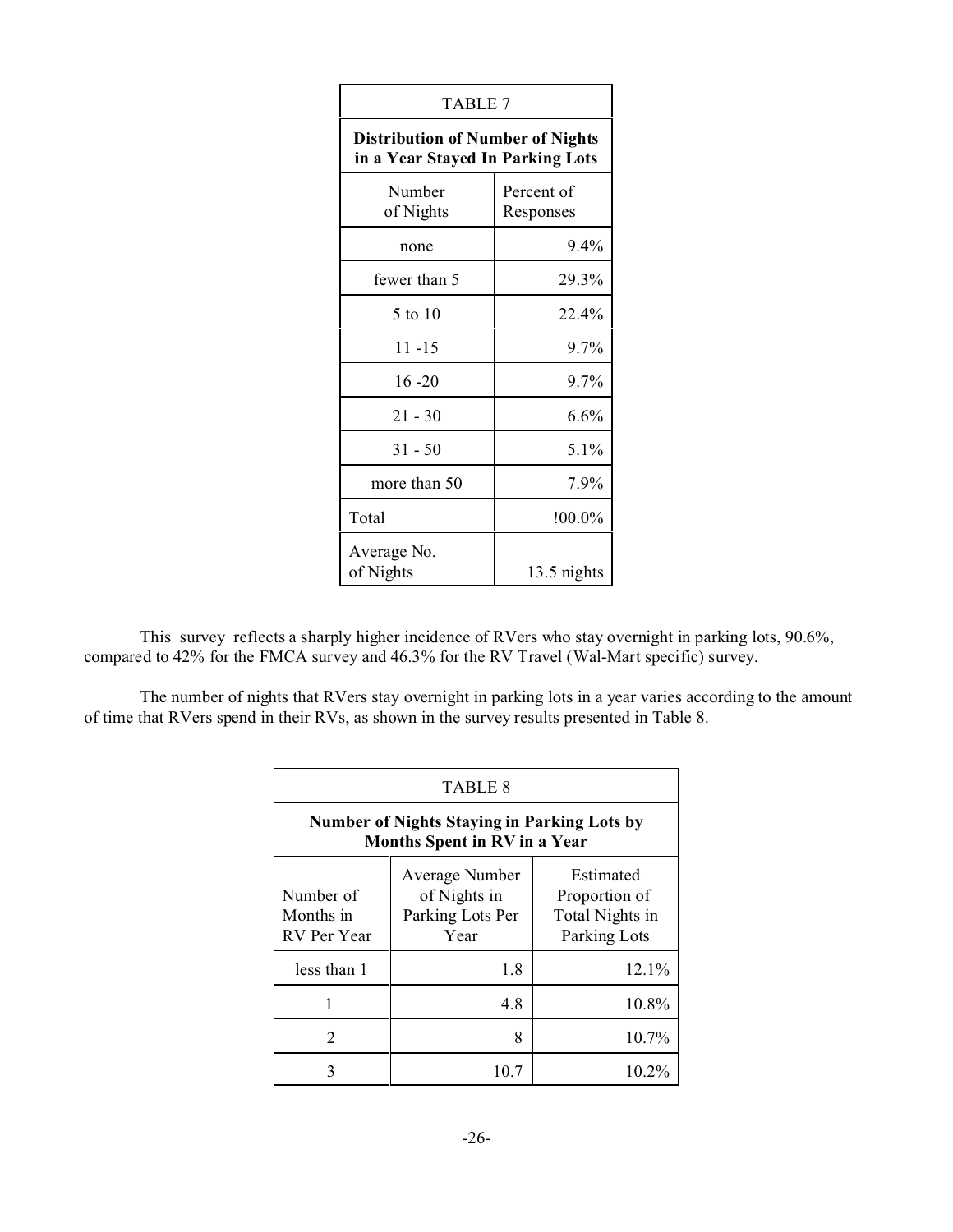| <b>TABLE 7</b>                                                              |                         |  |  |
|-----------------------------------------------------------------------------|-------------------------|--|--|
| <b>Distribution of Number of Nights</b><br>in a Year Stayed In Parking Lots |                         |  |  |
| Number<br>of Nights                                                         | Percent of<br>Responses |  |  |
| none                                                                        | $9.4\%$                 |  |  |
| fewer than 5                                                                | 29.3%                   |  |  |
| 5 to 10                                                                     | 22.4%                   |  |  |
| 11 -15                                                                      | 9.7%                    |  |  |
| $16 - 20$                                                                   | 9.7%                    |  |  |
| $21 - 30$                                                                   | 6.6%                    |  |  |
| $31 - 50$                                                                   | 5.1%                    |  |  |
| more than 50                                                                | 7.9%                    |  |  |
| Total                                                                       | $!00.0\%$               |  |  |
| Average No.<br>of Nights                                                    | 13.5 nights             |  |  |

This survey reflects a sharply higher incidence of RVers who stay overnight in parking lots, 90.6%, compared to 42% for the FMCA survey and 46.3% for the RV Travel (Wal-Mart specific) survey.

The number of nights that RVers stay overnight in parking lots in a year varies according to the amount of time that RVers spend in their RVs, as shown in the survey results presented in Table 8.

| <b>TABLE 8</b>                                                                     |                                                            |                                                               |  |  |
|------------------------------------------------------------------------------------|------------------------------------------------------------|---------------------------------------------------------------|--|--|
| <b>Number of Nights Staying in Parking Lots by</b><br>Months Spent in RV in a Year |                                                            |                                                               |  |  |
| Number of<br>Months in<br>RV Per Year                                              | Average Number<br>of Nights in<br>Parking Lots Per<br>Year | Estimated<br>Proportion of<br>Total Nights in<br>Parking Lots |  |  |
| less than 1                                                                        | 1.8                                                        | $12.1\%$                                                      |  |  |
|                                                                                    | 4.8                                                        | 10.8%                                                         |  |  |
| 2                                                                                  | 8                                                          | 10.7%                                                         |  |  |
|                                                                                    | 10.7                                                       | $10.2\%$                                                      |  |  |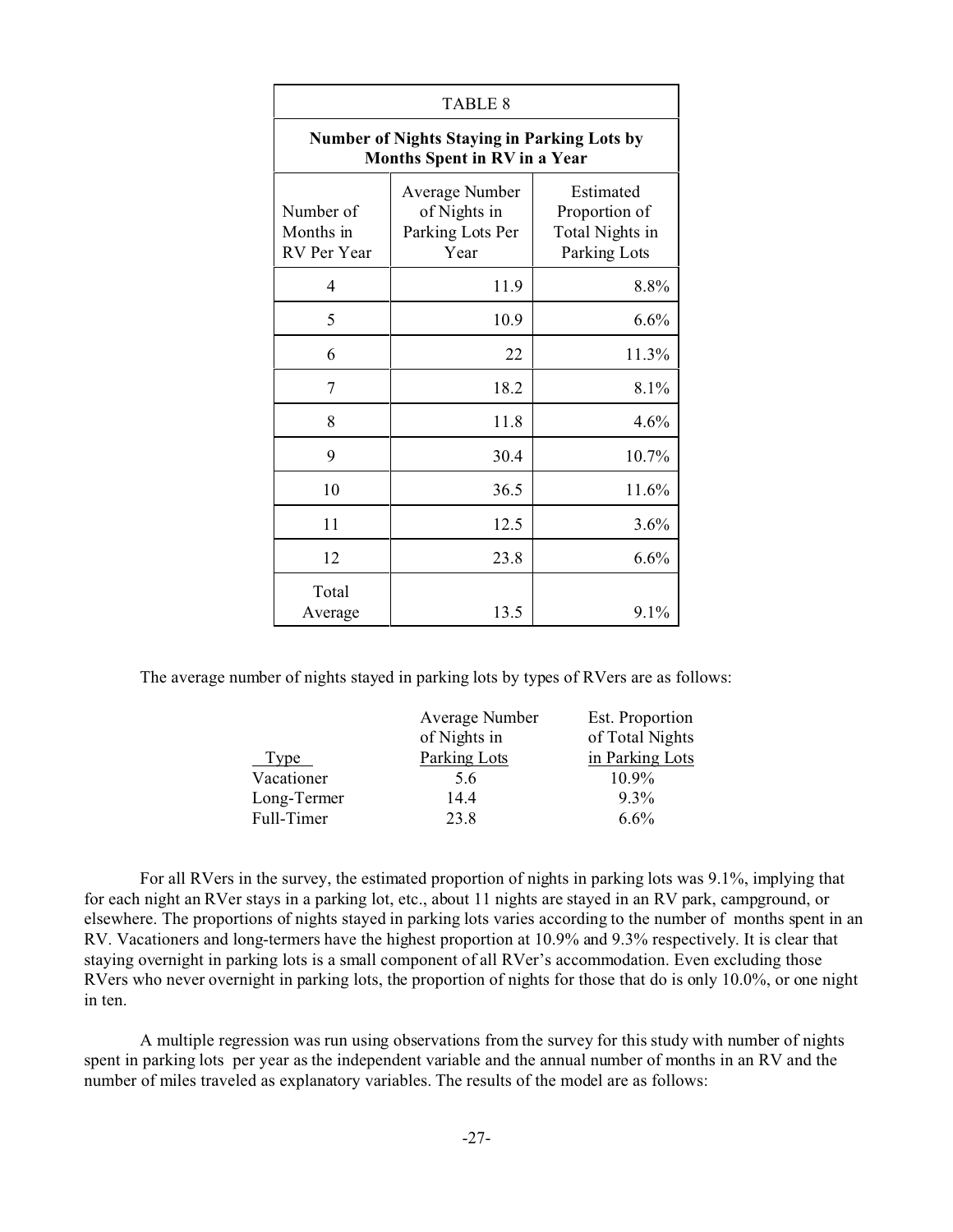| <b>TABLE 8</b>                                                                     |                                                            |                                                               |  |  |
|------------------------------------------------------------------------------------|------------------------------------------------------------|---------------------------------------------------------------|--|--|
| <b>Number of Nights Staying in Parking Lots by</b><br>Months Spent in RV in a Year |                                                            |                                                               |  |  |
| Number of<br>Months in<br>RV Per Year                                              | Average Number<br>of Nights in<br>Parking Lots Per<br>Year | Estimated<br>Proportion of<br>Total Nights in<br>Parking Lots |  |  |
| 4                                                                                  | 11.9                                                       | 8.8%                                                          |  |  |
| 5                                                                                  | 10.9                                                       | 6.6%                                                          |  |  |
| 6                                                                                  | 22                                                         | 11.3%                                                         |  |  |
| 7                                                                                  | 18.2                                                       | 8.1%                                                          |  |  |
| 8                                                                                  | 11.8                                                       | 4.6%                                                          |  |  |
| 9                                                                                  | 30.4                                                       | 10.7%                                                         |  |  |
| 10                                                                                 | 36.5                                                       | 11.6%                                                         |  |  |
| 11                                                                                 | 12.5                                                       | 3.6%                                                          |  |  |
| 12                                                                                 | 23.8                                                       | 6.6%                                                          |  |  |
| Total<br>Average                                                                   | 13.5                                                       | 9.1%                                                          |  |  |

The average number of nights stayed in parking lots by types of RVers are as follows:

| Average Number | Est. Proportion |
|----------------|-----------------|
| of Nights in   | of Total Nights |
| Parking Lots   | in Parking Lots |
| 5.6            | $10.9\%$        |
| 14.4           | $9.3\%$         |
| 23.8           | $6.6\%$         |
|                |                 |

For all RVers in the survey, the estimated proportion of nights in parking lots was 9.1%, implying that for each night an RVer stays in a parking lot, etc., about 11 nights are stayed in an RV park, campground, or elsewhere. The proportions of nights stayed in parking lots varies according to the number of months spent in an RV. Vacationers and long-termers have the highest proportion at 10.9% and 9.3% respectively. It is clear that staying overnight in parking lots is a small component of all RVer's accommodation. Even excluding those RVers who never overnight in parking lots, the proportion of nights for those that do is only 10.0%, or one night in ten.

A multiple regression was run using observations from the survey for this study with number of nights spent in parking lots per year as the independent variable and the annual number of months in an RV and the number of miles traveled as explanatory variables. The results of the model are as follows: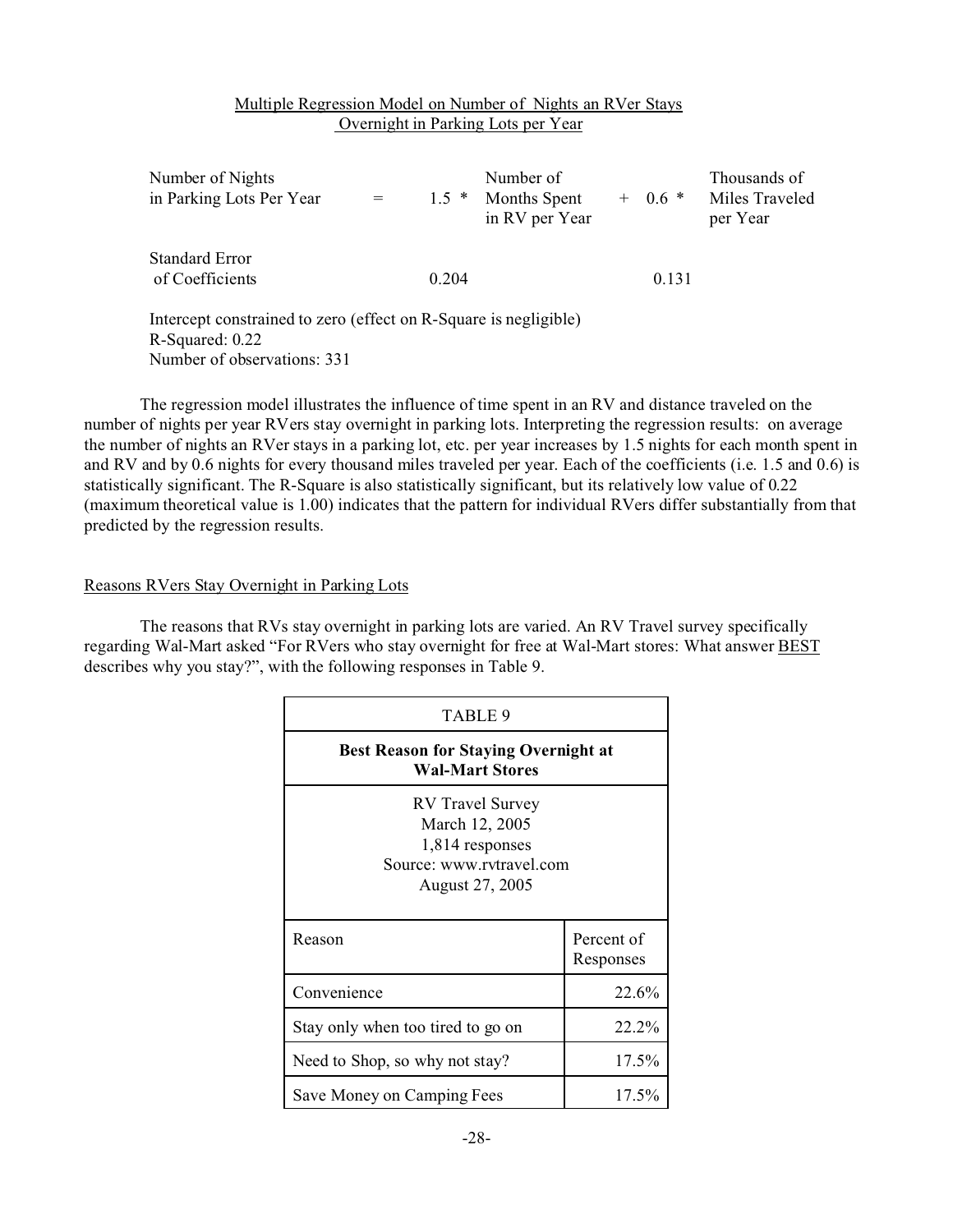### Multiple Regression Model on Number of Nights an RVer Stays Overnight in Parking Lots per Year

| Number of Nights<br>in Parking Lots Per Year                                                                       | $=$ | $1.5 *$ | Number of<br>Months Spent<br>in RV per Year | $+$ 0.6 $*$ | Thousands of<br>Miles Traveled<br>per Year |
|--------------------------------------------------------------------------------------------------------------------|-----|---------|---------------------------------------------|-------------|--------------------------------------------|
| <b>Standard Error</b><br>of Coefficients                                                                           |     | 0.204   |                                             | 0.131       |                                            |
| Intercept constrained to zero (effect on R-Square is negligible)<br>R-Squared: 0.22<br>Number of observations: 331 |     |         |                                             |             |                                            |

The regression model illustrates the influence of time spent in an RV and distance traveled on the number of nights per year RVers stay overnight in parking lots. Interpreting the regression results: on average the number of nights an RVer stays in a parking lot, etc. per year increases by 1.5 nights for each month spent in and RV and by 0.6 nights for every thousand miles traveled per year. Each of the coefficients (i.e. 1.5 and 0.6) is statistically significant. The R-Square is also statistically significant, but its relatively low value of 0.22 (maximum theoretical value is 1.00) indicates that the pattern for individual RVers differ substantially from that predicted by the regression results.

### Reasons RVers Stay Overnight in Parking Lots

The reasons that RVs stay overnight in parking lots are varied. An RV Travel survey specifically regarding Wal-Mart asked "For RVers who stay overnight for free at Wal-Mart stores: What answer **BEST** describes why you stay?", with the following responses in Table 9.

| TABLE 9                                                                                              |                         |
|------------------------------------------------------------------------------------------------------|-------------------------|
| <b>Best Reason for Staying Overnight at</b><br><b>Wal-Mart Stores</b>                                |                         |
| RV Travel Survey<br>March 12, 2005<br>1,814 responses<br>Source: www.rytravel.com<br>August 27, 2005 |                         |
| Reason                                                                                               | Percent of<br>Responses |
| Convenience                                                                                          | 22.6%                   |
| Stay only when too tired to go on                                                                    | $22.2\%$                |
| Need to Shop, so why not stay?                                                                       | 17.5%                   |
| Save Money on Camping Fees                                                                           | 17.5%                   |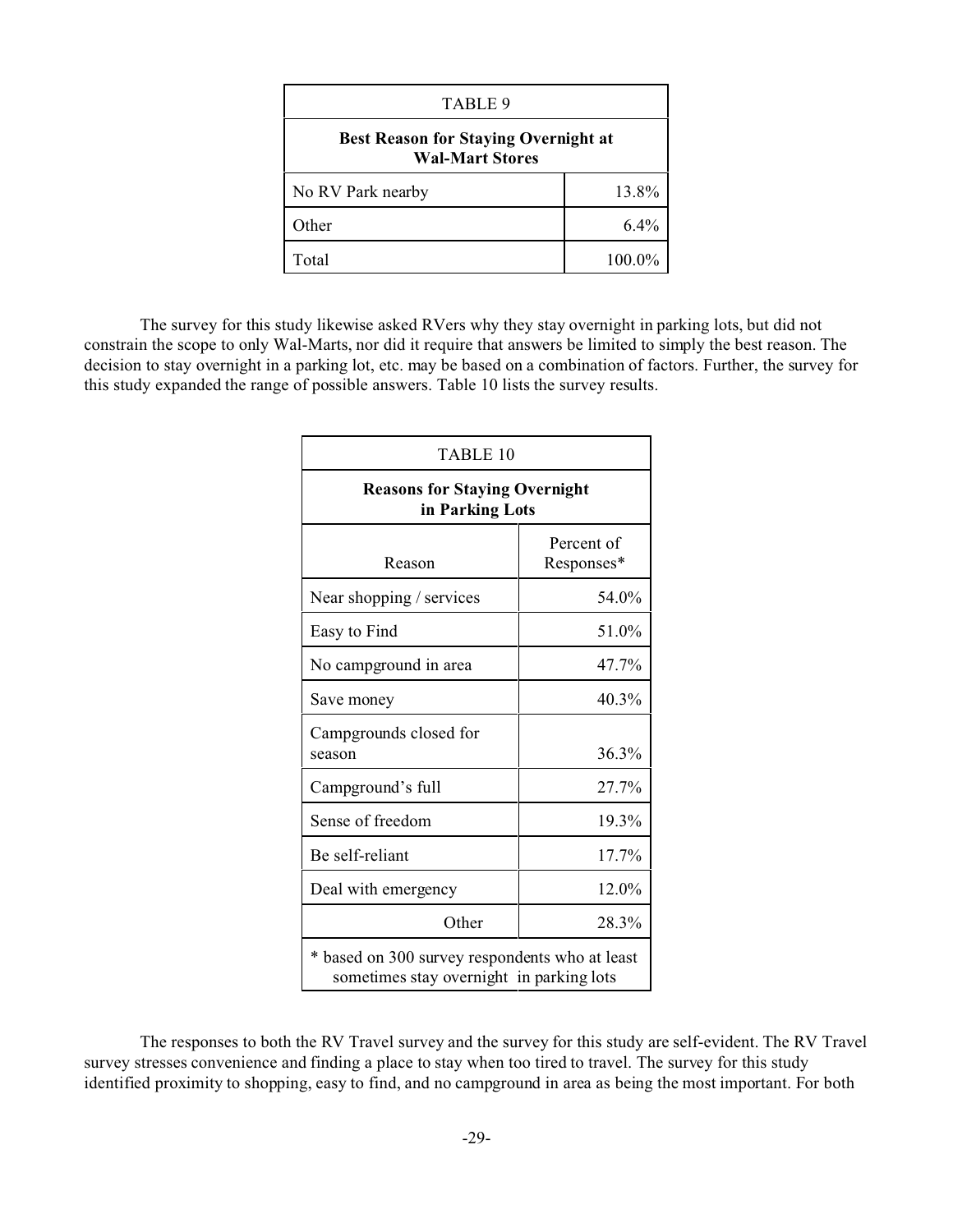| TABLE 9                                                               |        |  |
|-----------------------------------------------------------------------|--------|--|
| <b>Best Reason for Staying Overnight at</b><br><b>Wal-Mart Stores</b> |        |  |
| No RV Park nearby                                                     | 13.8%  |  |
| Other                                                                 | 6.4%   |  |
| Total                                                                 | 100.0% |  |

The survey for this study likewise asked RVers why they stay overnight in parking lots, but did not constrain the scope to only Wal-Marts, nor did it require that answers be limited to simply the best reason. The decision to stay overnight in a parking lot, etc. may be based on a combination of factors. Further, the survey for this study expanded the range of possible answers. Table 10 lists the survey results.

| TABLE 10                                                                                   |                          |  |  |
|--------------------------------------------------------------------------------------------|--------------------------|--|--|
| <b>Reasons for Staying Overnight</b><br>in Parking Lots                                    |                          |  |  |
| Reason                                                                                     | Percent of<br>Responses* |  |  |
| Near shopping / services                                                                   | 54.0%                    |  |  |
| Easy to Find                                                                               | 51.0%                    |  |  |
| No campground in area                                                                      | 47.7%                    |  |  |
| Save money                                                                                 | 40.3%                    |  |  |
| Campgrounds closed for<br>season                                                           | 36.3%                    |  |  |
| Campground's full                                                                          | 27.7%                    |  |  |
| Sense of freedom                                                                           | 19.3%                    |  |  |
| Be self-reliant                                                                            | 17.7%                    |  |  |
| Deal with emergency                                                                        | 12.0%                    |  |  |
| Other                                                                                      | 28.3%                    |  |  |
| * based on 300 survey respondents who at least<br>sometimes stay overnight in parking lots |                          |  |  |

The responses to both the RV Travel survey and the survey for this study are self-evident. The RV Travel survey stresses convenience and finding a place to stay when too tired to travel. The survey for this study identified proximity to shopping, easy to find, and no campground in area as being the most important. For both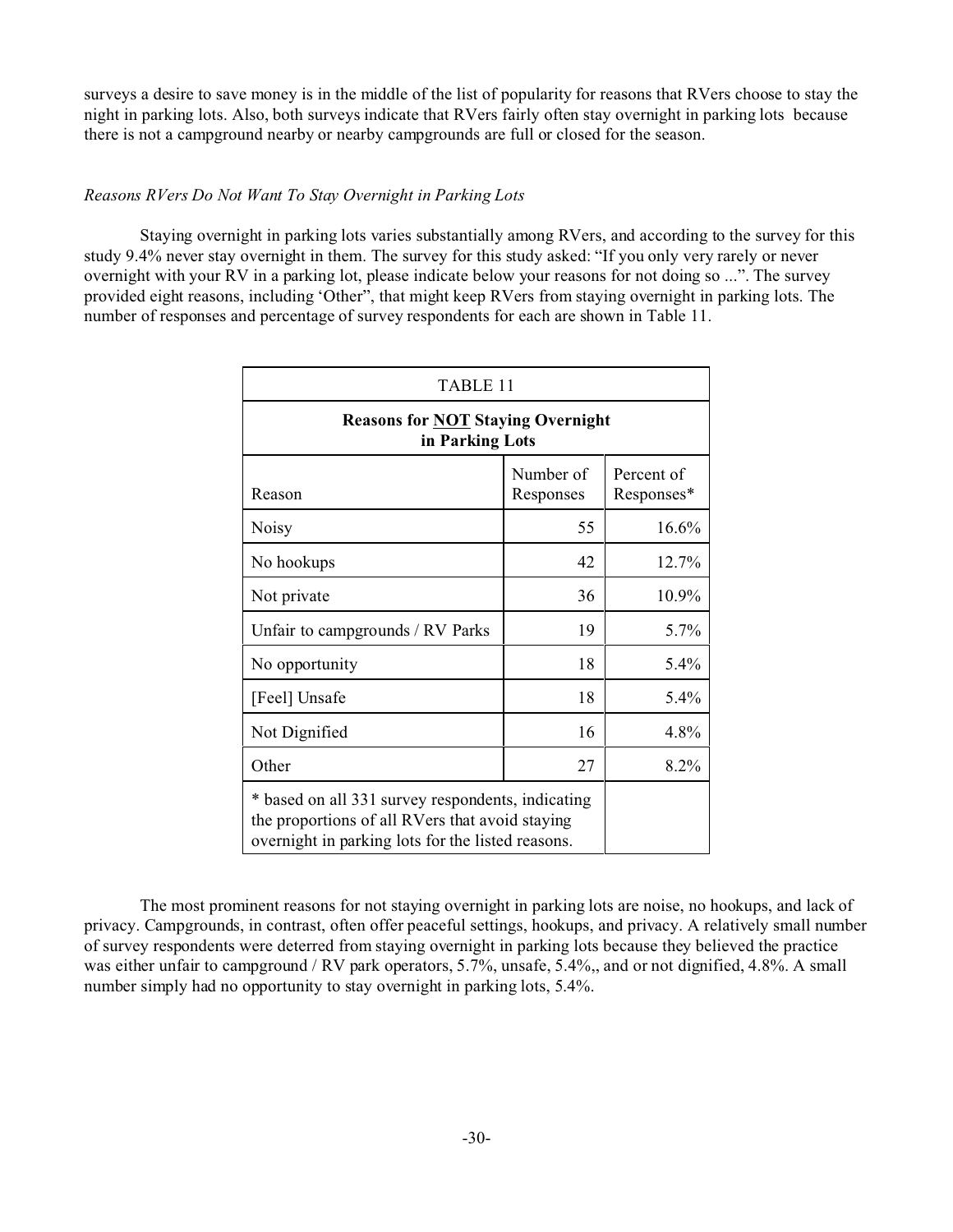surveys a desire to save money is in the middle of the list of popularity for reasons that RVers choose to stay the night in parking lots. Also, both surveys indicate that RVers fairly often stay overnight in parking lots because there is not a campground nearby or nearby campgrounds are full or closed for the season.

### *Reasons RVers Do Not Want To Stay Overnight in Parking Lots*

Staying overnight in parking lots varies substantially among RVers, and according to the survey for this study 9.4% never stay overnight in them. The survey for this study asked: "If you only very rarely or never overnight with your RV in a parking lot, please indicate below your reasons for not doing so ...". The survey provided eight reasons, including 'Other", that might keep RVers from staying overnight in parking lots. The number of responses and percentage of survey respondents for each are shown in Table 11.

| TABLE 11                                                                                                                                                  |                          |         |  |
|-----------------------------------------------------------------------------------------------------------------------------------------------------------|--------------------------|---------|--|
| <b>Reasons for NOT Staying Overnight</b><br>in Parking Lots                                                                                               |                          |         |  |
| Reason                                                                                                                                                    | Percent of<br>Responses* |         |  |
| <b>Noisy</b>                                                                                                                                              | 55                       | 16.6%   |  |
| No hookups                                                                                                                                                | 42                       | 12.7%   |  |
| Not private                                                                                                                                               | 36                       | 10.9%   |  |
| Unfair to campgrounds / RV Parks                                                                                                                          | 19                       | 5.7%    |  |
| No opportunity                                                                                                                                            | 18                       | 5.4%    |  |
| [Feel] Unsafe                                                                                                                                             | 18                       | $5.4\%$ |  |
| Not Dignified                                                                                                                                             | 4.8%                     |         |  |
| Other                                                                                                                                                     | 8.2%                     |         |  |
| * based on all 331 survey respondents, indicating<br>the proportions of all RVers that avoid staying<br>overnight in parking lots for the listed reasons. |                          |         |  |

The most prominent reasons for not staying overnight in parking lots are noise, no hookups, and lack of privacy. Campgrounds, in contrast, often offer peaceful settings, hookups, and privacy. A relatively small number of survey respondents were deterred from staying overnight in parking lots because they believed the practice was either unfair to campground / RV park operators, 5.7%, unsafe, 5.4%,, and or not dignified, 4.8%. A small number simply had no opportunity to stay overnight in parking lots, 5.4%.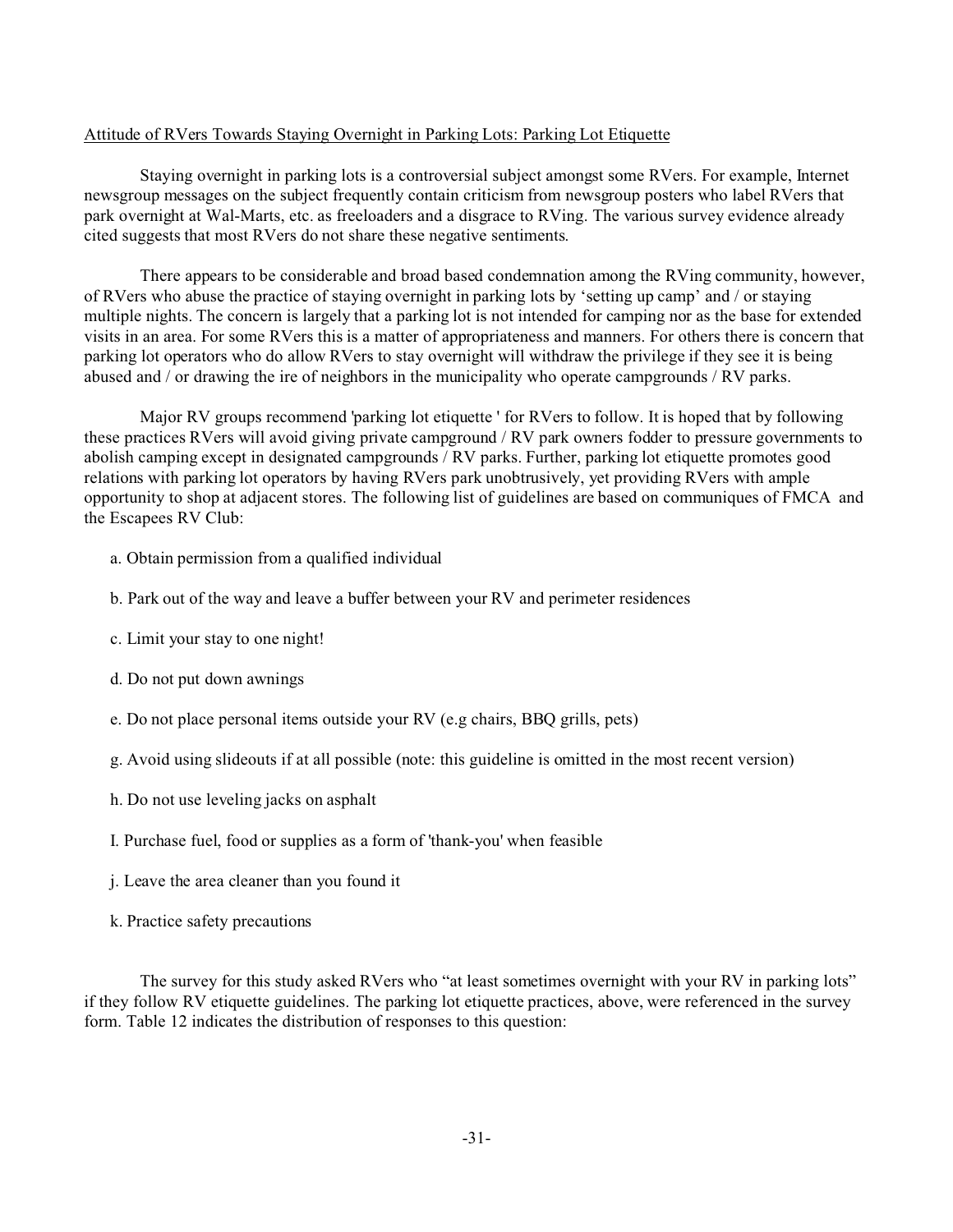### Attitude of RVers Towards Staying Overnight in Parking Lots: Parking Lot Etiquette

Staying overnight in parking lots is a controversial subject amongst some RVers. For example, Internet newsgroup messages on the subject frequently contain criticism from newsgroup posters who label RVers that park overnight at Wal-Marts, etc. as freeloaders and a disgrace to RVing. The various survey evidence already cited suggests that most RVers do not share these negative sentiments.

There appears to be considerable and broad based condemnation among the RVing community, however, of RVers who abuse the practice of staying overnight in parking lots by 'setting up camp' and / or staying multiple nights. The concern is largely that a parking lot is not intended for camping nor as the base for extended visits in an area. For some RVers this is a matter of appropriateness and manners. For others there is concern that parking lot operators who do allow RVers to stay overnight will withdraw the privilege if they see it is being abused and / or drawing the ire of neighbors in the municipality who operate campgrounds / RV parks.

Major RV groups recommend 'parking lot etiquette ' for RVers to follow. It is hoped that by following these practices RVers will avoid giving private campground / RV park owners fodder to pressure governments to abolish camping except in designated campgrounds / RV parks. Further, parking lot etiquette promotes good relations with parking lot operators by having RVers park unobtrusively, yet providing RVers with ample opportunity to shop at adjacent stores. The following list of guidelines are based on communiques of FMCA and the Escapees RV Club:

- a. Obtain permission from a qualified individual
- b. Park out of the way and leave a buffer between your RV and perimeter residences
- c. Limit your stay to one night!
- d. Do not put down awnings
- e. Do not place personal items outside your RV (e.g chairs, BBQ grills, pets)
- g. Avoid using slideouts if at all possible (note: this guideline is omitted in the most recent version)
- h. Do not use leveling jacks on asphalt
- I. Purchase fuel, food or supplies as a form of 'thank-you' when feasible
- j. Leave the area cleaner than you found it
- k. Practice safety precautions

The survey for this study asked RVers who "at least sometimes overnight with your RV in parking lots" if they follow RV etiquette guidelines. The parking lot etiquette practices, above, were referenced in the survey form. Table 12 indicates the distribution of responses to this question: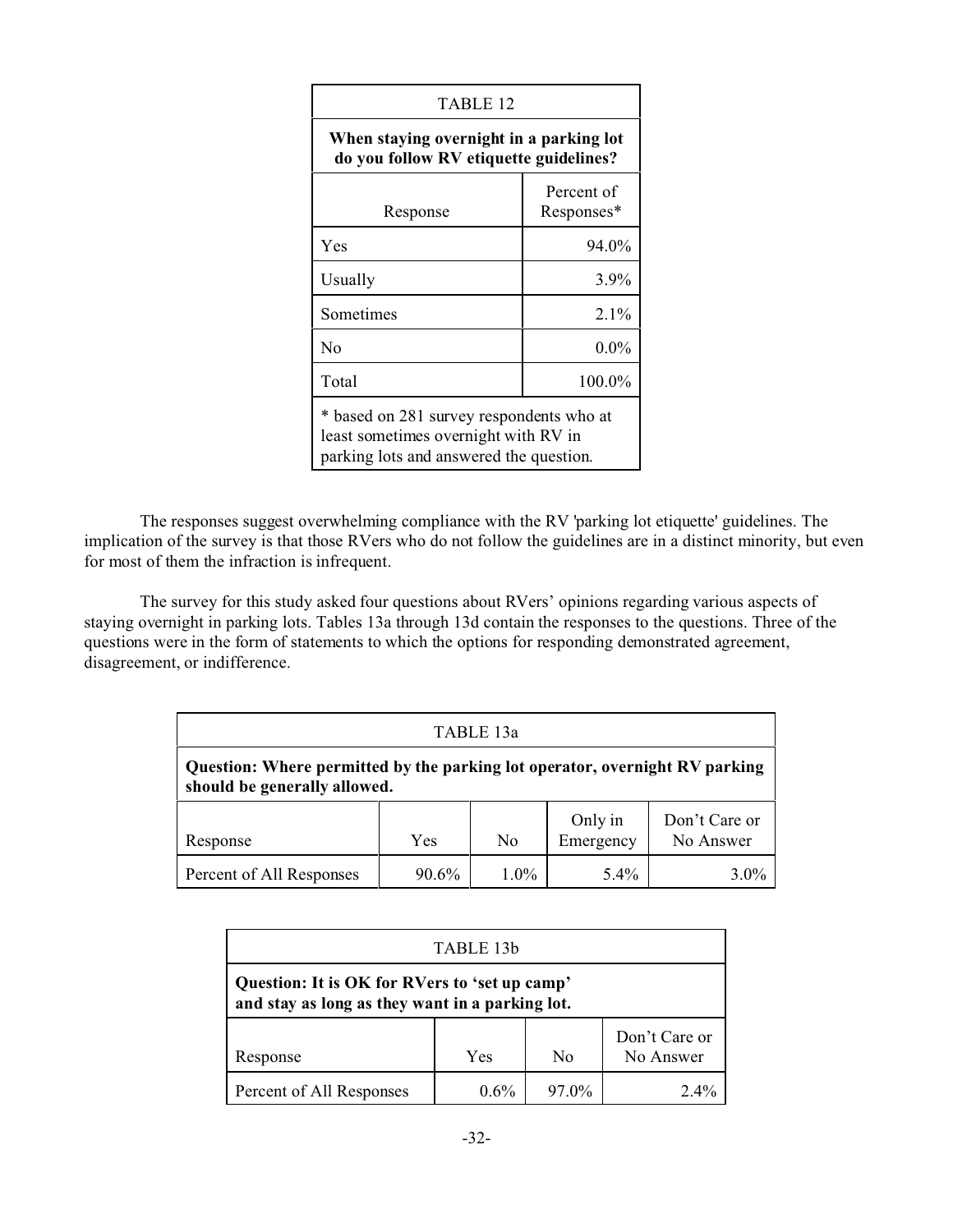| TABLE 12                                                                                                                    |                          |  |  |
|-----------------------------------------------------------------------------------------------------------------------------|--------------------------|--|--|
| When staying overnight in a parking lot<br>do you follow RV etiquette guidelines?                                           |                          |  |  |
| Response                                                                                                                    | Percent of<br>Responses* |  |  |
| Yes                                                                                                                         | 94.0%                    |  |  |
| Usually                                                                                                                     | $3.9\%$                  |  |  |
| Sometimes                                                                                                                   | $2.1\%$                  |  |  |
| No                                                                                                                          | $0.0\%$                  |  |  |
| Total                                                                                                                       | 100.0%                   |  |  |
| * based on 281 survey respondents who at<br>least sometimes overnight with RV in<br>parking lots and answered the question. |                          |  |  |

The responses suggest overwhelming compliance with the RV 'parking lot etiquette' guidelines. The implication of the survey is that those RVers who do not follow the guidelines are in a distinct minority, but even for most of them the infraction is infrequent.

The survey for this study asked four questions about RVers' opinions regarding various aspects of staying overnight in parking lots. Tables 13a through 13d contain the responses to the questions. Three of the questions were in the form of statements to which the options for responding demonstrated agreement, disagreement, or indifference.

| TABLE 13a                                                                                                   |       |                |                      |                            |
|-------------------------------------------------------------------------------------------------------------|-------|----------------|----------------------|----------------------------|
| Question: Where permitted by the parking lot operator, overnight RV parking<br>should be generally allowed. |       |                |                      |                            |
| Response                                                                                                    | Yes   | N <sub>0</sub> | Only in<br>Emergency | Don't Care or<br>No Answer |
| Percent of All Responses                                                                                    | 90.6% | $1.0\%$        | $5.4\%$              | 3.0%                       |

| TABLE 13b                                                                                        |         |       |         |  |  |
|--------------------------------------------------------------------------------------------------|---------|-------|---------|--|--|
| Question: It is OK for RVers to 'set up camp'<br>and stay as long as they want in a parking lot. |         |       |         |  |  |
| Don't Care or<br>No Answer<br>N <sub>0</sub><br>Yes<br>Response                                  |         |       |         |  |  |
| Percent of All Responses                                                                         | $0.6\%$ | 97.0% | $2.4\%$ |  |  |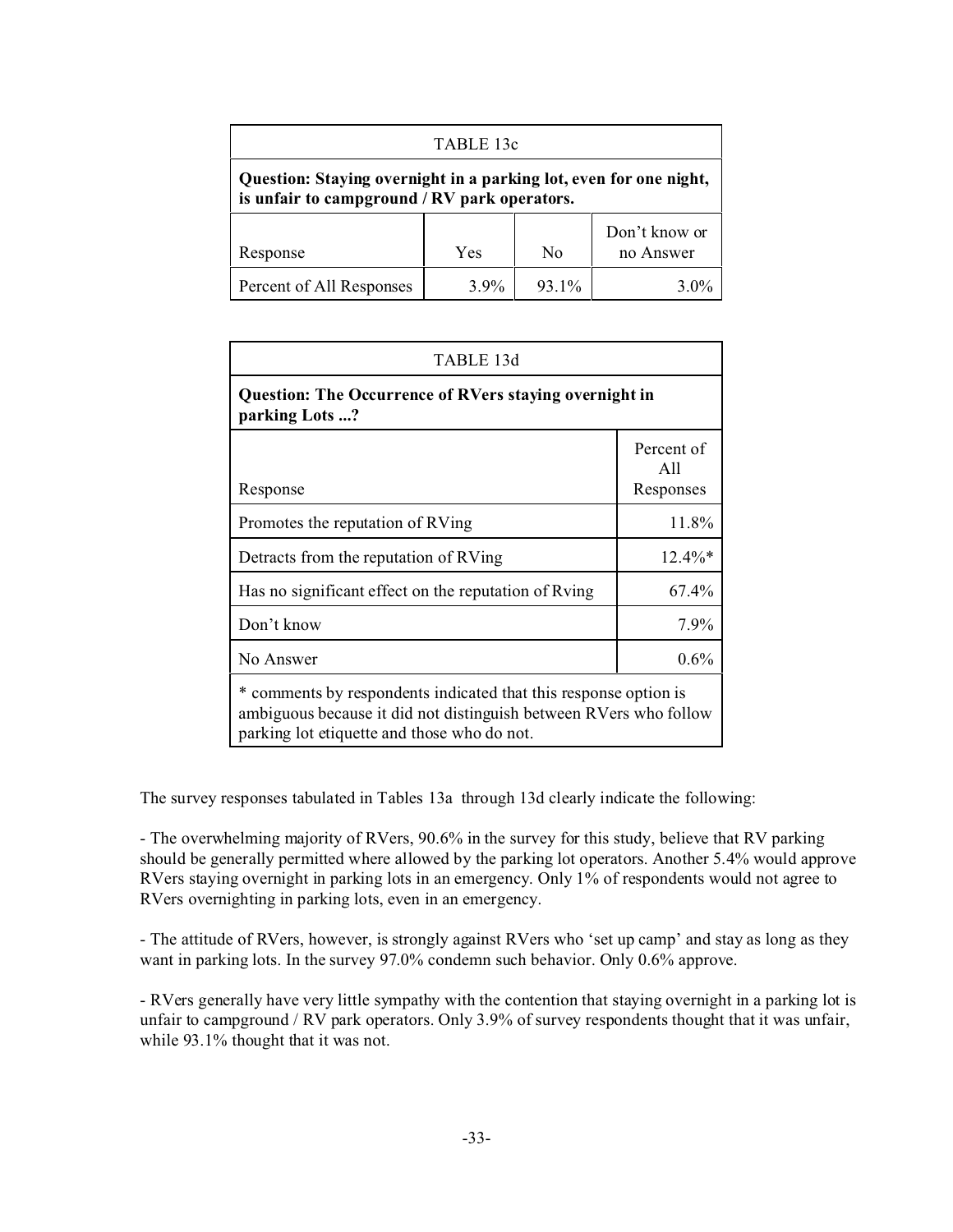| TABLE 13c                                                                                                         |         |       |         |  |  |  |  |
|-------------------------------------------------------------------------------------------------------------------|---------|-------|---------|--|--|--|--|
| Question: Staying overnight in a parking lot, even for one night,<br>is unfair to campground / RV park operators. |         |       |         |  |  |  |  |
| Don't know or<br>no Answer<br>Yes<br>N <sub>0</sub><br>Response                                                   |         |       |         |  |  |  |  |
| Percent of All Responses                                                                                          | $3.9\%$ | 93.1% | $3.0\%$ |  |  |  |  |

| TABLE 13d                                                                                                                                                                            |                                 |  |  |  |  |
|--------------------------------------------------------------------------------------------------------------------------------------------------------------------------------------|---------------------------------|--|--|--|--|
| <b>Question: The Occurrence of RVers staying overnight in</b><br>parking Lots ?                                                                                                      |                                 |  |  |  |  |
| Response                                                                                                                                                                             | Percent of<br>A 11<br>Responses |  |  |  |  |
| Promotes the reputation of RVing                                                                                                                                                     | 11.8%                           |  |  |  |  |
| Detracts from the reputation of RVing                                                                                                                                                | $12.4\%*$                       |  |  |  |  |
| Has no significant effect on the reputation of Rying                                                                                                                                 | 67.4%                           |  |  |  |  |
| Don't know                                                                                                                                                                           | 7.9%                            |  |  |  |  |
| No Answer                                                                                                                                                                            | $0.6\%$                         |  |  |  |  |
| * comments by respondents indicated that this response option is<br>ambiguous because it did not distinguish between RVers who follow<br>parking lot etiquette and those who do not. |                                 |  |  |  |  |

The survey responses tabulated in Tables 13a through 13d clearly indicate the following:

- The overwhelming majority of RVers, 90.6% in the survey for this study, believe that RV parking should be generally permitted where allowed by the parking lot operators. Another 5.4% would approve RVers staying overnight in parking lots in an emergency. Only 1% of respondents would not agree to RVers overnighting in parking lots, even in an emergency.

- The attitude of RVers, however, is strongly against RVers who 'set up camp' and stay as long as they want in parking lots. In the survey 97.0% condemn such behavior. Only 0.6% approve.

- RVers generally have very little sympathy with the contention that staying overnight in a parking lot is unfair to campground / RV park operators. Only 3.9% of survey respondents thought that it was unfair, while 93.1% thought that it was not.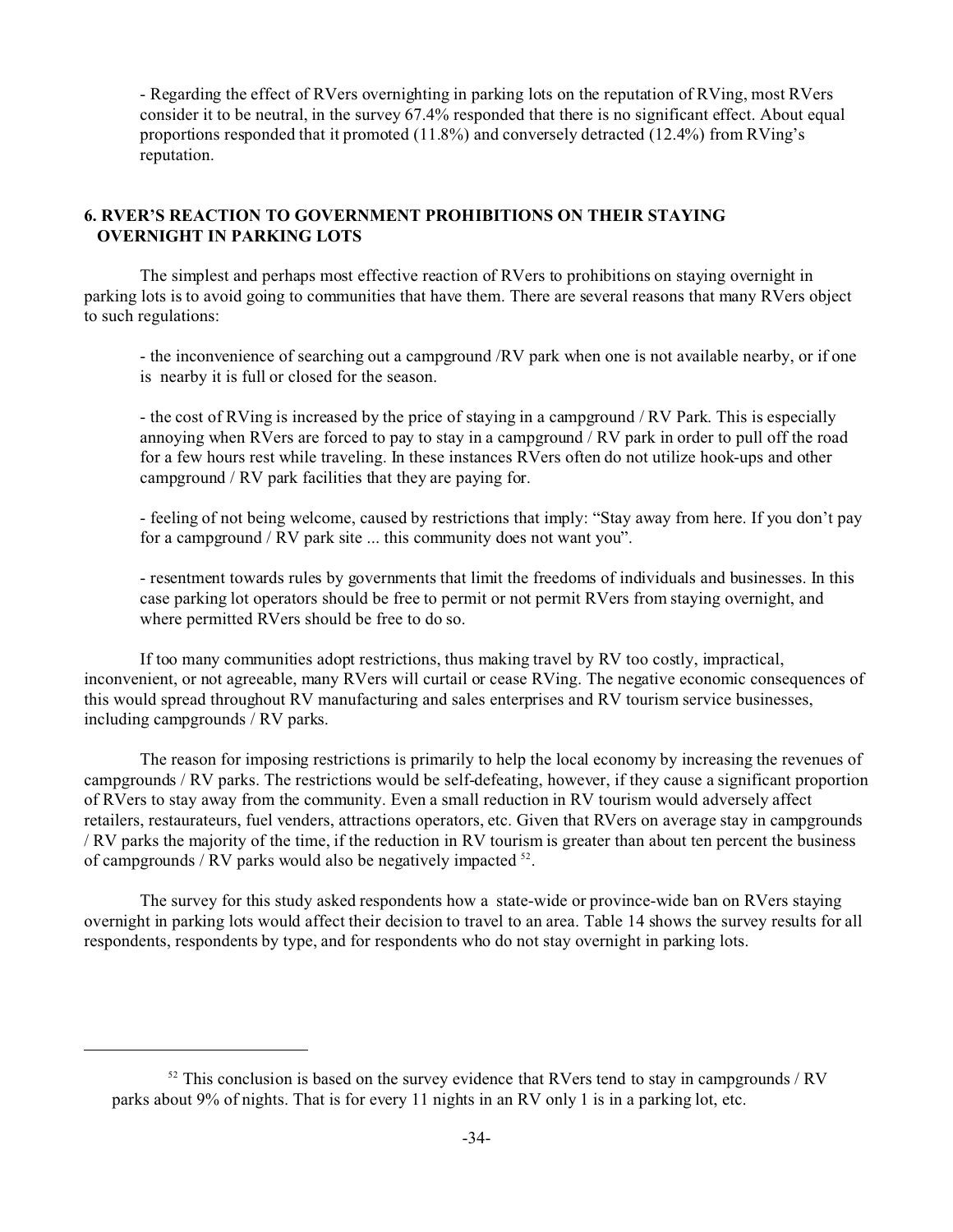- Regarding the effect of RVers overnighting in parking lots on the reputation of RVing, most RVers consider it to be neutral, in the survey 67.4% responded that there is no significant effect. About equal proportions responded that it promoted (11.8%) and conversely detracted (12.4%) from RVing's reputation.

## **6. RVER'S REACTION TO GOVERNMENT PROHIBITIONS ON THEIR STAYING OVERNIGHT IN PARKING LOTS**

The simplest and perhaps most effective reaction of RVers to prohibitions on staying overnight in parking lots is to avoid going to communities that have them. There are several reasons that many RVers object to such regulations:

- the inconvenience of searching out a campground /RV park when one is not available nearby, or if one is nearby it is full or closed for the season.

- the cost of RVing is increased by the price of staying in a campground / RV Park. This is especially annoying when RVers are forced to pay to stay in a campground / RV park in order to pull off the road for a few hours rest while traveling. In these instances RVers often do not utilize hook-ups and other campground / RV park facilities that they are paying for.

- feeling of not being welcome, caused by restrictions that imply: "Stay away from here. If you don't pay for a campground / RV park site ... this community does not want you".

- resentment towards rules by governments that limit the freedoms of individuals and businesses. In this case parking lot operators should be free to permit or not permit RVers from staying overnight, and where permitted RVers should be free to do so.

If too many communities adopt restrictions, thus making travel by RV too costly, impractical, inconvenient, or not agreeable, many RVers will curtail or cease RVing. The negative economic consequences of this would spread throughout RV manufacturing and sales enterprises and RV tourism service businesses, including campgrounds / RV parks.

The reason for imposing restrictions is primarily to help the local economy by increasing the revenues of campgrounds / RV parks. The restrictions would be self-defeating, however, if they cause a significant proportion of RVers to stay away from the community. Even a small reduction in RV tourism would adversely affect retailers, restaurateurs, fuel venders, attractions operators, etc. Given that RVers on average stay in campgrounds / RV parks the majority of the time, if the reduction in RV tourism is greater than about ten percent the business of campgrounds / RV parks would also be negatively impacted  $^{52}$ .

The survey for this study asked respondents how a state-wide or province-wide ban on RVers staying overnight in parking lots would affect their decision to travel to an area. Table 14 shows the survey results for all respondents, respondents by type, and for respondents who do not stay overnight in parking lots.

 $52$  This conclusion is based on the survey evidence that RVers tend to stay in campgrounds / RV parks about 9% of nights. That is for every 11 nights in an RV only 1 is in a parking lot, etc.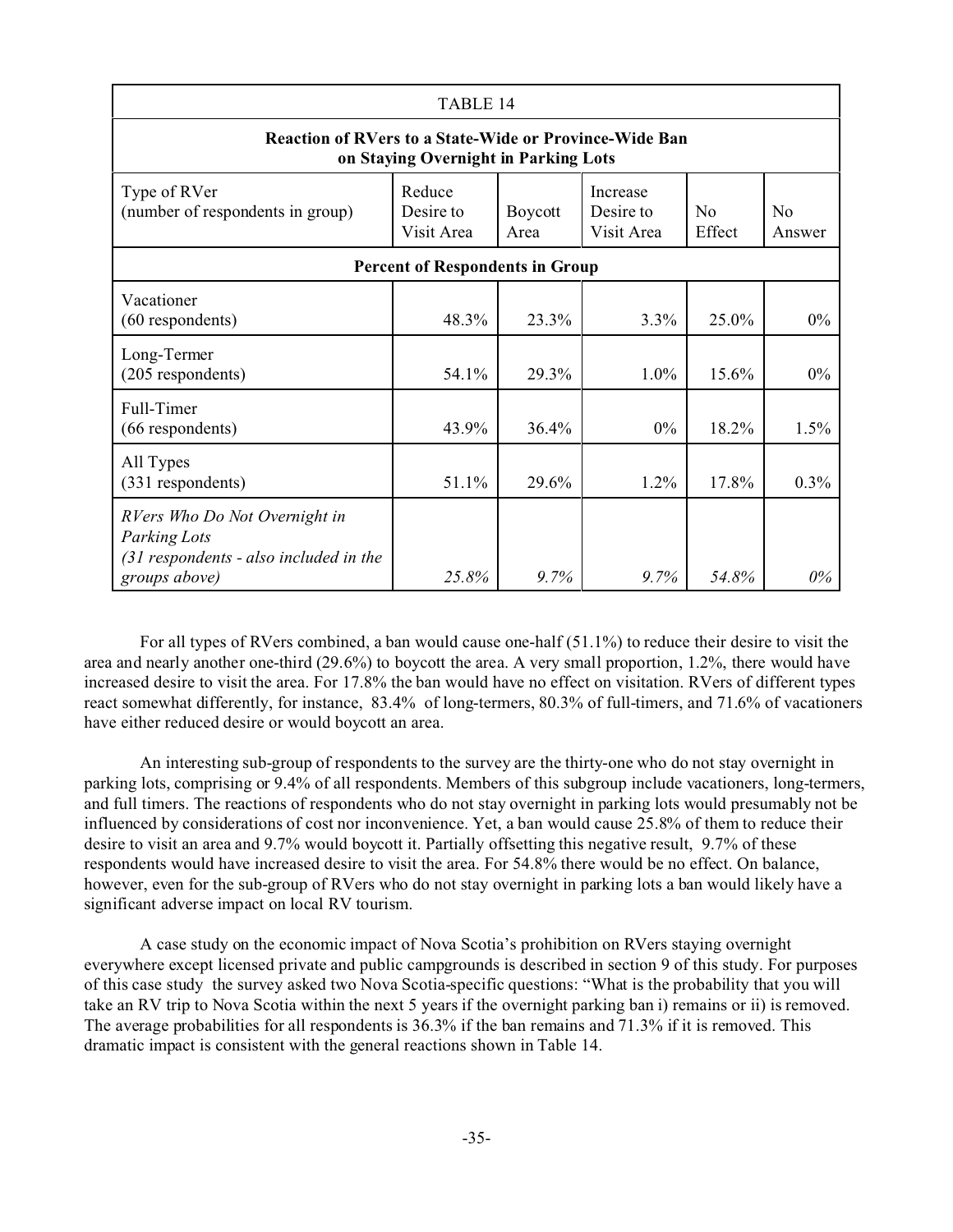| TABLE 14                                                                                                   |                                   |                        |                                     |                          |                          |  |  |  |
|------------------------------------------------------------------------------------------------------------|-----------------------------------|------------------------|-------------------------------------|--------------------------|--------------------------|--|--|--|
| <b>Reaction of RVers to a State-Wide or Province-Wide Ban</b><br>on Staying Overnight in Parking Lots      |                                   |                        |                                     |                          |                          |  |  |  |
| Type of RVer<br>(number of respondents in group)                                                           | Reduce<br>Desire to<br>Visit Area | <b>Boycott</b><br>Area | Increase<br>Desire to<br>Visit Area | N <sub>0</sub><br>Effect | N <sub>o</sub><br>Answer |  |  |  |
| <b>Percent of Respondents in Group</b>                                                                     |                                   |                        |                                     |                          |                          |  |  |  |
| Vacationer<br>(60 respondents)                                                                             | 48.3%                             | 23.3%                  | 3.3%                                | 25.0%                    | $0\%$                    |  |  |  |
| Long-Termer<br>(205 respondents)                                                                           | 54.1%                             | 29.3%                  | 1.0%                                | 15.6%                    | $0\%$                    |  |  |  |
| Full-Timer<br>(66 respondents)                                                                             | 43.9%                             | 36.4%                  | $0\%$                               | 18.2%                    | 1.5%                     |  |  |  |
| All Types<br>(331 respondents)                                                                             | 51.1%                             | 29.6%                  | 1.2%                                | 17.8%                    | $0.3\%$                  |  |  |  |
| RVers Who Do Not Overnight in<br>Parking Lots<br>$(31$ respondents - also included in the<br>groups above) | 25.8%                             | 9.7%                   | 9.7%                                | 54.8%                    | $0\%$                    |  |  |  |

For all types of RVers combined, a ban would cause one-half (51.1%) to reduce their desire to visit the area and nearly another one-third (29.6%) to boycott the area. A very small proportion, 1.2%, there would have increased desire to visit the area. For 17.8% the ban would have no effect on visitation. RVers of different types react somewhat differently, for instance, 83.4% of long-termers, 80.3% of full-timers, and 71.6% of vacationers have either reduced desire or would boycott an area.

An interesting sub-group of respondents to the survey are the thirty-one who do not stay overnight in parking lots, comprising or 9.4% of all respondents. Members of this subgroup include vacationers, long-termers, and full timers. The reactions of respondents who do not stay overnight in parking lots would presumably not be influenced by considerations of cost nor inconvenience. Yet, a ban would cause 25.8% of them to reduce their desire to visit an area and 9.7% would boycott it. Partially offsetting this negative result, 9.7% of these respondents would have increased desire to visit the area. For 54.8% there would be no effect. On balance, however, even for the sub-group of RVers who do not stay overnight in parking lots a ban would likely have a significant adverse impact on local RV tourism.

A case study on the economic impact of Nova Scotia's prohibition on RVers staying overnight everywhere except licensed private and public campgrounds is described in section 9 of this study. For purposes of this case study the survey asked two Nova Scotia-specific questions: "What is the probability that you will take an RV trip to Nova Scotia within the next 5 years if the overnight parking ban i) remains or ii) is removed. The average probabilities for all respondents is 36.3% if the ban remains and 71.3% if it is removed. This dramatic impact is consistent with the general reactions shown in Table 14.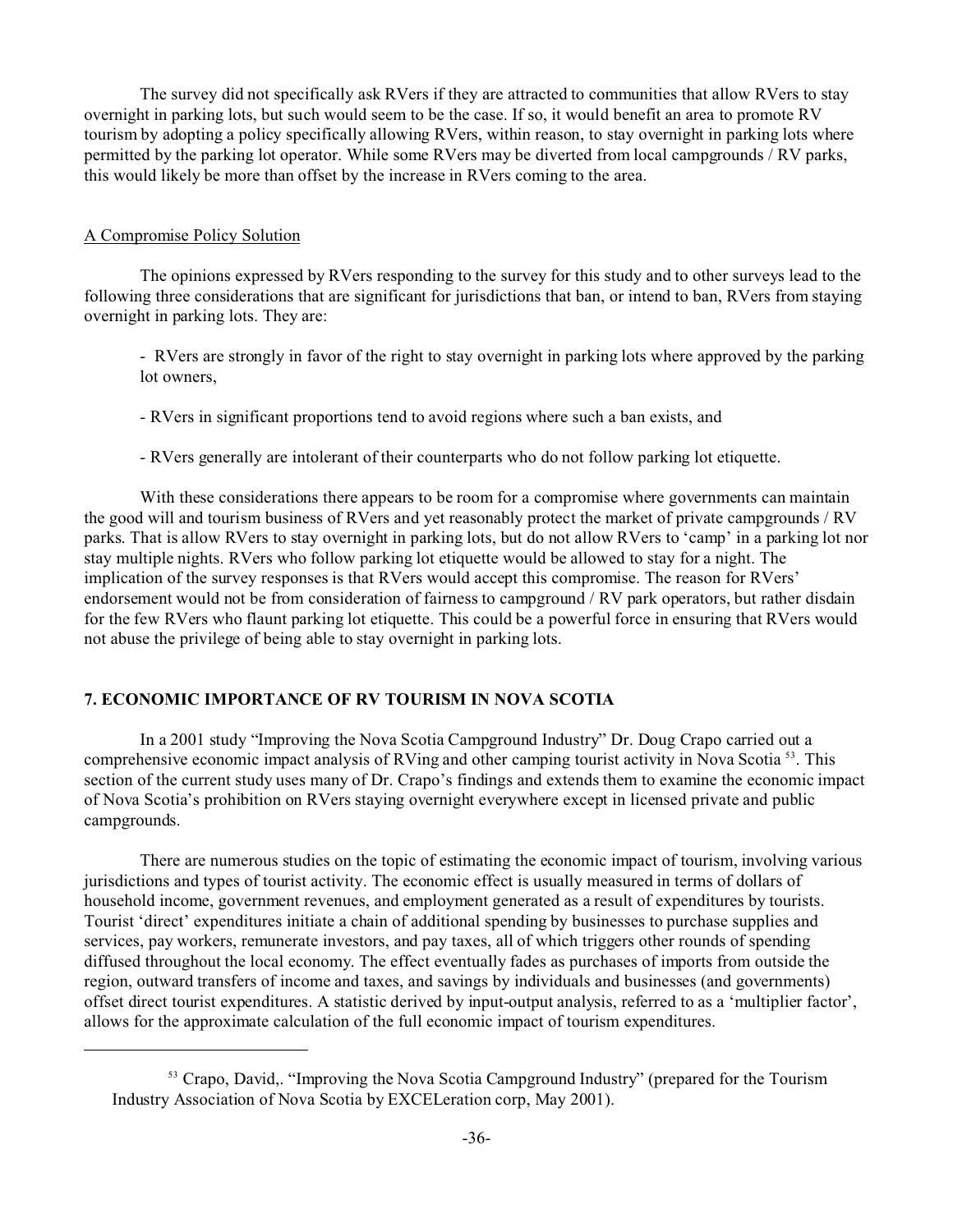The survey did not specifically ask RVers if they are attracted to communities that allow RVers to stay overnight in parking lots, but such would seem to be the case. If so, it would benefit an area to promote RV tourism by adopting a policy specifically allowing RVers, within reason, to stay overnight in parking lots where permitted by the parking lot operator. While some RVers may be diverted from local campgrounds / RV parks, this would likely be more than offset by the increase in RVers coming to the area.

#### A Compromise Policy Solution

The opinions expressed by RVers responding to the survey for this study and to other surveys lead to the following three considerations that are significant for jurisdictions that ban, or intend to ban, RVers from staying overnight in parking lots. They are:

- RVers are strongly in favor of the right to stay overnight in parking lots where approved by the parking lot owners,

- RVers in significant proportions tend to avoid regions where such a ban exists, and
- RVers generally are intolerant of their counterparts who do not follow parking lot etiquette.

With these considerations there appears to be room for a compromise where governments can maintain the good will and tourism business of RVers and yet reasonably protect the market of private campgrounds / RV parks. That is allow RVers to stay overnight in parking lots, but do not allow RVers to 'camp' in a parking lot nor stay multiple nights. RVers who follow parking lot etiquette would be allowed to stay for a night. The implication of the survey responses is that RVers would accept this compromise. The reason for RVers' endorsement would not be from consideration of fairness to campground / RV park operators, but rather disdain for the few RVers who flaunt parking lot etiquette. This could be a powerful force in ensuring that RVers would not abuse the privilege of being able to stay overnight in parking lots.

#### **7. ECONOMIC IMPORTANCE OF RV TOURISM IN NOVA SCOTIA**

In a 2001 study "Improving the Nova Scotia Campground Industry" Dr. Doug Crapo carried out a comprehensive economic impact analysis of RVing and other camping tourist activity in Nova Scotia <sup>53</sup>. This section of the current study uses many of Dr. Crapo's findings and extends them to examine the economic impact of Nova Scotia's prohibition on RVers staying overnight everywhere except in licensed private and public campgrounds.

There are numerous studies on the topic of estimating the economic impact of tourism, involving various jurisdictions and types of tourist activity. The economic effect is usually measured in terms of dollars of household income, government revenues, and employment generated as a result of expenditures by tourists. Tourist 'direct' expenditures initiate a chain of additional spending by businesses to purchase supplies and services, pay workers, remunerate investors, and pay taxes, all of which triggers other rounds of spending diffused throughout the local economy. The effect eventually fades as purchases of imports from outside the region, outward transfers of income and taxes, and savings by individuals and businesses (and governments) offset direct tourist expenditures. A statistic derived by input-output analysis, referred to as a 'multiplier factor', allows for the approximate calculation of the full economic impact of tourism expenditures.

<sup>&</sup>lt;sup>53</sup> Crapo, David,. "Improving the Nova Scotia Campground Industry" (prepared for the Tourism Industry Association of Nova Scotia by EXCELeration corp, May 2001).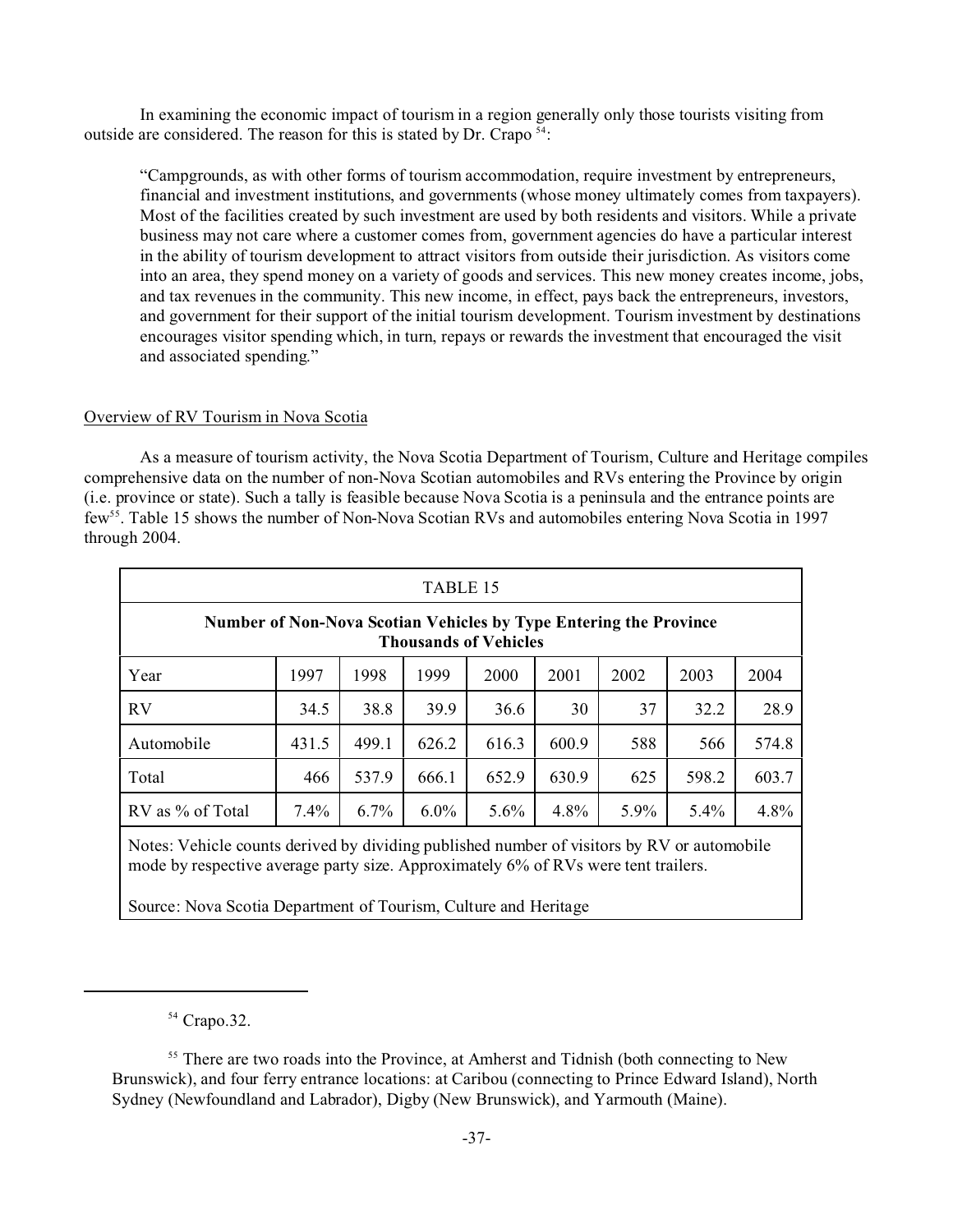In examining the economic impact of tourism in a region generally only those tourists visiting from outside are considered. The reason for this is stated by Dr. Crapo <sup>54</sup>:

"Campgrounds, as with other forms of tourism accommodation, require investment by entrepreneurs, financial and investment institutions, and governments (whose money ultimately comes from taxpayers). Most of the facilities created by such investment are used by both residents and visitors. While a private business may not care where a customer comes from, government agencies do have a particular interest in the ability of tourism development to attract visitors from outside their jurisdiction. As visitors come into an area, they spend money on a variety of goods and services. This new money creates income, jobs, and tax revenues in the community. This new income, in effect, pays back the entrepreneurs, investors, and government for their support of the initial tourism development. Tourism investment by destinations encourages visitor spending which, in turn, repays or rewards the investment that encouraged the visit and associated spending."

### Overview of RV Tourism in Nova Scotia

As a measure of tourism activity, the Nova Scotia Department of Tourism, Culture and Heritage compiles comprehensive data on the number of non-Nova Scotian automobiles and RVs entering the Province by origin (i.e. province or state). Such a tally is feasible because Nova Scotia is a peninsula and the entrance points are few<sup>55</sup>. Table 15 shows the number of Non-Nova Scotian RVs and automobiles entering Nova Scotia in 1997 through 2004.

| TABLE 15                                                                                          |       |       |         |       |       |      |         |       |
|---------------------------------------------------------------------------------------------------|-------|-------|---------|-------|-------|------|---------|-------|
| Number of Non-Nova Scotian Vehicles by Type Entering the Province<br><b>Thousands of Vehicles</b> |       |       |         |       |       |      |         |       |
| Year                                                                                              | 1997  | 1998  | 1999    | 2000  | 2001  | 2002 | 2003    | 2004  |
| <b>RV</b>                                                                                         | 34.5  | 38.8  | 39.9    | 36.6  | 30    | 37   | 32.2    | 28.9  |
| Automobile                                                                                        | 431.5 | 499.1 | 626.2   | 616.3 | 600.9 | 588  | 566     | 574.8 |
| Total                                                                                             | 466   | 537.9 | 666.1   | 652.9 | 630.9 | 625  | 598.2   | 603.7 |
| RV as % of Total                                                                                  | 7.4%  | 6.7%  | $6.0\%$ | 5.6%  | 4.8%  | 5.9% | $5.4\%$ | 4.8%  |

Notes: Vehicle counts derived by dividing published number of visitors by RV or automobile mode by respective average party size. Approximately 6% of RVs were tent trailers.

Source: Nova Scotia Department of Tourism, Culture and Heritage

<sup>&</sup>lt;sup>54</sup> Crapo.32.

<sup>&</sup>lt;sup>55</sup> There are two roads into the Province, at Amherst and Tidnish (both connecting to New Brunswick), and four ferry entrance locations: at Caribou (connecting to Prince Edward Island), North Sydney (Newfoundland and Labrador), Digby (New Brunswick), and Yarmouth (Maine).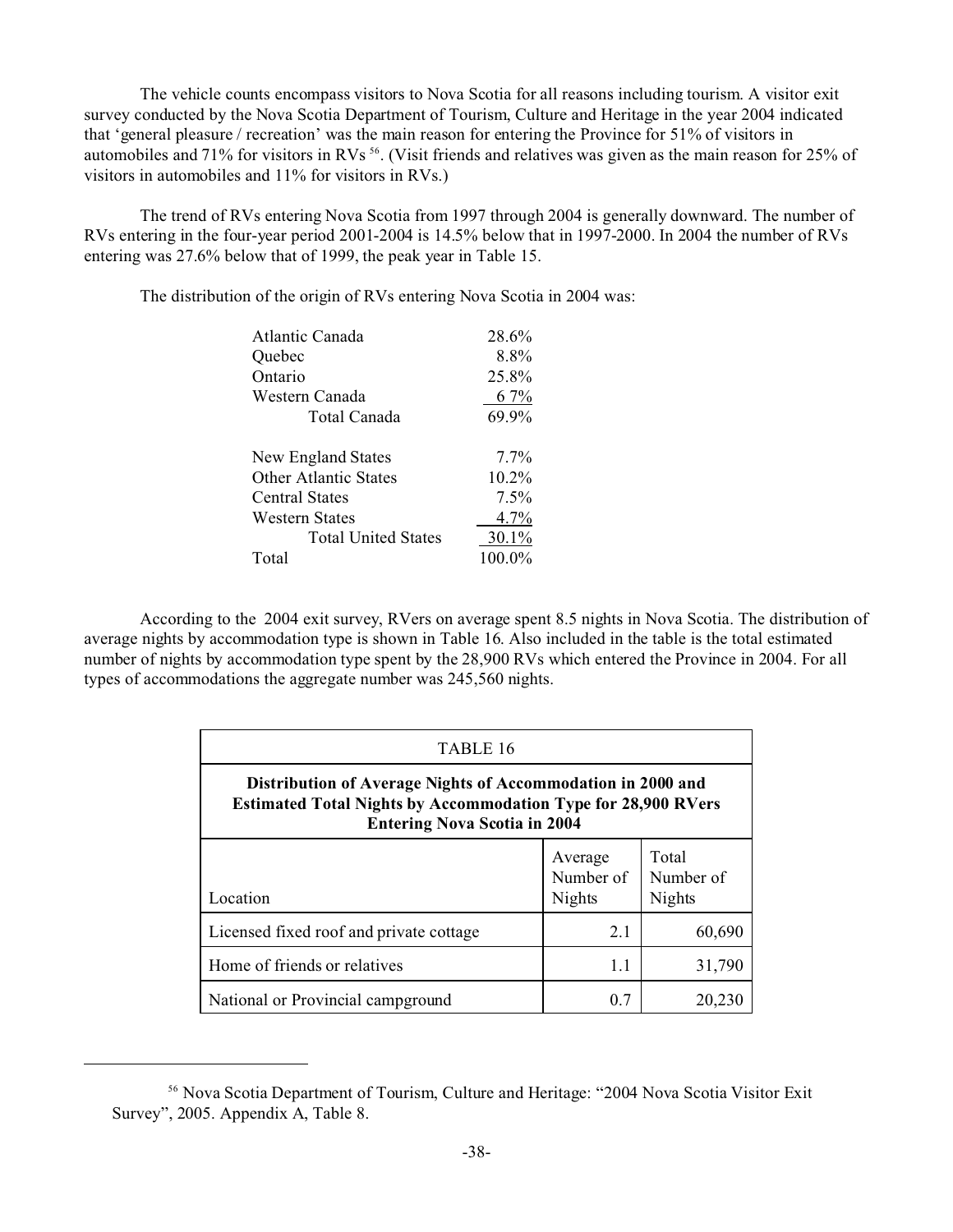The vehicle counts encompass visitors to Nova Scotia for all reasons including tourism. A visitor exit survey conducted by the Nova Scotia Department of Tourism, Culture and Heritage in the year 2004 indicated that 'general pleasure / recreation' was the main reason for entering the Province for 51% of visitors in automobiles and 71% for visitors in RVs <sup>56</sup>. (Visit friends and relatives was given as the main reason for 25% of visitors in automobiles and 11% for visitors in RVs.)

The trend of RVs entering Nova Scotia from 1997 through 2004 is generally downward. The number of RVs entering in the four-year period 2001-2004 is 14.5% below that in 1997-2000. In 2004 the number of RVs entering was 27.6% below that of 1999, the peak year in Table 15.

The distribution of the origin of RVs entering Nova Scotia in 2004 was:

| Atlantic Canada            | 28.6%     |
|----------------------------|-----------|
| Quebec                     | 8.8%      |
| Ontario                    | 25.8%     |
| Western Canada             | 6 7%      |
| Total Canada               | 69.9%     |
|                            |           |
| New England States         | $7.7\%$   |
| Other Atlantic States      | $10.2\%$  |
| <b>Central States</b>      | $7.5\%$   |
| <b>Western States</b>      | 4.7%      |
| <b>Total United States</b> | 30.1%     |
| Total                      | $100.0\%$ |
|                            |           |

According to the 2004 exit survey, RVers on average spent 8.5 nights in Nova Scotia. The distribution of average nights by accommodation type is shown in Table 16. Also included in the table is the total estimated number of nights by accommodation type spent by the 28,900 RVs which entered the Province in 2004. For all types of accommodations the aggregate number was 245,560 nights.

| TABLE 16                                                                                                                                                                   |                                       |                                     |  |  |  |  |  |
|----------------------------------------------------------------------------------------------------------------------------------------------------------------------------|---------------------------------------|-------------------------------------|--|--|--|--|--|
| Distribution of Average Nights of Accommodation in 2000 and<br><b>Estimated Total Nights by Accommodation Type for 28,900 RVers</b><br><b>Entering Nova Scotia in 2004</b> |                                       |                                     |  |  |  |  |  |
| Location                                                                                                                                                                   | Average<br>Number of<br><b>Nights</b> | Total<br>Number of<br><b>Nights</b> |  |  |  |  |  |
| Licensed fixed roof and private cottage                                                                                                                                    | 2.1                                   | 60,690                              |  |  |  |  |  |
| Home of friends or relatives                                                                                                                                               | 1.1                                   | 31,790                              |  |  |  |  |  |
| National or Provincial campground                                                                                                                                          | 0.7                                   | 20.230                              |  |  |  |  |  |

<sup>56</sup> Nova Scotia Department of Tourism, Culture and Heritage: "2004 Nova Scotia Visitor Exit Survey", 2005. Appendix A, Table 8.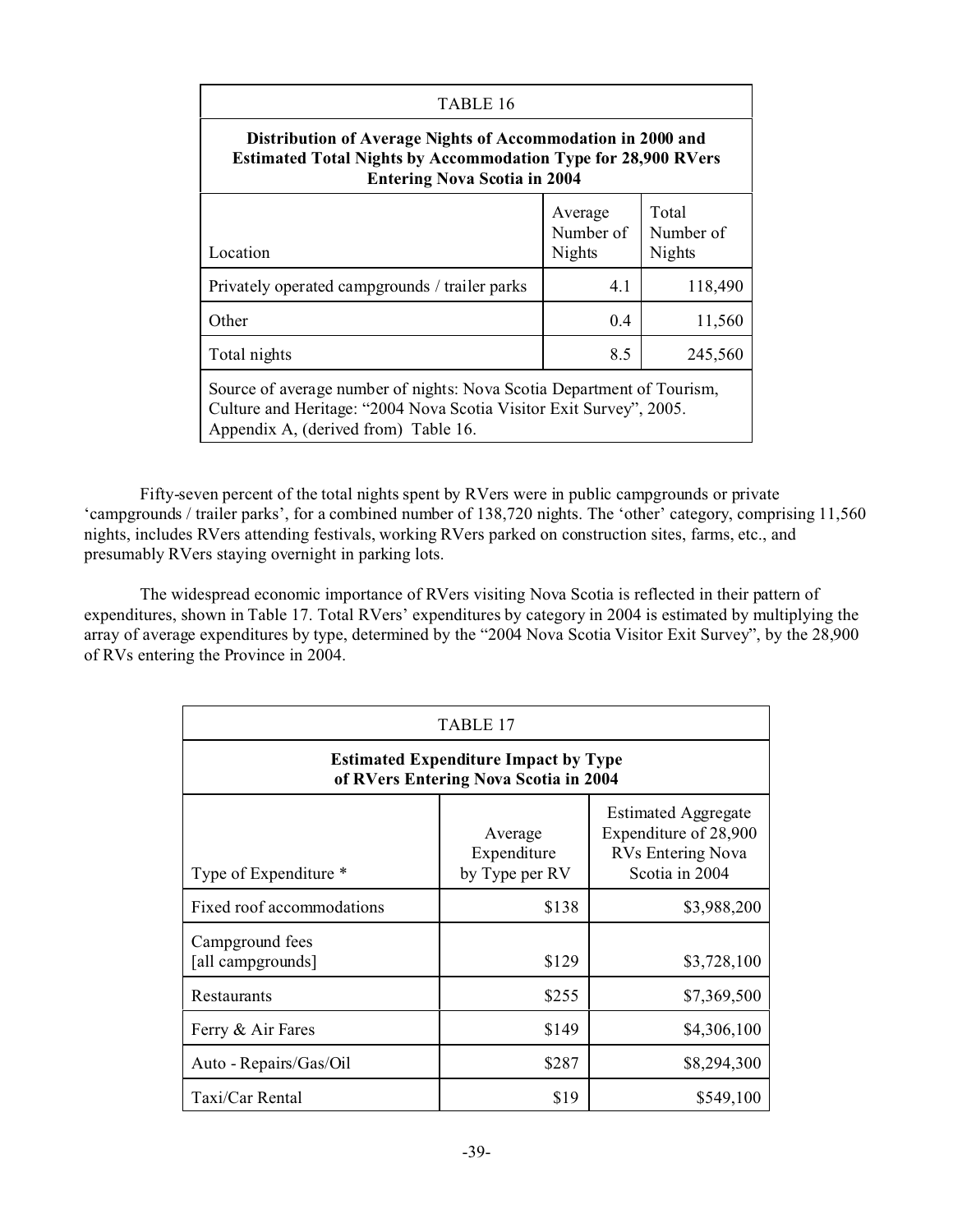| TABLE 16                                                                                                                                                                   |                                                                                                                                               |                                     |  |  |  |  |  |
|----------------------------------------------------------------------------------------------------------------------------------------------------------------------------|-----------------------------------------------------------------------------------------------------------------------------------------------|-------------------------------------|--|--|--|--|--|
| Distribution of Average Nights of Accommodation in 2000 and<br><b>Estimated Total Nights by Accommodation Type for 28,900 RVers</b><br><b>Entering Nova Scotia in 2004</b> |                                                                                                                                               |                                     |  |  |  |  |  |
| Location                                                                                                                                                                   | Average<br>Number of<br><b>Nights</b>                                                                                                         | Total<br>Number of<br><b>Nights</b> |  |  |  |  |  |
| Privately operated campgrounds / trailer parks                                                                                                                             | 4.1                                                                                                                                           | 118,490                             |  |  |  |  |  |
| Other                                                                                                                                                                      | $0.4^{\circ}$                                                                                                                                 | 11,560                              |  |  |  |  |  |
| Total nights                                                                                                                                                               | 8.5                                                                                                                                           | 245,560                             |  |  |  |  |  |
| Appendix A, (derived from) Table 16.                                                                                                                                       | Source of average number of nights: Nova Scotia Department of Tourism,<br>Culture and Heritage: "2004 Nova Scotia Visitor Exit Survey", 2005. |                                     |  |  |  |  |  |

Fifty-seven percent of the total nights spent by RVers were in public campgrounds or private 'campgrounds / trailer parks', for a combined number of 138,720 nights. The 'other' category, comprising 11,560 nights, includes RVers attending festivals, working RVers parked on construction sites, farms, etc., and presumably RVers staying overnight in parking lots.

The widespread economic importance of RVers visiting Nova Scotia is reflected in their pattern of expenditures, shown in Table 17. Total RVers' expenditures by category in 2004 is estimated by multiplying the array of average expenditures by type, determined by the "2004 Nova Scotia Visitor Exit Survey", by the 28,900 of RVs entering the Province in 2004.

| TABLE 17                                                                                                                                                        |       |             |  |  |  |  |  |
|-----------------------------------------------------------------------------------------------------------------------------------------------------------------|-------|-------------|--|--|--|--|--|
| <b>Estimated Expenditure Impact by Type</b><br>of RVers Entering Nova Scotia in 2004                                                                            |       |             |  |  |  |  |  |
| <b>Estimated Aggregate</b><br>Expenditure of 28,900<br>Average<br>RVs Entering Nova<br>Expenditure<br>by Type per RV<br>Scotia in 2004<br>Type of Expenditure * |       |             |  |  |  |  |  |
| Fixed roof accommodations                                                                                                                                       | \$138 | \$3,988,200 |  |  |  |  |  |
| Campground fees<br>[all campgrounds]                                                                                                                            | \$129 | \$3,728,100 |  |  |  |  |  |
| Restaurants                                                                                                                                                     | \$255 | \$7,369,500 |  |  |  |  |  |
| Ferry & Air Fares                                                                                                                                               | \$149 | \$4,306,100 |  |  |  |  |  |
| Auto - Repairs/Gas/Oil                                                                                                                                          | \$287 | \$8,294,300 |  |  |  |  |  |
| Taxi/Car Rental                                                                                                                                                 | \$19  | \$549,100   |  |  |  |  |  |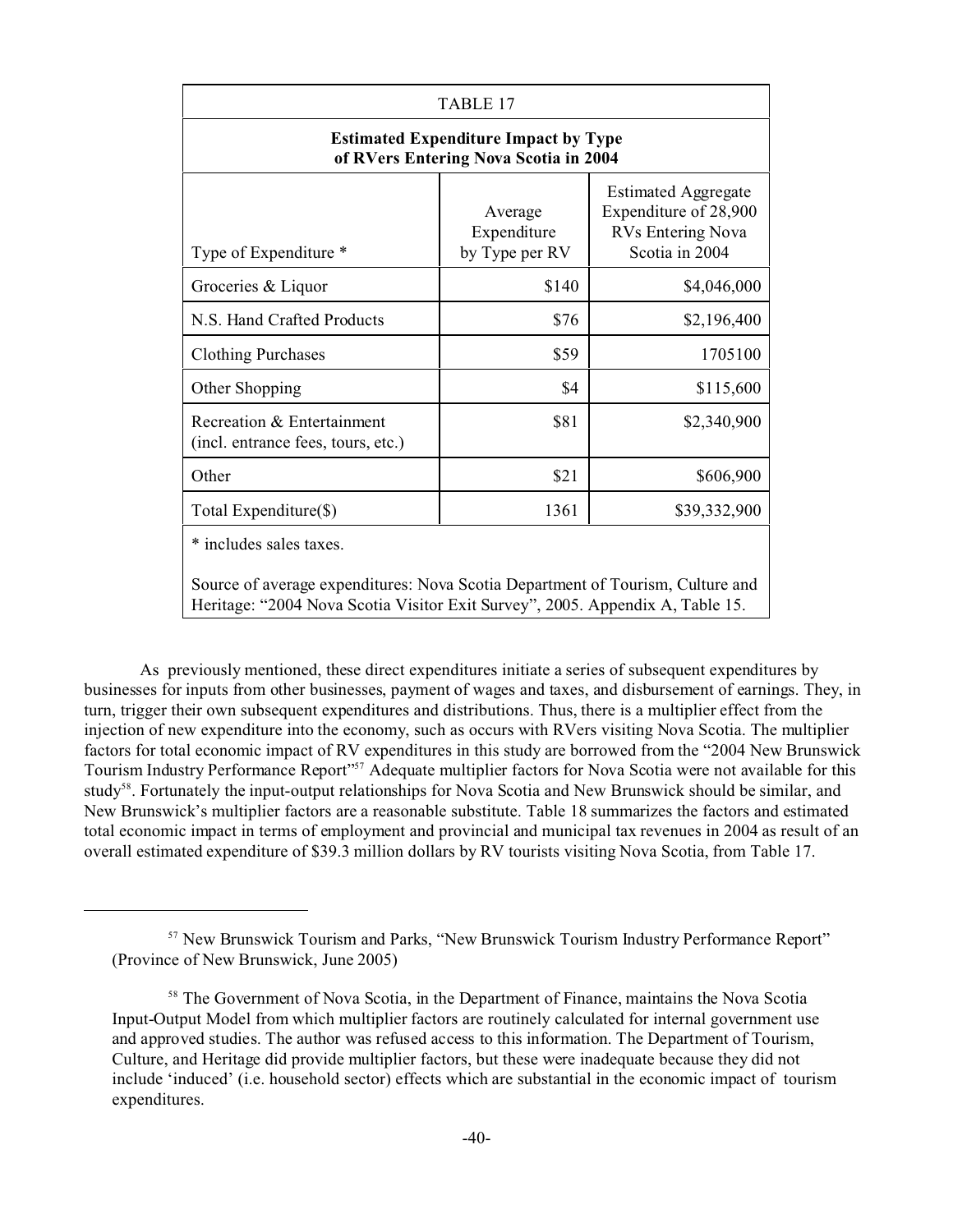| TABLE 17                                                                                                                                                                                   |                                          |                                                                                                   |  |  |  |  |
|--------------------------------------------------------------------------------------------------------------------------------------------------------------------------------------------|------------------------------------------|---------------------------------------------------------------------------------------------------|--|--|--|--|
| <b>Estimated Expenditure Impact by Type</b><br>of RVers Entering Nova Scotia in 2004                                                                                                       |                                          |                                                                                                   |  |  |  |  |
| Type of Expenditure *                                                                                                                                                                      | Average<br>Expenditure<br>by Type per RV | <b>Estimated Aggregate</b><br>Expenditure of 28,900<br><b>RVs Entering Nova</b><br>Scotia in 2004 |  |  |  |  |
| Groceries & Liquor                                                                                                                                                                         | \$140                                    | \$4,046,000                                                                                       |  |  |  |  |
| N.S. Hand Crafted Products                                                                                                                                                                 | \$76                                     | \$2,196,400                                                                                       |  |  |  |  |
| <b>Clothing Purchases</b>                                                                                                                                                                  | \$59                                     | 1705100                                                                                           |  |  |  |  |
| Other Shopping                                                                                                                                                                             | \$4                                      | \$115,600                                                                                         |  |  |  |  |
| Recreation & Entertainment<br>(incl. entrance fees, tours, etc.)                                                                                                                           | \$81                                     | \$2,340,900                                                                                       |  |  |  |  |
| Other                                                                                                                                                                                      | \$21                                     | \$606,900                                                                                         |  |  |  |  |
| Total Expenditure(\$)                                                                                                                                                                      | 1361                                     | \$39,332,900                                                                                      |  |  |  |  |
| * includes sales taxes.<br>Source of average expenditures: Nova Scotia Department of Tourism, Culture and<br>Heritage: "2004 Nova Scotia Visitor Exit Survey", 2005. Appendix A, Table 15. |                                          |                                                                                                   |  |  |  |  |

As previously mentioned, these direct expenditures initiate a series of subsequent expenditures by businesses for inputs from other businesses, payment of wages and taxes, and disbursement of earnings. They, in turn, trigger their own subsequent expenditures and distributions. Thus, there is a multiplier effect from the injection of new expenditure into the economy, such as occurs with RVers visiting Nova Scotia. The multiplier factors for total economic impact of RV expenditures in this study are borrowed from the "2004 New Brunswick Tourism Industry Performance Report"<sup>57</sup> Adequate multiplier factors for Nova Scotia were not available for this study<sup>58</sup>. Fortunately the input-output relationships for Nova Scotia and New Brunswick should be similar, and New Brunswick's multiplier factors are a reasonable substitute. Table 18 summarizes the factors and estimated total economic impact in terms of employment and provincial and municipal tax revenues in 2004 as result of an overall estimated expenditure of \$39.3 million dollars by RV tourists visiting Nova Scotia, from Table 17.

<sup>&</sup>lt;sup>57</sup> New Brunswick Tourism and Parks, "New Brunswick Tourism Industry Performance Report" (Province of New Brunswick, June 2005)

<sup>&</sup>lt;sup>58</sup> The Government of Nova Scotia, in the Department of Finance, maintains the Nova Scotia Input-Output Model from which multiplier factors are routinely calculated for internal government use and approved studies. The author was refused access to this information. The Department of Tourism, Culture, and Heritage did provide multiplier factors, but these were inadequate because they did not include 'induced' (i.e. household sector) effects which are substantial in the economic impact of tourism expenditures.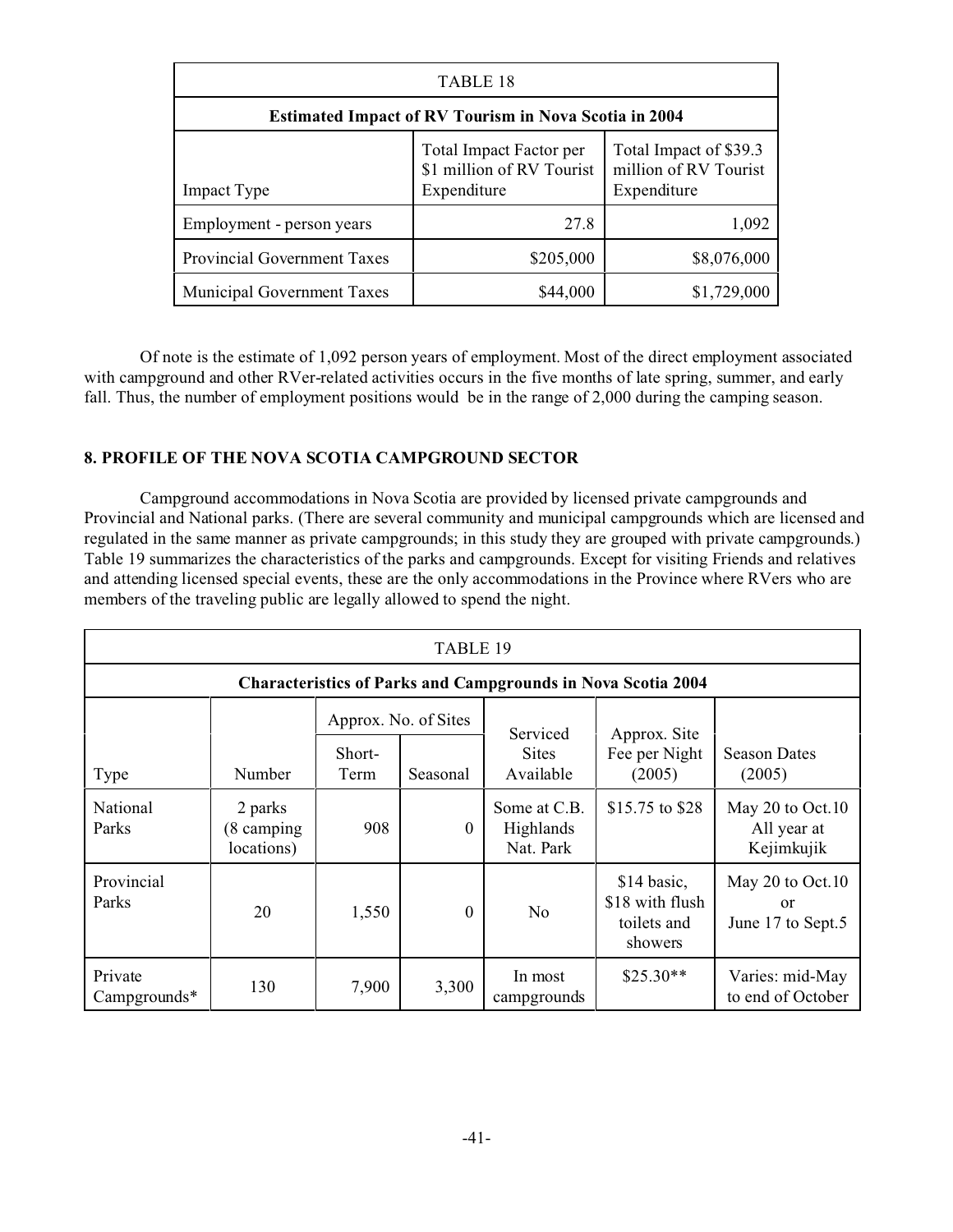| TABLE 18                                                                                                                                                    |           |             |  |  |  |  |
|-------------------------------------------------------------------------------------------------------------------------------------------------------------|-----------|-------------|--|--|--|--|
| <b>Estimated Impact of RV Tourism in Nova Scotia in 2004</b>                                                                                                |           |             |  |  |  |  |
| Total Impact of \$39.3<br><b>Total Impact Factor per</b><br>\$1 million of RV Tourist<br>million of RV Tourist<br>Expenditure<br>Expenditure<br>Impact Type |           |             |  |  |  |  |
| Employment - person years                                                                                                                                   | 27.8      | 1,092       |  |  |  |  |
| Provincial Government Taxes                                                                                                                                 | \$205,000 | \$8,076,000 |  |  |  |  |
| Municipal Government Taxes                                                                                                                                  | \$44,000  | \$1,729,000 |  |  |  |  |

Of note is the estimate of 1,092 person years of employment. Most of the direct employment associated with campground and other RVer-related activities occurs in the five months of late spring, summer, and early fall. Thus, the number of employment positions would be in the range of 2,000 during the camping season.

# **8. PROFILE OF THE NOVA SCOTIA CAMPGROUND SECTOR**

Campground accommodations in Nova Scotia are provided by licensed private campgrounds and Provincial and National parks. (There are several community and municipal campgrounds which are licensed and regulated in the same manner as private campgrounds; in this study they are grouped with private campgrounds.) Table 19 summarizes the characteristics of the parks and campgrounds. Except for visiting Friends and relatives and attending licensed special events, these are the only accommodations in the Province where RVers who are members of the traveling public are legally allowed to spend the night.

| TABLE 19                         |                                                                     |                |          |                                        |                                                          |                                               |  |  |  |
|----------------------------------|---------------------------------------------------------------------|----------------|----------|----------------------------------------|----------------------------------------------------------|-----------------------------------------------|--|--|--|
|                                  | <b>Characteristics of Parks and Campgrounds in Nova Scotia 2004</b> |                |          |                                        |                                                          |                                               |  |  |  |
| Approx. No. of Sites<br>Serviced |                                                                     |                |          |                                        |                                                          |                                               |  |  |  |
| Type                             | Number                                                              | Short-<br>Term | Seasonal | <b>Sites</b><br>Available              | Approx. Site<br>Fee per Night<br>(2005)                  | <b>Season Dates</b><br>(2005)                 |  |  |  |
| National<br>Parks                | 2 parks<br>(8 camping<br>locations)                                 | 908            | $\theta$ | Some at C.B.<br>Highlands<br>Nat. Park | \$15.75 to \$28                                          | May 20 to Oct.10<br>All year at<br>Kejimkujik |  |  |  |
| Provincial<br>Parks              | 20                                                                  | 1,550          | $\theta$ | No                                     | \$14 basic,<br>\$18 with flush<br>toilets and<br>showers | May 20 to Oct.10<br>or<br>June 17 to Sept.5   |  |  |  |
| Private<br>Campgrounds*          | 130                                                                 | 7,900          | 3,300    | In most<br>campgrounds                 | $$25.30**$                                               | Varies: mid-May<br>to end of October          |  |  |  |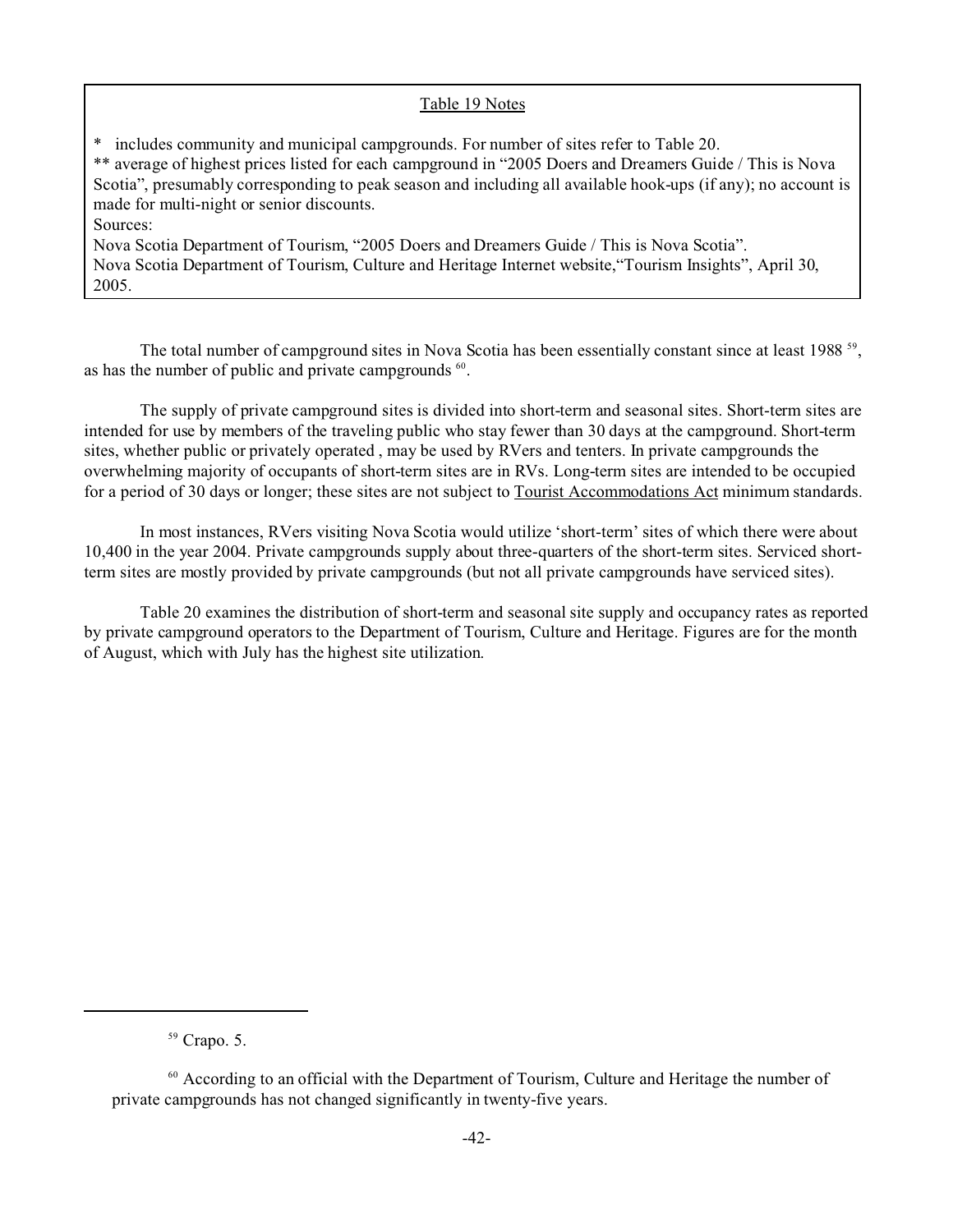#### Table 19 Notes

\* includes community and municipal campgrounds. For number of sites refer to Table 20.

\*\* average of highest prices listed for each campground in "2005 Doers and Dreamers Guide / This is Nova Scotia", presumably corresponding to peak season and including all available hook-ups (if any); no account is made for multi-night or senior discounts.

Sources:

Nova Scotia Department of Tourism, "2005 Doers and Dreamers Guide / This is Nova Scotia". Nova Scotia Department of Tourism, Culture and Heritage Internet website,"Tourism Insights", April 30, 2005.

The total number of campground sites in Nova Scotia has been essentially constant since at least 1988<sup>59</sup>, as has the number of public and private campgrounds  $60$ .

The supply of private campground sites is divided into short-term and seasonal sites. Short-term sites are intended for use by members of the traveling public who stay fewer than 30 days at the campground. Short-term sites, whether public or privately operated , may be used by RVers and tenters. In private campgrounds the overwhelming majority of occupants of short-term sites are in RVs. Long-term sites are intended to be occupied for a period of 30 days or longer; these sites are not subject to Tourist Accommodations Act minimum standards.

In most instances, RVers visiting Nova Scotia would utilize 'short-term' sites of which there were about 10,400 in the year 2004. Private campgrounds supply about three-quarters of the short-term sites. Serviced shortterm sites are mostly provided by private campgrounds (but not all private campgrounds have serviced sites).

Table 20 examines the distribution of short-term and seasonal site supply and occupancy rates as reported by private campground operators to the Department of Tourism, Culture and Heritage. Figures are for the month of August, which with July has the highest site utilization.

<sup>&</sup>lt;sup>59</sup> Crapo. 5.

<sup>&</sup>lt;sup>60</sup> According to an official with the Department of Tourism, Culture and Heritage the number of private campgrounds has not changed significantly in twenty-five years.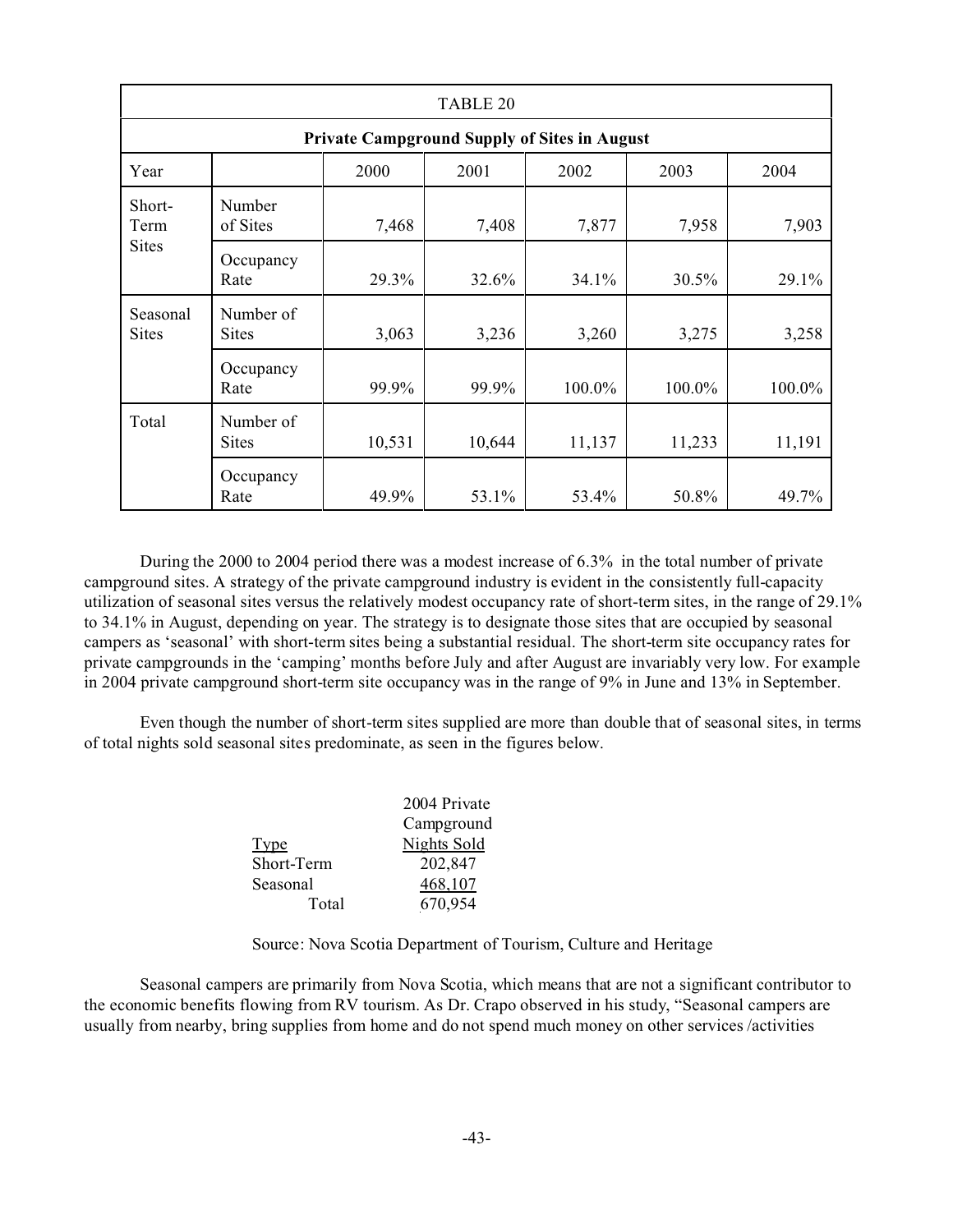| <b>TABLE 20</b>          |                                              |        |        |        |        |        |  |  |  |
|--------------------------|----------------------------------------------|--------|--------|--------|--------|--------|--|--|--|
|                          | Private Campground Supply of Sites in August |        |        |        |        |        |  |  |  |
| Year                     | 2001<br>2000<br>2002<br>2003<br>2004         |        |        |        |        |        |  |  |  |
| Short-<br>Term           | Number<br>of Sites                           | 7,468  | 7,408  | 7,877  | 7,958  | 7,903  |  |  |  |
| <b>Sites</b>             | Occupancy<br>Rate                            | 29.3%  | 32.6%  | 34.1%  | 30.5%  | 29.1%  |  |  |  |
| Seasonal<br><b>Sites</b> | Number of<br><b>Sites</b>                    | 3,063  | 3,236  | 3,260  | 3,275  | 3,258  |  |  |  |
|                          | Occupancy<br>Rate                            | 99.9%  | 99.9%  | 100.0% | 100.0% | 100.0% |  |  |  |
| Total                    | Number of<br><b>Sites</b>                    | 10,531 | 10,644 | 11,137 | 11,233 | 11,191 |  |  |  |
|                          | Occupancy<br>Rate                            | 49.9%  | 53.1%  | 53.4%  | 50.8%  | 49.7%  |  |  |  |

During the 2000 to 2004 period there was a modest increase of 6.3% in the total number of private campground sites. A strategy of the private campground industry is evident in the consistently full-capacity utilization of seasonal sites versus the relatively modest occupancy rate of short-term sites, in the range of 29.1% to 34.1% in August, depending on year. The strategy is to designate those sites that are occupied by seasonal campers as 'seasonal' with short-term sites being a substantial residual. The short-term site occupancy rates for private campgrounds in the 'camping' months before July and after August are invariably very low. For example in 2004 private campground short-term site occupancy was in the range of 9% in June and 13% in September.

Even though the number of short-term sites supplied are more than double that of seasonal sites, in terms of total nights sold seasonal sites predominate, as seen in the figures below.

|            | 2004 Private       |
|------------|--------------------|
|            | Campground         |
| Type       | <b>Nights Sold</b> |
| Short-Term | 202,847            |
| Seasonal   | 468,107            |
| Total      | 670,954            |

Source: Nova Scotia Department of Tourism, Culture and Heritage

Seasonal campers are primarily from Nova Scotia, which means that are not a significant contributor to the economic benefits flowing from RV tourism. As Dr. Crapo observed in his study, "Seasonal campers are usually from nearby, bring supplies from home and do not spend much money on other services /activities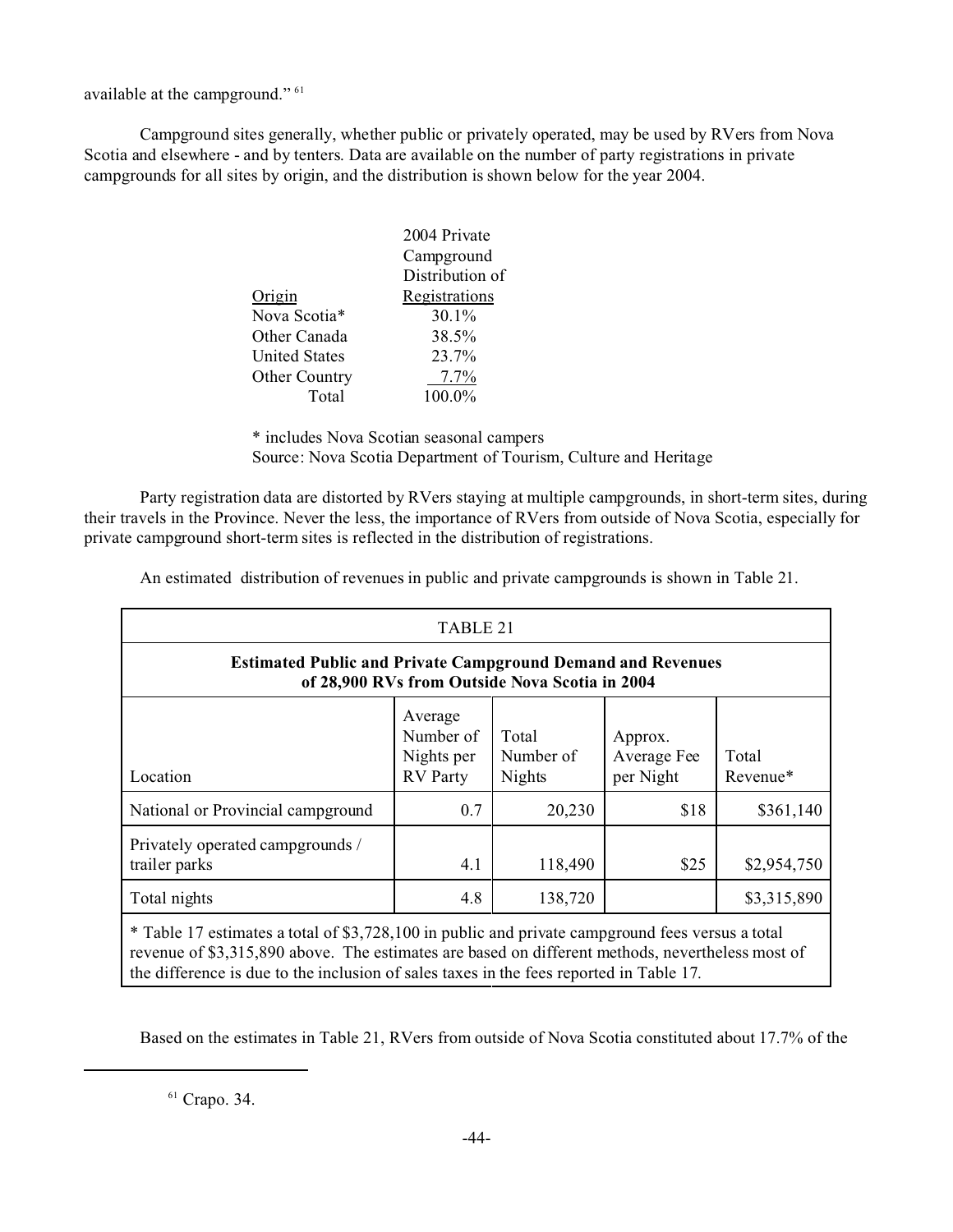available at the campground." <sup>61</sup>

Campground sites generally, whether public or privately operated, may be used by RVers from Nova Scotia and elsewhere - and by tenters. Data are available on the number of party registrations in private campgrounds for all sites by origin, and the distribution is shown below for the year 2004.

|                      | 2004 Private    |
|----------------------|-----------------|
|                      | Campground      |
|                      | Distribution of |
| Origin               | Registrations   |
| Nova Scotia*         | $30.1\%$        |
| Other Canada         | 38.5%           |
| <b>United States</b> | 23.7%           |
| Other Country        | 7.7%            |
| Total                | 100.0%          |

\* includes Nova Scotian seasonal campers Source: Nova Scotia Department of Tourism, Culture and Heritage

Party registration data are distorted by RVers staying at multiple campgrounds, in short-term sites, during their travels in the Province. Never the less, the importance of RVers from outside of Nova Scotia, especially for private campground short-term sites is reflected in the distribution of registrations.

An estimated distribution of revenues in public and private campgrounds is shown in Table 21.

| TABLE 21                                                                                                             |                                                                                                                                                          |         |      |             |  |
|----------------------------------------------------------------------------------------------------------------------|----------------------------------------------------------------------------------------------------------------------------------------------------------|---------|------|-------------|--|
| <b>Estimated Public and Private Campground Demand and Revenues</b><br>of 28,900 RVs from Outside Nova Scotia in 2004 |                                                                                                                                                          |         |      |             |  |
| Location                                                                                                             | Average<br>Number of<br>Total<br>Approx.<br>Number of<br>Nights per<br>Average Fee<br>Total<br><b>RV</b> Party<br>per Night<br><b>Nights</b><br>Revenue* |         |      |             |  |
| National or Provincial campground                                                                                    | 0.7                                                                                                                                                      | 20,230  | \$18 | \$361,140   |  |
| Privately operated campgrounds /<br>trailer parks                                                                    | 4.1                                                                                                                                                      | 118,490 | \$25 | \$2,954,750 |  |
| Total nights                                                                                                         | 4.8                                                                                                                                                      | 138,720 |      | \$3,315,890 |  |

\* Table 17 estimates a total of \$3,728,100 in public and private campground fees versus a total revenue of \$3,315,890 above. The estimates are based on different methods, nevertheless most of the difference is due to the inclusion of sales taxes in the fees reported in Table 17.

Based on the estimates in Table 21, RVers from outside of Nova Scotia constituted about 17.7% of the

<sup>61</sup> Crapo. 34.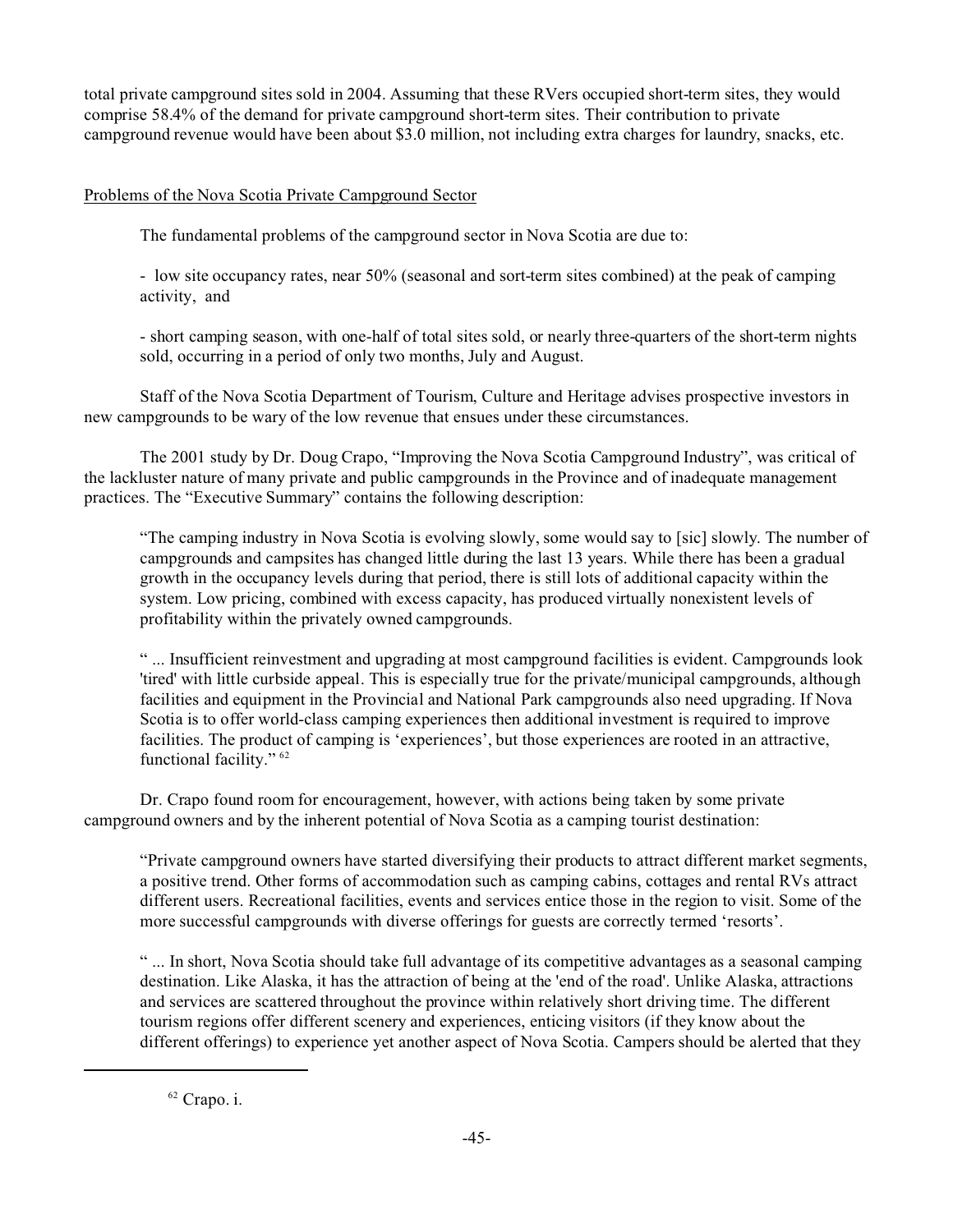total private campground sites sold in 2004. Assuming that these RVers occupied short-term sites, they would comprise 58.4% of the demand for private campground short-term sites. Their contribution to private campground revenue would have been about \$3.0 million, not including extra charges for laundry, snacks, etc.

## Problems of the Nova Scotia Private Campground Sector

The fundamental problems of the campground sector in Nova Scotia are due to:

- low site occupancy rates, near 50% (seasonal and sort-term sites combined) at the peak of camping activity, and

- short camping season, with one-half of total sites sold, or nearly three-quarters of the short-term nights sold, occurring in a period of only two months, July and August.

Staff of the Nova Scotia Department of Tourism, Culture and Heritage advises prospective investors in new campgrounds to be wary of the low revenue that ensues under these circumstances.

The 2001 study by Dr. Doug Crapo, "Improving the Nova Scotia Campground Industry", was critical of the lackluster nature of many private and public campgrounds in the Province and of inadequate management practices. The "Executive Summary" contains the following description:

"The camping industry in Nova Scotia is evolving slowly, some would say to [sic] slowly. The number of campgrounds and campsites has changed little during the last 13 years. While there has been a gradual growth in the occupancy levels during that period, there is still lots of additional capacity within the system. Low pricing, combined with excess capacity, has produced virtually nonexistent levels of profitability within the privately owned campgrounds.

" ... Insufficient reinvestment and upgrading at most campground facilities is evident. Campgrounds look 'tired' with little curbside appeal. This is especially true for the private/municipal campgrounds, although facilities and equipment in the Provincial and National Park campgrounds also need upgrading. If Nova Scotia is to offer world-class camping experiences then additional investment is required to improve facilities. The product of camping is 'experiences', but those experiences are rooted in an attractive, functional facility." <sup>62</sup>

Dr. Crapo found room for encouragement, however, with actions being taken by some private campground owners and by the inherent potential of Nova Scotia as a camping tourist destination:

"Private campground owners have started diversifying their products to attract different market segments, a positive trend. Other forms of accommodation such as camping cabins, cottages and rental RVs attract different users. Recreational facilities, events and services entice those in the region to visit. Some of the more successful campgrounds with diverse offerings for guests are correctly termed 'resorts'.

" ... In short, Nova Scotia should take full advantage of its competitive advantages as a seasonal camping destination. Like Alaska, it has the attraction of being at the 'end of the road'. Unlike Alaska, attractions and services are scattered throughout the province within relatively short driving time. The different tourism regions offer different scenery and experiences, enticing visitors (if they know about the different offerings) to experience yet another aspect of Nova Scotia. Campers should be alerted that they

 $62$  Crapo. i.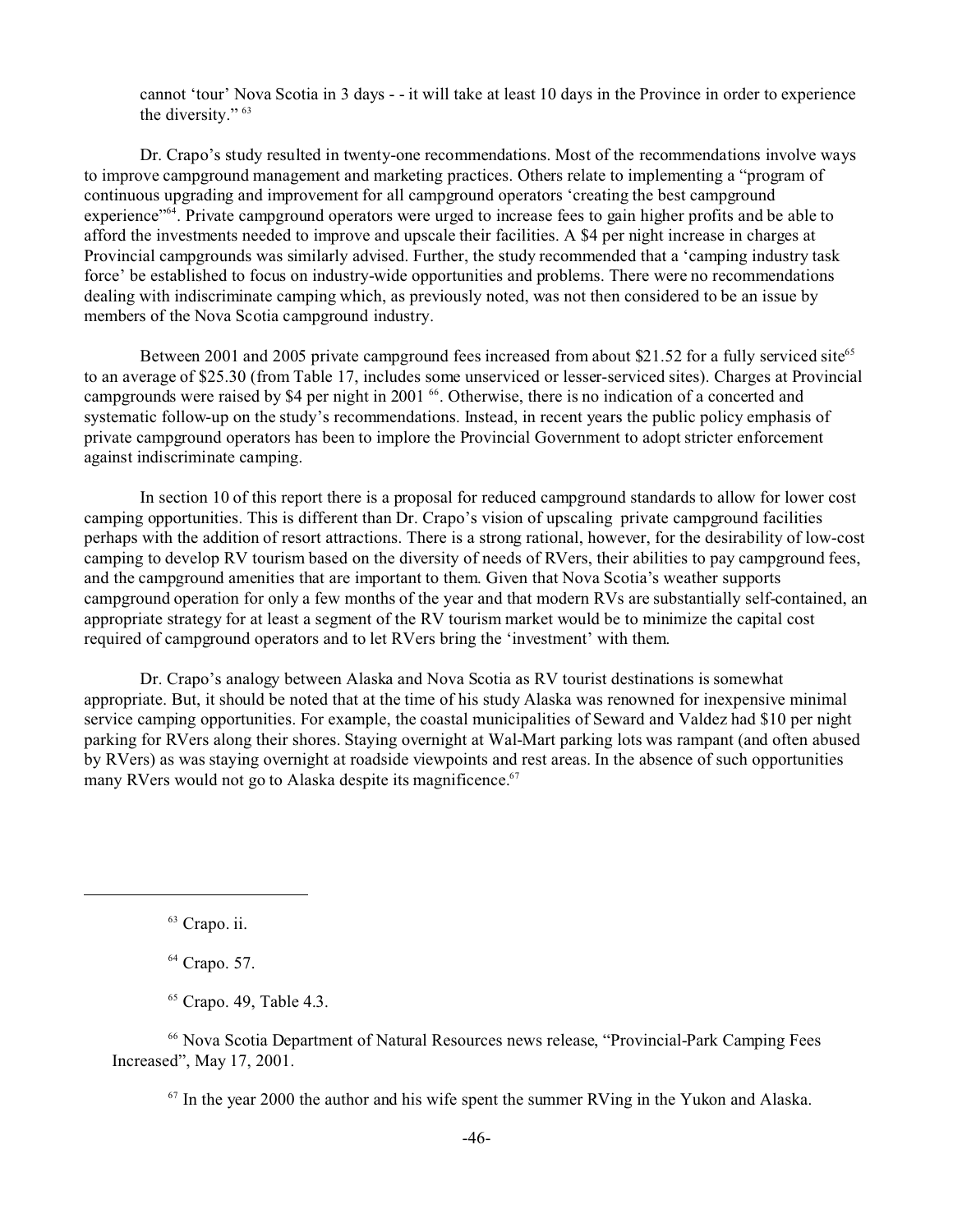cannot 'tour' Nova Scotia in 3 days - - it will take at least 10 days in the Province in order to experience the diversity." <sup>63</sup>

Dr. Crapo's study resulted in twenty-one recommendations. Most of the recommendations involve ways to improve campground management and marketing practices. Others relate to implementing a "program of continuous upgrading and improvement for all campground operators 'creating the best campground experience"<sup>64</sup>. Private campground operators were urged to increase fees to gain higher profits and be able to afford the investments needed to improve and upscale their facilities. A \$4 per night increase in charges at Provincial campgrounds was similarly advised. Further, the study recommended that a 'camping industry task force' be established to focus on industry-wide opportunities and problems. There were no recommendations dealing with indiscriminate camping which, as previously noted, was not then considered to be an issue by members of the Nova Scotia campground industry.

Between 2001 and 2005 private campground fees increased from about \$21.52 for a fully serviced site<sup>65</sup> to an average of \$25.30 (from Table 17, includes some unserviced or lesser-serviced sites). Charges at Provincial campgrounds were raised by \$4 per night in 2001 <sup>66</sup>. Otherwise, there is no indication of a concerted and systematic follow-up on the study's recommendations. Instead, in recent years the public policy emphasis of private campground operators has been to implore the Provincial Government to adopt stricter enforcement against indiscriminate camping.

In section 10 of this report there is a proposal for reduced campground standards to allow for lower cost camping opportunities. This is different than Dr. Crapo's vision of upscaling private campground facilities perhaps with the addition of resort attractions. There is a strong rational, however, for the desirability of low-cost camping to develop RV tourism based on the diversity of needs of RVers, their abilities to pay campground fees, and the campground amenities that are important to them. Given that Nova Scotia's weather supports campground operation for only a few months of the year and that modern RVs are substantially self-contained, an appropriate strategy for at least a segment of the RV tourism market would be to minimize the capital cost required of campground operators and to let RVers bring the 'investment' with them.

Dr. Crapo's analogy between Alaska and Nova Scotia as RV tourist destinations is somewhat appropriate. But, it should be noted that at the time of his study Alaska was renowned for inexpensive minimal service camping opportunities. For example, the coastal municipalities of Seward and Valdez had \$10 per night parking for RVers along their shores. Staying overnight at Wal-Mart parking lots was rampant (and often abused by RVers) as was staying overnight at roadside viewpoints and rest areas. In the absence of such opportunities many RVers would not go to Alaska despite its magnificence.<sup>67</sup>

<sup>66</sup> Nova Scotia Department of Natural Resources news release, "Provincial-Park Camping Fees Increased", May 17, 2001.

 $67$  In the year 2000 the author and his wife spent the summer RVing in the Yukon and Alaska.

 $63$  Crapo. ii.

<sup>64</sup> Crapo. 57.

<sup>&</sup>lt;sup>65</sup> Crapo. 49, Table 4.3.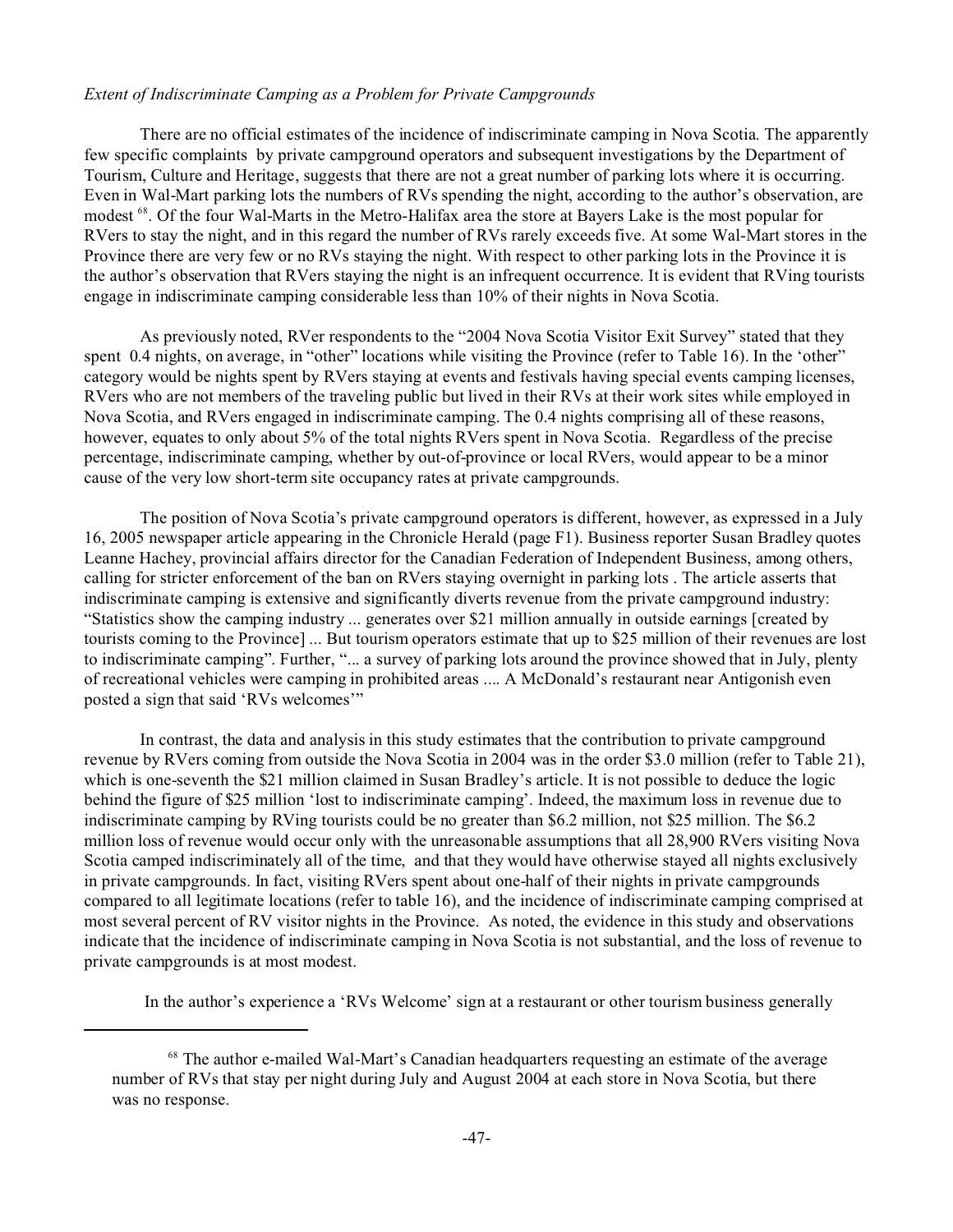### *Extent of Indiscriminate Camping as a Problem for Private Campgrounds*

There are no official estimates of the incidence of indiscriminate camping in Nova Scotia. The apparently few specific complaints by private campground operators and subsequent investigations by the Department of Tourism, Culture and Heritage, suggests that there are not a great number of parking lots where it is occurring. Even in Wal-Mart parking lots the numbers of RVs spending the night, according to the author's observation, are modest <sup>68</sup>. Of the four Wal-Marts in the Metro-Halifax area the store at Bayers Lake is the most popular for RVers to stay the night, and in this regard the number of RVs rarely exceeds five. At some Wal-Mart stores in the Province there are very few or no RVs staying the night. With respect to other parking lots in the Province it is the author's observation that RVers staying the night is an infrequent occurrence. It is evident that RVing tourists engage in indiscriminate camping considerable less than 10% of their nights in Nova Scotia.

As previously noted, RVer respondents to the "2004 Nova Scotia Visitor Exit Survey" stated that they spent 0.4 nights, on average, in "other" locations while visiting the Province (refer to Table 16). In the 'other" category would be nights spent by RVers staying at events and festivals having special events camping licenses, RVers who are not members of the traveling public but lived in their RVs at their work sites while employed in Nova Scotia, and RVers engaged in indiscriminate camping. The 0.4 nights comprising all of these reasons, however, equates to only about 5% of the total nights RVers spent in Nova Scotia. Regardless of the precise percentage, indiscriminate camping, whether by out-of-province or local RVers, would appear to be a minor cause of the very low short-term site occupancy rates at private campgrounds.

The position of Nova Scotia's private campground operators is different, however, as expressed in a July 16, 2005 newspaper article appearing in the Chronicle Herald (page F1). Business reporter Susan Bradley quotes Leanne Hachey, provincial affairs director for the Canadian Federation of Independent Business, among others, calling for stricter enforcement of the ban on RVers staying overnight in parking lots . The article asserts that indiscriminate camping is extensive and significantly diverts revenue from the private campground industry: "Statistics show the camping industry ... generates over \$21 million annually in outside earnings [created by tourists coming to the Province] ... But tourism operators estimate that up to \$25 million of their revenues are lost to indiscriminate camping". Further, "... a survey of parking lots around the province showed that in July, plenty of recreational vehicles were camping in prohibited areas .... A McDonald's restaurant near Antigonish even posted a sign that said 'RVs welcomes'"

In contrast, the data and analysis in this study estimates that the contribution to private campground revenue by RVers coming from outside the Nova Scotia in 2004 was in the order \$3.0 million (refer to Table 21), which is one-seventh the \$21 million claimed in Susan Bradley's article. It is not possible to deduce the logic behind the figure of \$25 million 'lost to indiscriminate camping'. Indeed, the maximum loss in revenue due to indiscriminate camping by RVing tourists could be no greater than \$6.2 million, not \$25 million. The \$6.2 million loss of revenue would occur only with the unreasonable assumptions that all 28,900 RVers visiting Nova Scotia camped indiscriminately all of the time, and that they would have otherwise stayed all nights exclusively in private campgrounds. In fact, visiting RVers spent about one-half of their nights in private campgrounds compared to all legitimate locations (refer to table 16), and the incidence of indiscriminate camping comprised at most several percent of RV visitor nights in the Province. As noted, the evidence in this study and observations indicate that the incidence of indiscriminate camping in Nova Scotia is not substantial, and the loss of revenue to private campgrounds is at most modest.

In the author's experience a 'RVs Welcome' sign at a restaurant or other tourism business generally

<sup>&</sup>lt;sup>68</sup> The author e-mailed Wal-Mart's Canadian headquarters requesting an estimate of the average number of RVs that stay per night during July and August 2004 at each store in Nova Scotia, but there was no response.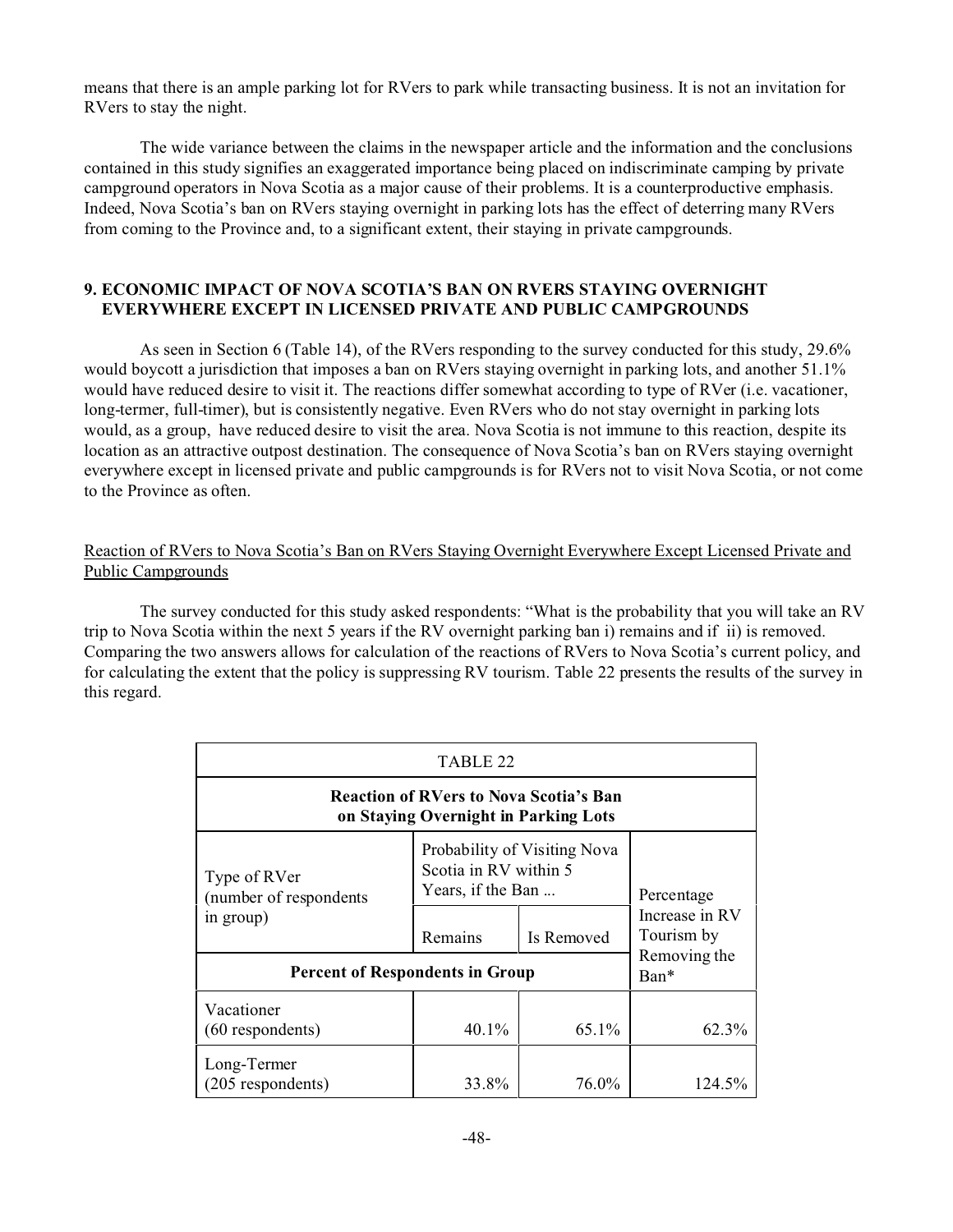means that there is an ample parking lot for RVers to park while transacting business. It is not an invitation for RVers to stay the night.

The wide variance between the claims in the newspaper article and the information and the conclusions contained in this study signifies an exaggerated importance being placed on indiscriminate camping by private campground operators in Nova Scotia as a major cause of their problems. It is a counterproductive emphasis. Indeed, Nova Scotia's ban on RVers staying overnight in parking lots has the effect of deterring many RVers from coming to the Province and, to a significant extent, their staying in private campgrounds.

## **9. ECONOMIC IMPACT OF NOVA SCOTIA'S BAN ON RVERS STAYING OVERNIGHT EVERYWHERE EXCEPT IN LICENSED PRIVATE AND PUBLIC CAMPGROUNDS**

As seen in Section 6 (Table 14), of the RVers responding to the survey conducted for this study, 29.6% would boycott a jurisdiction that imposes a ban on RVers staying overnight in parking lots, and another 51.1% would have reduced desire to visit it. The reactions differ somewhat according to type of RVer (i.e. vacationer, long-termer, full-timer), but is consistently negative. Even RVers who do not stay overnight in parking lots would, as a group, have reduced desire to visit the area. Nova Scotia is not immune to this reaction, despite its location as an attractive outpost destination. The consequence of Nova Scotia's ban on RVers staying overnight everywhere except in licensed private and public campgrounds is for RVers not to visit Nova Scotia, or not come to the Province as often.

## Reaction of RVers to Nova Scotia's Ban on RVers Staying Overnight Everywhere Except Licensed Private and Public Campgrounds

The survey conducted for this study asked respondents: "What is the probability that you will take an RV trip to Nova Scotia within the next 5 years if the RV overnight parking ban i) remains and if ii) is removed. Comparing the two answers allows for calculation of the reactions of RVers to Nova Scotia's current policy, and for calculating the extent that the policy is suppressing RV tourism. Table 22 presents the results of the survey in this regard.

| TABLE 22                                                                              |                                                                            |            |                              |
|---------------------------------------------------------------------------------------|----------------------------------------------------------------------------|------------|------------------------------|
| <b>Reaction of RVers to Nova Scotia's Ban</b><br>on Staying Overnight in Parking Lots |                                                                            |            |                              |
| Type of RVer<br>(number of respondents)                                               | Probability of Visiting Nova<br>Scotia in RV within 5<br>Years, if the Ban | Percentage |                              |
| in group)                                                                             | Remains<br>Is Removed                                                      |            | Increase in RV<br>Tourism by |
| <b>Percent of Respondents in Group</b>                                                |                                                                            |            | Removing the<br>Ban*         |
| Vacationer<br>(60 respondents)                                                        | 40.1%                                                                      | 65.1%      | 62.3%                        |
| Long-Termer<br>(205 respondents)                                                      | 33.8%                                                                      | 76.0%      | 124.5%                       |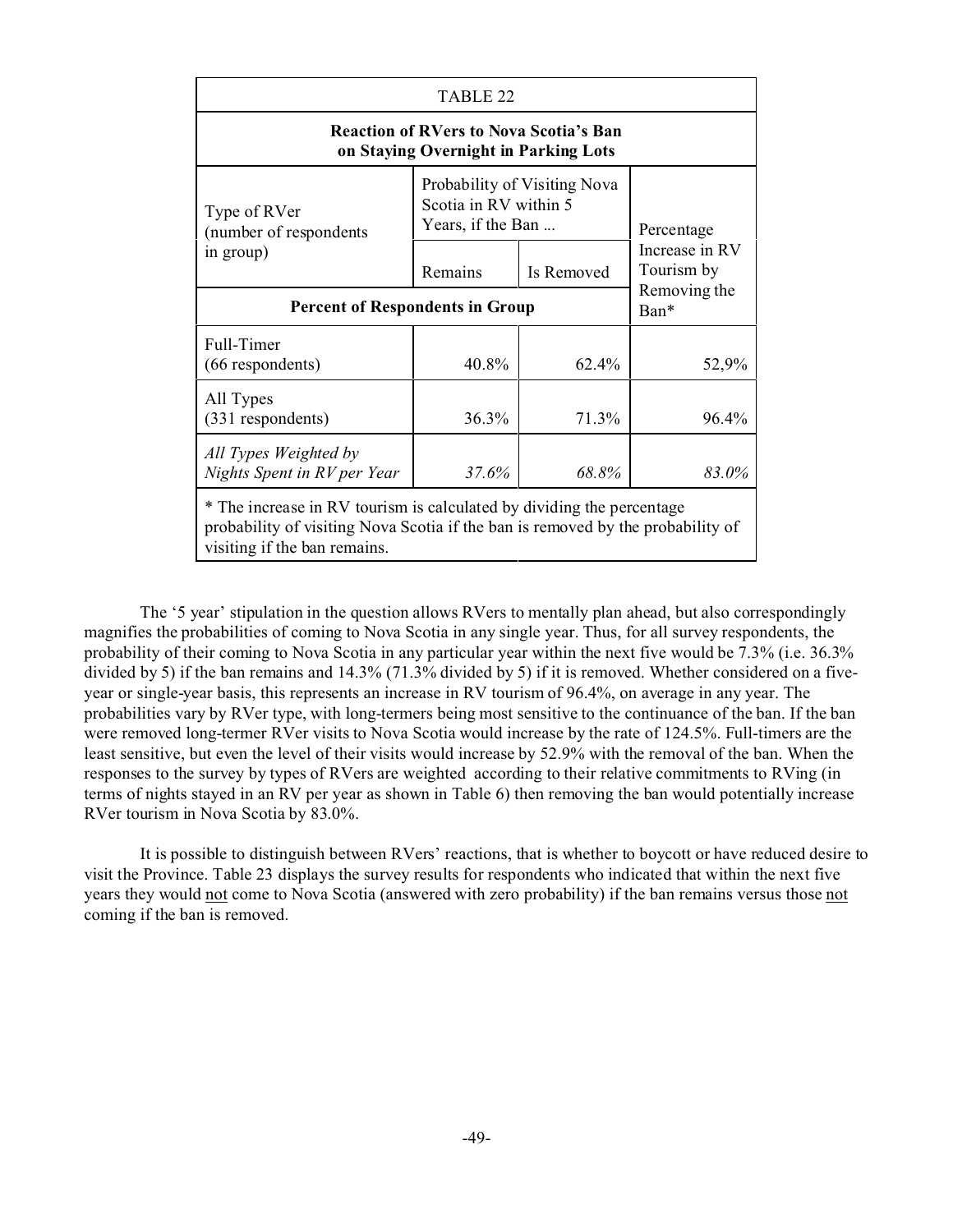| TABLE 22                                                                                                                                                                                 |          |            |                              |
|------------------------------------------------------------------------------------------------------------------------------------------------------------------------------------------|----------|------------|------------------------------|
| <b>Reaction of RVers to Nova Scotia's Ban</b><br>on Staying Overnight in Parking Lots                                                                                                    |          |            |                              |
| Probability of Visiting Nova<br>Scotia in RV within 5<br>Type of RVer<br>Years, if the Ban<br>(number of respondents                                                                     |          |            | Percentage                   |
| in group)                                                                                                                                                                                | Remains  | Is Removed | Increase in RV<br>Tourism by |
| <b>Percent of Respondents in Group</b>                                                                                                                                                   |          |            | Removing the<br>Ban*         |
| Full-Timer<br>(66 respondents)                                                                                                                                                           | 40.8%    | 62.4%      | 52,9%                        |
| All Types<br>(331 respondents)                                                                                                                                                           | $36.3\%$ | 71.3%      | 96.4%                        |
| All Types Weighted by<br>Nights Spent in RV per Year                                                                                                                                     | 37.6%    | 68.8%      | 83.0%                        |
| * The increase in RV tourism is calculated by dividing the percentage<br>probability of visiting Nova Scotia if the ban is removed by the probability of<br>visiting if the ban remains. |          |            |                              |

The '5 year' stipulation in the question allows RVers to mentally plan ahead, but also correspondingly magnifies the probabilities of coming to Nova Scotia in any single year. Thus, for all survey respondents, the probability of their coming to Nova Scotia in any particular year within the next five would be 7.3% (i.e. 36.3% divided by 5) if the ban remains and 14.3% (71.3% divided by 5) if it is removed. Whether considered on a fiveyear or single-year basis, this represents an increase in RV tourism of 96.4%, on average in any year. The probabilities vary by RVer type, with long-termers being most sensitive to the continuance of the ban. If the ban were removed long-termer RVer visits to Nova Scotia would increase by the rate of 124.5%. Full-timers are the least sensitive, but even the level of their visits would increase by 52.9% with the removal of the ban. When the responses to the survey by types of RVers are weighted according to their relative commitments to RVing (in terms of nights stayed in an RV per year as shown in Table 6) then removing the ban would potentially increase RVer tourism in Nova Scotia by 83.0%.

It is possible to distinguish between RVers' reactions, that is whether to boycott or have reduced desire to visit the Province. Table 23 displays the survey results for respondents who indicated that within the next five years they would not come to Nova Scotia (answered with zero probability) if the ban remains versus those not coming if the ban is removed.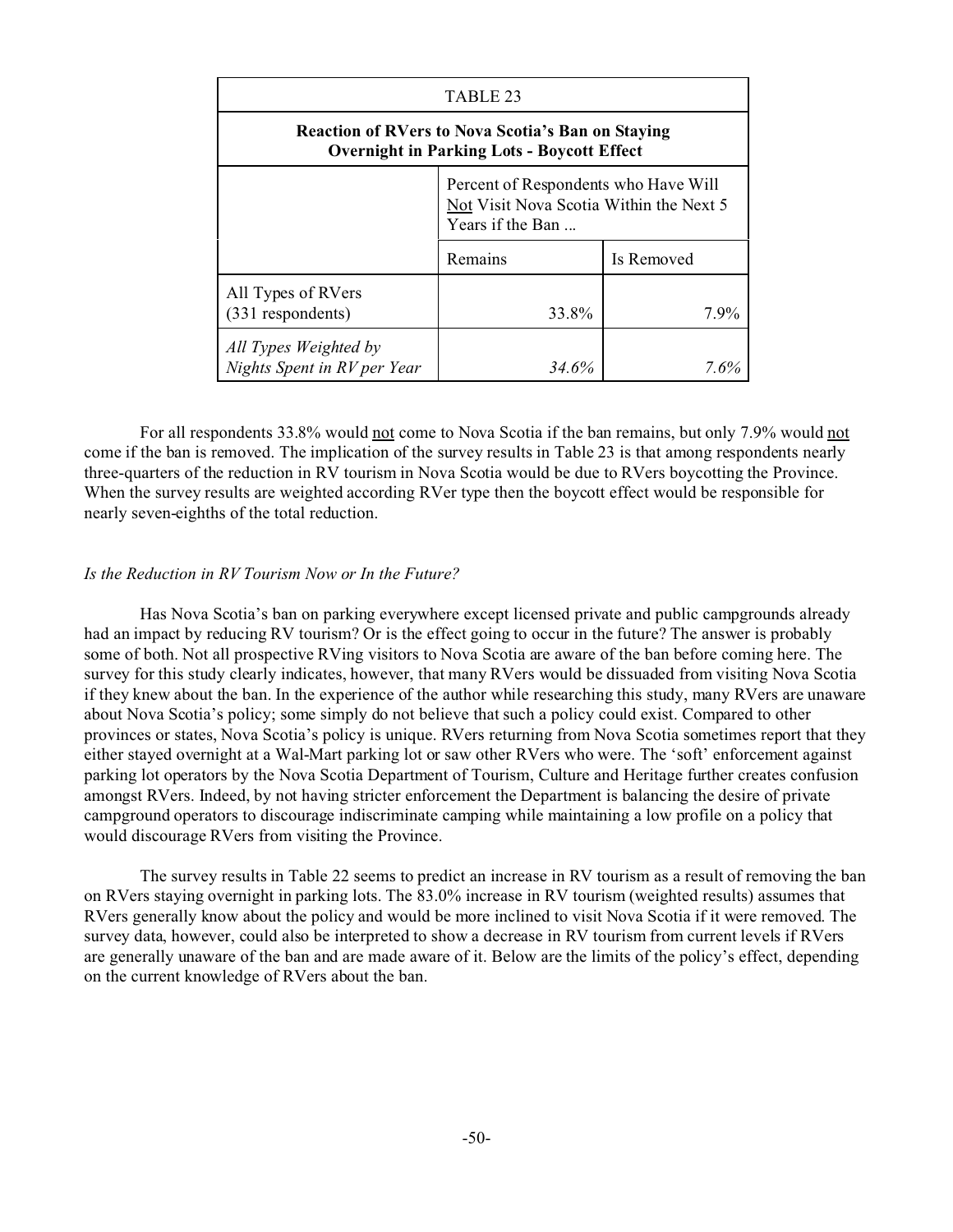| TABLE 23                                                                                                      |                                                                                                     |      |  |
|---------------------------------------------------------------------------------------------------------------|-----------------------------------------------------------------------------------------------------|------|--|
| <b>Reaction of RVers to Nova Scotia's Ban on Staying</b><br><b>Overnight in Parking Lots - Boycott Effect</b> |                                                                                                     |      |  |
|                                                                                                               | Percent of Respondents who Have Will<br>Not Visit Nova Scotia Within the Next 5<br>Years if the Ban |      |  |
|                                                                                                               | Is Removed<br>Remains                                                                               |      |  |
| All Types of RVers<br>(331 respondents)                                                                       | 33.8%                                                                                               | 7.9% |  |
| All Types Weighted by<br>Nights Spent in RV per Year                                                          | 34.6%                                                                                               |      |  |

For all respondents 33.8% would not come to Nova Scotia if the ban remains, but only 7.9% would not come if the ban is removed. The implication of the survey results in Table 23 is that among respondents nearly three-quarters of the reduction in RV tourism in Nova Scotia would be due to RVers boycotting the Province. When the survey results are weighted according RVer type then the boycott effect would be responsible for nearly seven-eighths of the total reduction.

#### *Is the Reduction in RV Tourism Now or In the Future?*

Has Nova Scotia's ban on parking everywhere except licensed private and public campgrounds already had an impact by reducing RV tourism? Or is the effect going to occur in the future? The answer is probably some of both. Not all prospective RVing visitors to Nova Scotia are aware of the ban before coming here. The survey for this study clearly indicates, however, that many RVers would be dissuaded from visiting Nova Scotia if they knew about the ban. In the experience of the author while researching this study, many RVers are unaware about Nova Scotia's policy; some simply do not believe that such a policy could exist. Compared to other provinces or states, Nova Scotia's policy is unique. RVers returning from Nova Scotia sometimes report that they either stayed overnight at a Wal-Mart parking lot or saw other RVers who were. The 'soft' enforcement against parking lot operators by the Nova Scotia Department of Tourism, Culture and Heritage further creates confusion amongst RVers. Indeed, by not having stricter enforcement the Department is balancing the desire of private campground operators to discourage indiscriminate camping while maintaining a low profile on a policy that would discourage RVers from visiting the Province.

The survey results in Table 22 seems to predict an increase in RV tourism as a result of removing the ban on RVers staying overnight in parking lots. The 83.0% increase in RV tourism (weighted results) assumes that RVers generally know about the policy and would be more inclined to visit Nova Scotia if it were removed. The survey data, however, could also be interpreted to show a decrease in RV tourism from current levels if RVers are generally unaware of the ban and are made aware of it. Below are the limits of the policy's effect, depending on the current knowledge of RVers about the ban.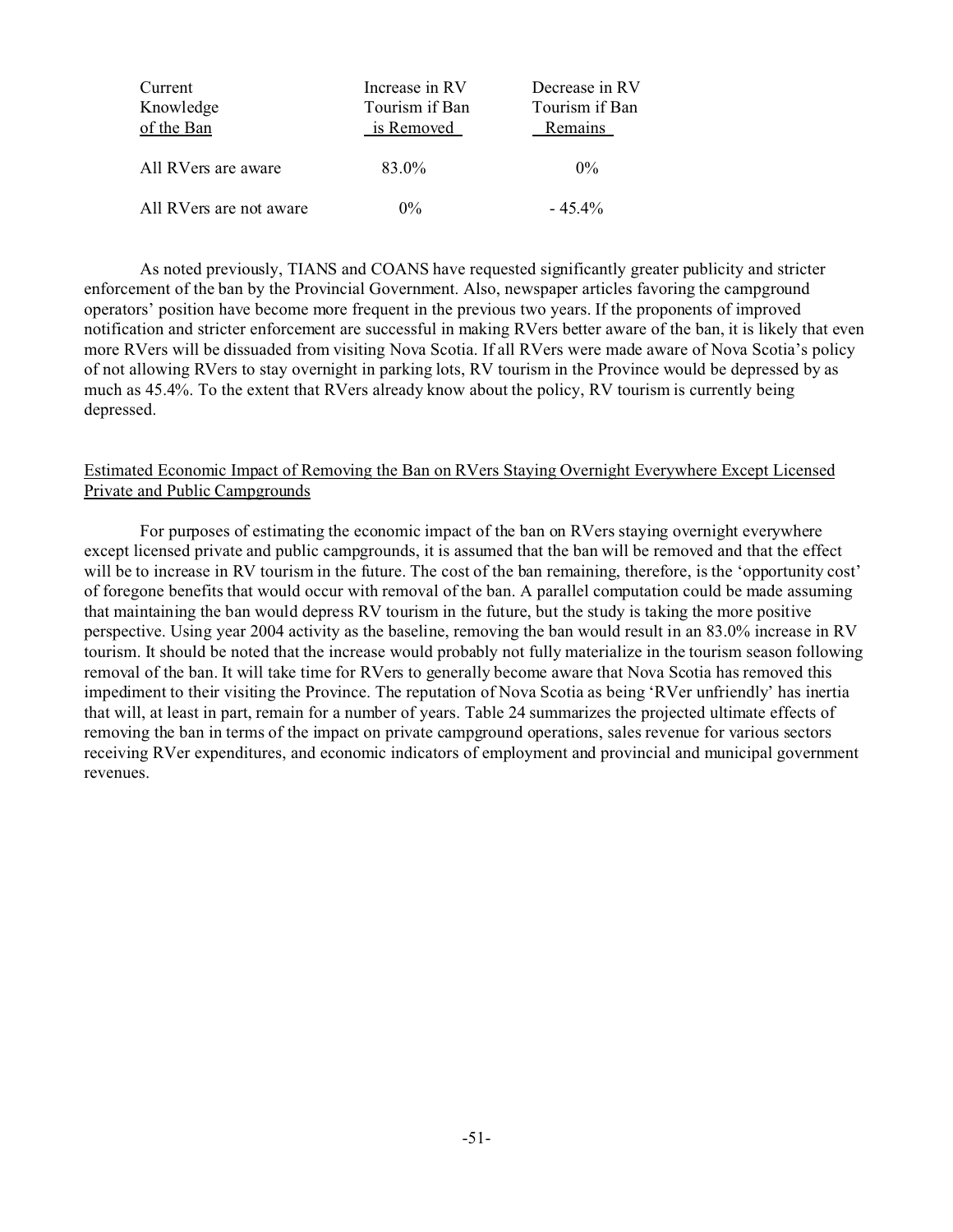| Current                 | Increase in RV | Decrease in RV |
|-------------------------|----------------|----------------|
| Knowledge               | Tourism if Ban | Tourism if Ban |
| of the Ban              | is Removed     | Remains        |
| All RVers are aware     | 83.0%          | $0\%$          |
| All RVers are not aware | $0\%$          | $-45.4\%$      |

As noted previously, TIANS and COANS have requested significantly greater publicity and stricter enforcement of the ban by the Provincial Government. Also, newspaper articles favoring the campground operators' position have become more frequent in the previous two years. If the proponents of improved notification and stricter enforcement are successful in making RVers better aware of the ban, it is likely that even more RVers will be dissuaded from visiting Nova Scotia. If all RVers were made aware of Nova Scotia's policy of not allowing RVers to stay overnight in parking lots, RV tourism in the Province would be depressed by as much as 45.4%. To the extent that RVers already know about the policy, RV tourism is currently being depressed.

### Estimated Economic Impact of Removing the Ban on RVers Staying Overnight Everywhere Except Licensed Private and Public Campgrounds

For purposes of estimating the economic impact of the ban on RVers staying overnight everywhere except licensed private and public campgrounds, it is assumed that the ban will be removed and that the effect will be to increase in RV tourism in the future. The cost of the ban remaining, therefore, is the 'opportunity cost' of foregone benefits that would occur with removal of the ban. A parallel computation could be made assuming that maintaining the ban would depress RV tourism in the future, but the study is taking the more positive perspective. Using year 2004 activity as the baseline, removing the ban would result in an 83.0% increase in RV tourism. It should be noted that the increase would probably not fully materialize in the tourism season following removal of the ban. It will take time for RVers to generally become aware that Nova Scotia has removed this impediment to their visiting the Province. The reputation of Nova Scotia as being 'RVer unfriendly' has inertia that will, at least in part, remain for a number of years. Table 24 summarizes the projected ultimate effects of removing the ban in terms of the impact on private campground operations, sales revenue for various sectors receiving RVer expenditures, and economic indicators of employment and provincial and municipal government revenues.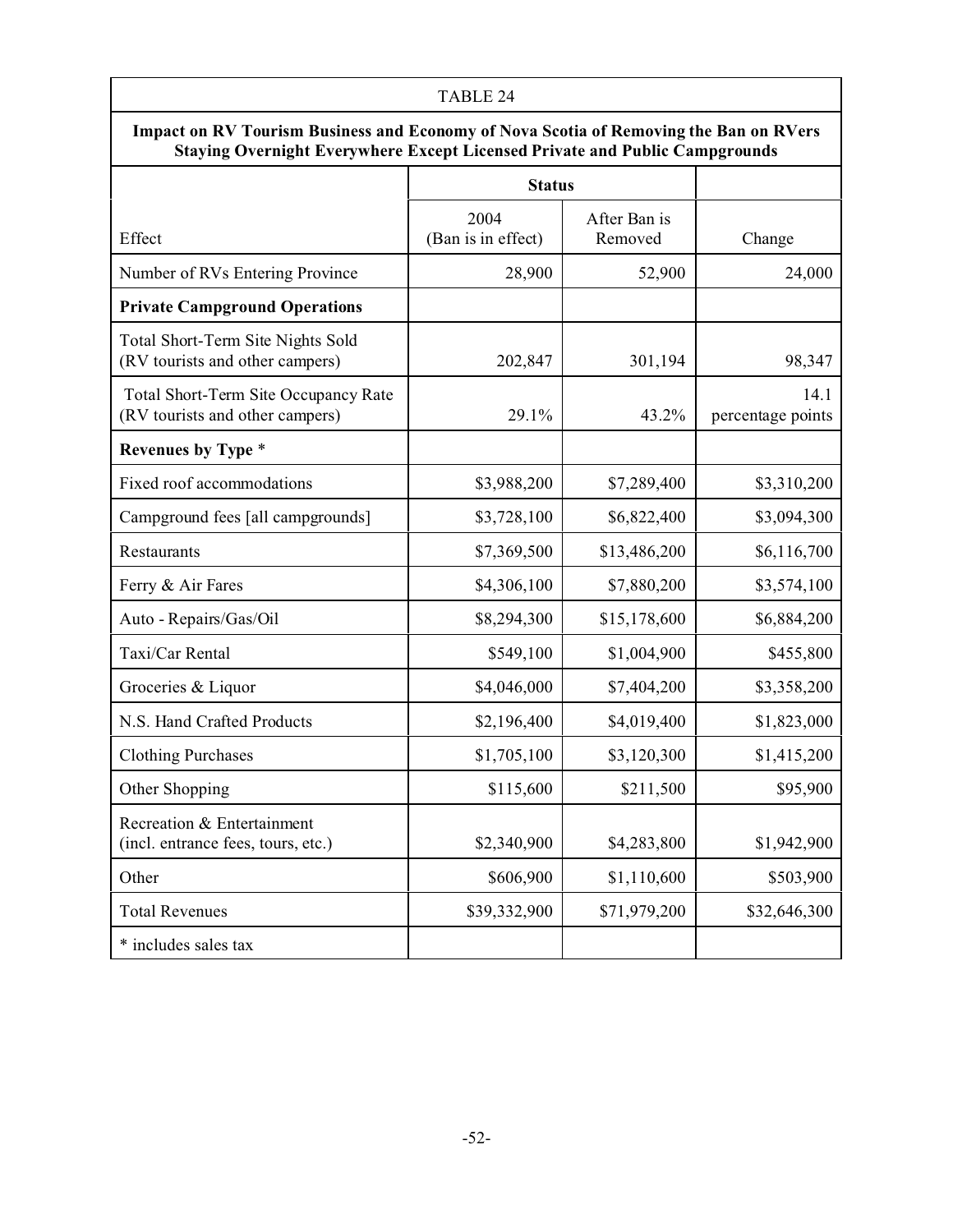| TABLE 24                                                                                                                                                                    |                            |                         |                           |
|-----------------------------------------------------------------------------------------------------------------------------------------------------------------------------|----------------------------|-------------------------|---------------------------|
| Impact on RV Tourism Business and Economy of Nova Scotia of Removing the Ban on RVers<br><b>Staying Overnight Everywhere Except Licensed Private and Public Campgrounds</b> |                            |                         |                           |
|                                                                                                                                                                             | <b>Status</b>              |                         |                           |
| Effect                                                                                                                                                                      | 2004<br>(Ban is in effect) | After Ban is<br>Removed | Change                    |
| Number of RVs Entering Province                                                                                                                                             | 28,900                     | 52,900                  | 24,000                    |
| <b>Private Campground Operations</b>                                                                                                                                        |                            |                         |                           |
| Total Short-Term Site Nights Sold<br>(RV tourists and other campers)                                                                                                        | 202,847                    | 301,194                 | 98,347                    |
| Total Short-Term Site Occupancy Rate<br>(RV tourists and other campers)                                                                                                     | 29.1%                      | 43.2%                   | 14.1<br>percentage points |
| Revenues by Type *                                                                                                                                                          |                            |                         |                           |
| Fixed roof accommodations                                                                                                                                                   | \$3,988,200                | \$7,289,400             | \$3,310,200               |
| Campground fees [all campgrounds]                                                                                                                                           | \$3,728,100                | \$6,822,400             | \$3,094,300               |
| Restaurants                                                                                                                                                                 | \$7,369,500                | \$13,486,200            | \$6,116,700               |
| Ferry & Air Fares                                                                                                                                                           | \$4,306,100                | \$7,880,200             | \$3,574,100               |
| Auto - Repairs/Gas/Oil                                                                                                                                                      | \$8,294,300                | \$15,178,600            | \$6,884,200               |
| Taxi/Car Rental                                                                                                                                                             | \$549,100                  | \$1,004,900             | \$455,800                 |
| Groceries & Liquor                                                                                                                                                          | \$4,046,000                | \$7,404,200             | \$3,358,200               |
| N.S. Hand Crafted Products                                                                                                                                                  | \$2,196,400                | \$4,019,400             | \$1,823,000               |
| <b>Clothing Purchases</b>                                                                                                                                                   | \$1,705,100                | \$3,120,300             | \$1,415,200               |
| Other Shopping                                                                                                                                                              | \$115,600                  | \$211,500               | \$95,900                  |
| Recreation & Entertainment<br>(incl. entrance fees, tours, etc.)                                                                                                            | \$2,340,900                | \$4,283,800             | \$1,942,900               |
| Other                                                                                                                                                                       | \$606,900                  | \$1,110,600             | \$503,900                 |
| <b>Total Revenues</b>                                                                                                                                                       | \$39,332,900               | \$71,979,200            | \$32,646,300              |
| * includes sales tax                                                                                                                                                        |                            |                         |                           |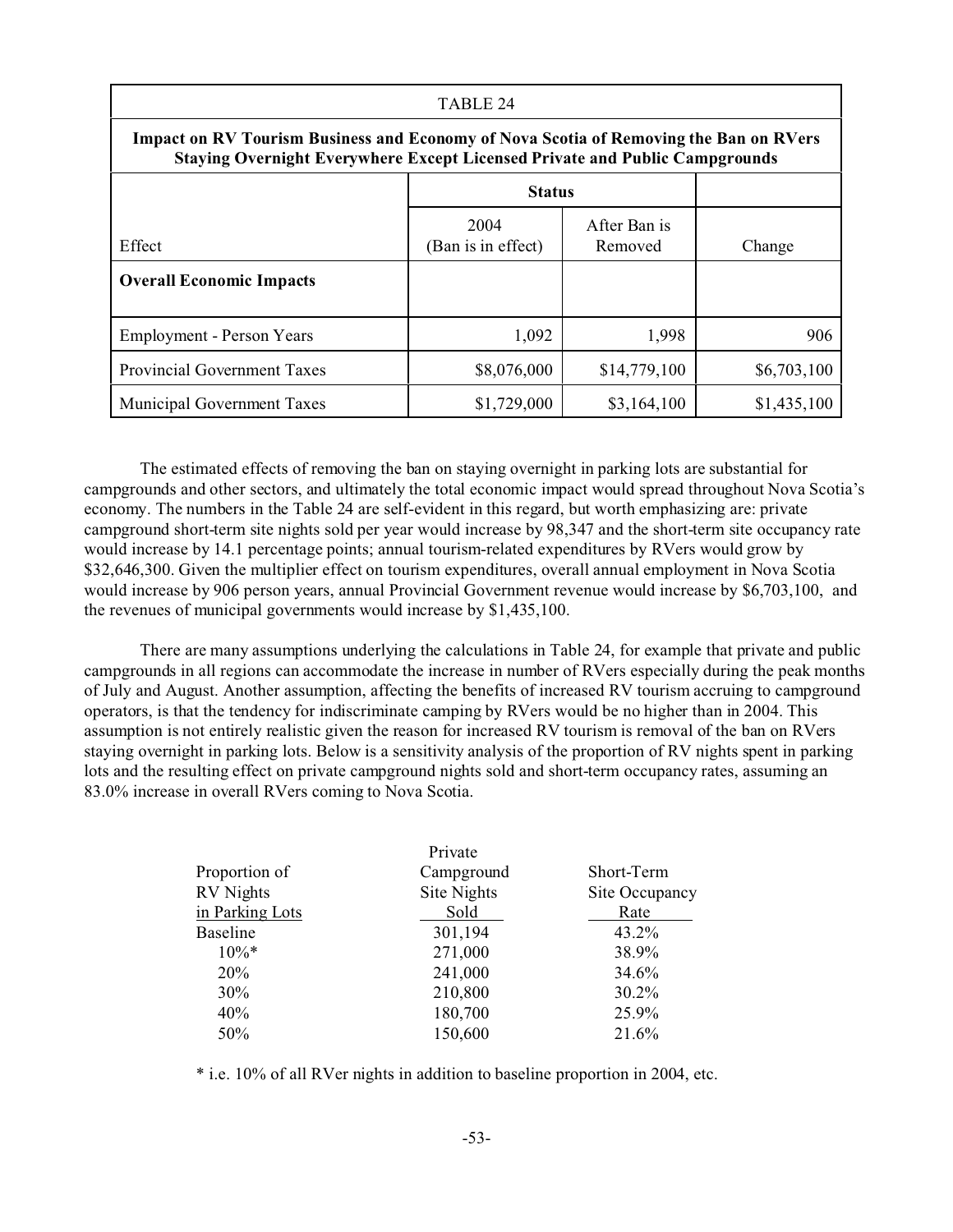| TABLE 24                                                                                                                                                                    |                            |              |             |
|-----------------------------------------------------------------------------------------------------------------------------------------------------------------------------|----------------------------|--------------|-------------|
| Impact on RV Tourism Business and Economy of Nova Scotia of Removing the Ban on RVers<br><b>Staying Overnight Everywhere Except Licensed Private and Public Campgrounds</b> |                            |              |             |
| <b>Status</b>                                                                                                                                                               |                            |              |             |
| Effect                                                                                                                                                                      | 2004<br>(Ban is in effect) | Change       |             |
| <b>Overall Economic Impacts</b>                                                                                                                                             |                            |              |             |
| <b>Employment - Person Years</b>                                                                                                                                            | 1,092                      | 1,998        | 906         |
| <b>Provincial Government Taxes</b>                                                                                                                                          | \$8,076,000                | \$14,779,100 | \$6,703,100 |
| <b>Municipal Government Taxes</b>                                                                                                                                           | \$1,729,000                | \$3,164,100  | \$1,435,100 |

The estimated effects of removing the ban on staying overnight in parking lots are substantial for campgrounds and other sectors, and ultimately the total economic impact would spread throughout Nova Scotia's economy. The numbers in the Table 24 are self-evident in this regard, but worth emphasizing are: private campground short-term site nights sold per year would increase by 98,347 and the short-term site occupancy rate would increase by 14.1 percentage points; annual tourism-related expenditures by RVers would grow by \$32,646,300. Given the multiplier effect on tourism expenditures, overall annual employment in Nova Scotia would increase by 906 person years, annual Provincial Government revenue would increase by \$6,703,100, and the revenues of municipal governments would increase by \$1,435,100.

There are many assumptions underlying the calculations in Table 24, for example that private and public campgrounds in all regions can accommodate the increase in number of RVers especially during the peak months of July and August. Another assumption, affecting the benefits of increased RV tourism accruing to campground operators, is that the tendency for indiscriminate camping by RVers would be no higher than in 2004. This assumption is not entirely realistic given the reason for increased RV tourism is removal of the ban on RVers staying overnight in parking lots. Below is a sensitivity analysis of the proportion of RV nights spent in parking lots and the resulting effect on private campground nights sold and short-term occupancy rates, assuming an 83.0% increase in overall RVers coming to Nova Scotia.

| Private     |                |
|-------------|----------------|
| Campground  | Short-Term     |
| Site Nights | Site Occupancy |
| Sold        | Rate           |
| 301,194     | 43.2%          |
| 271,000     | 38.9%          |
| 241,000     | 34.6%          |
| 210,800     | 30.2%          |
| 180,700     | 25.9%          |
| 150,600     | 21.6%          |
|             |                |

\* i.e. 10% of all RVer nights in addition to baseline proportion in 2004, etc.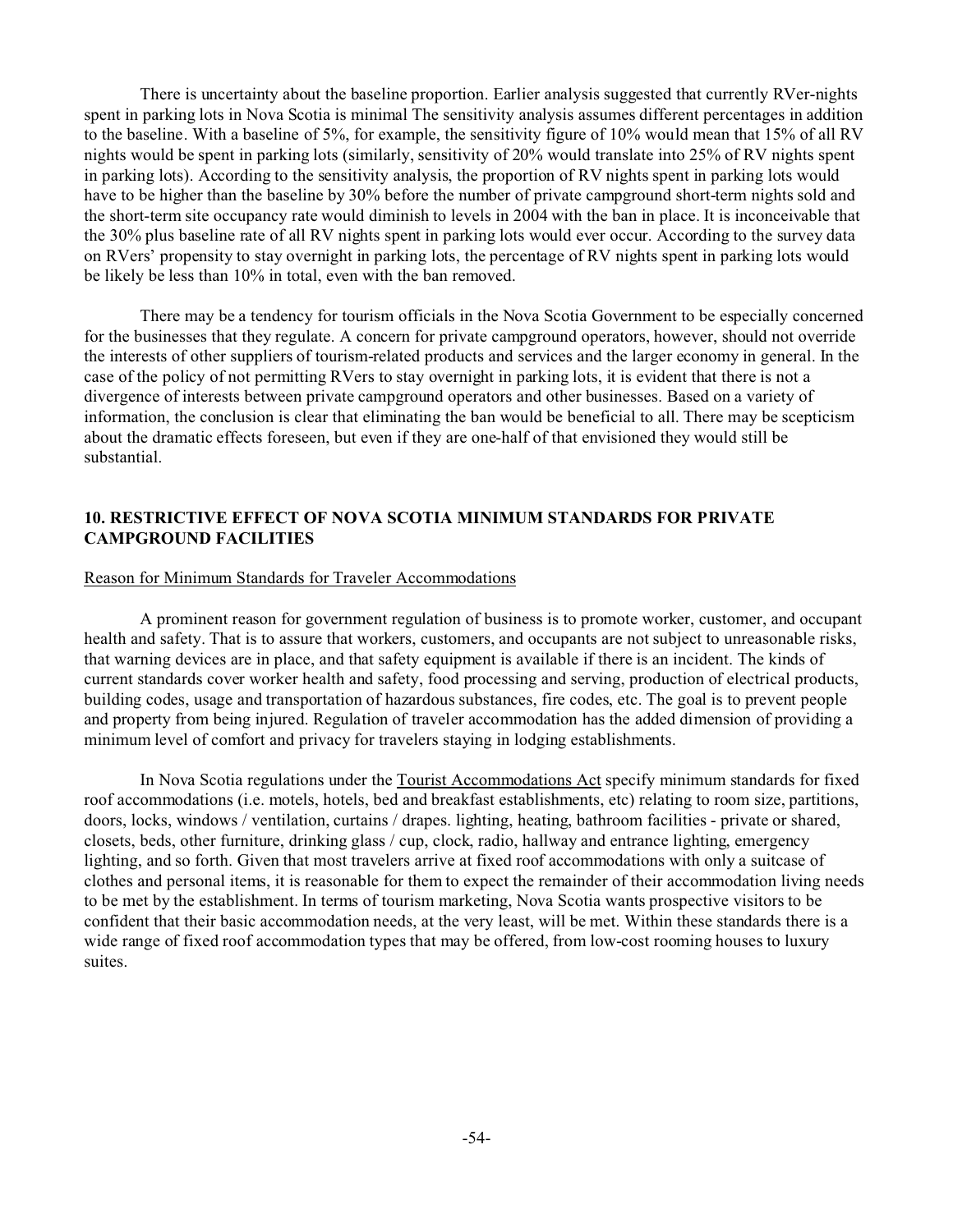There is uncertainty about the baseline proportion. Earlier analysis suggested that currently RVer-nights spent in parking lots in Nova Scotia is minimal The sensitivity analysis assumes different percentages in addition to the baseline. With a baseline of 5%, for example, the sensitivity figure of 10% would mean that 15% of all RV nights would be spent in parking lots (similarly, sensitivity of 20% would translate into 25% of RV nights spent in parking lots). According to the sensitivity analysis, the proportion of RV nights spent in parking lots would have to be higher than the baseline by 30% before the number of private campground short-term nights sold and the short-term site occupancy rate would diminish to levels in 2004 with the ban in place. It is inconceivable that the 30% plus baseline rate of all RV nights spent in parking lots would ever occur. According to the survey data on RVers' propensity to stay overnight in parking lots, the percentage of RV nights spent in parking lots would be likely be less than 10% in total, even with the ban removed.

There may be a tendency for tourism officials in the Nova Scotia Government to be especially concerned for the businesses that they regulate. A concern for private campground operators, however, should not override the interests of other suppliers of tourism-related products and services and the larger economy in general. In the case of the policy of not permitting RVers to stay overnight in parking lots, it is evident that there is not a divergence of interests between private campground operators and other businesses. Based on a variety of information, the conclusion is clear that eliminating the ban would be beneficial to all. There may be scepticism about the dramatic effects foreseen, but even if they are one-half of that envisioned they would still be substantial.

### **10. RESTRICTIVE EFFECT OF NOVA SCOTIA MINIMUM STANDARDS FOR PRIVATE CAMPGROUND FACILITIES**

#### Reason for Minimum Standards for Traveler Accommodations

A prominent reason for government regulation of business is to promote worker, customer, and occupant health and safety. That is to assure that workers, customers, and occupants are not subject to unreasonable risks, that warning devices are in place, and that safety equipment is available if there is an incident. The kinds of current standards cover worker health and safety, food processing and serving, production of electrical products, building codes, usage and transportation of hazardous substances, fire codes, etc. The goal is to prevent people and property from being injured. Regulation of traveler accommodation has the added dimension of providing a minimum level of comfort and privacy for travelers staying in lodging establishments.

In Nova Scotia regulations under the Tourist Accommodations Act specify minimum standards for fixed roof accommodations (i.e. motels, hotels, bed and breakfast establishments, etc) relating to room size, partitions, doors, locks, windows / ventilation, curtains / drapes. lighting, heating, bathroom facilities - private or shared, closets, beds, other furniture, drinking glass / cup, clock, radio, hallway and entrance lighting, emergency lighting, and so forth. Given that most travelers arrive at fixed roof accommodations with only a suitcase of clothes and personal items, it is reasonable for them to expect the remainder of their accommodation living needs to be met by the establishment. In terms of tourism marketing, Nova Scotia wants prospective visitors to be confident that their basic accommodation needs, at the very least, will be met. Within these standards there is a wide range of fixed roof accommodation types that may be offered, from low-cost rooming houses to luxury suites.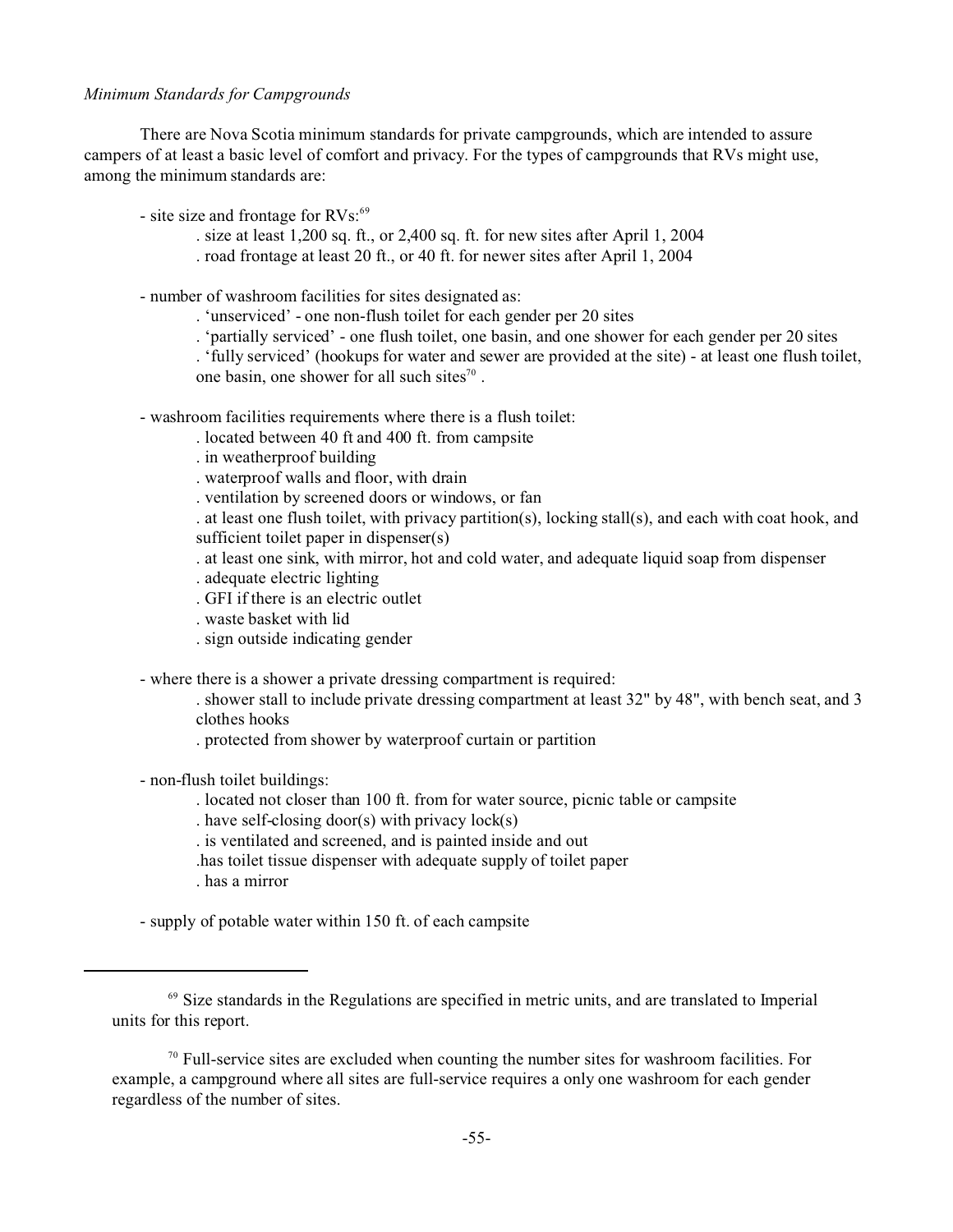### *Minimum Standards for Campgrounds*

There are Nova Scotia minimum standards for private campgrounds, which are intended to assure campers of at least a basic level of comfort and privacy. For the types of campgrounds that RVs might use, among the minimum standards are:

- site size and frontage for  $RVs: <sup>69</sup>$ 

. size at least 1,200 sq. ft., or 2,400 sq. ft. for new sites after April 1, 2004

. road frontage at least 20 ft., or 40 ft. for newer sites after April 1, 2004

- number of washroom facilities for sites designated as:

. 'unserviced' - one non-flush toilet for each gender per 20 sites

. 'partially serviced' - one flush toilet, one basin, and one shower for each gender per 20 sites

. 'fully serviced' (hookups for water and sewer are provided at the site) - at least one flush toilet, one basin, one shower for all such sites $70$ .

- washroom facilities requirements where there is a flush toilet:

. located between 40 ft and 400 ft. from campsite

. in weatherproof building

. waterproof walls and floor, with drain

. ventilation by screened doors or windows, or fan

. at least one flush toilet, with privacy partition(s), locking stall(s), and each with coat hook, and sufficient toilet paper in dispenser(s)

. at least one sink, with mirror, hot and cold water, and adequate liquid soap from dispenser

. adequate electric lighting

. GFI if there is an electric outlet

. waste basket with lid

. sign outside indicating gender

- where there is a shower a private dressing compartment is required:

. shower stall to include private dressing compartment at least 32" by 48", with bench seat, and 3 clothes hooks

. protected from shower by waterproof curtain or partition

- non-flush toilet buildings:

. located not closer than 100 ft. from for water source, picnic table or campsite

. have self-closing door(s) with privacy lock(s)

. is ventilated and screened, and is painted inside and out

.has toilet tissue dispenser with adequate supply of toilet paper

. has a mirror

- supply of potable water within 150 ft. of each campsite

 $70$  Full-service sites are excluded when counting the number sites for washroom facilities. For example, a campground where all sites are full-service requires a only one washroom for each gender regardless of the number of sites.

<sup>&</sup>lt;sup>69</sup> Size standards in the Regulations are specified in metric units, and are translated to Imperial units for this report.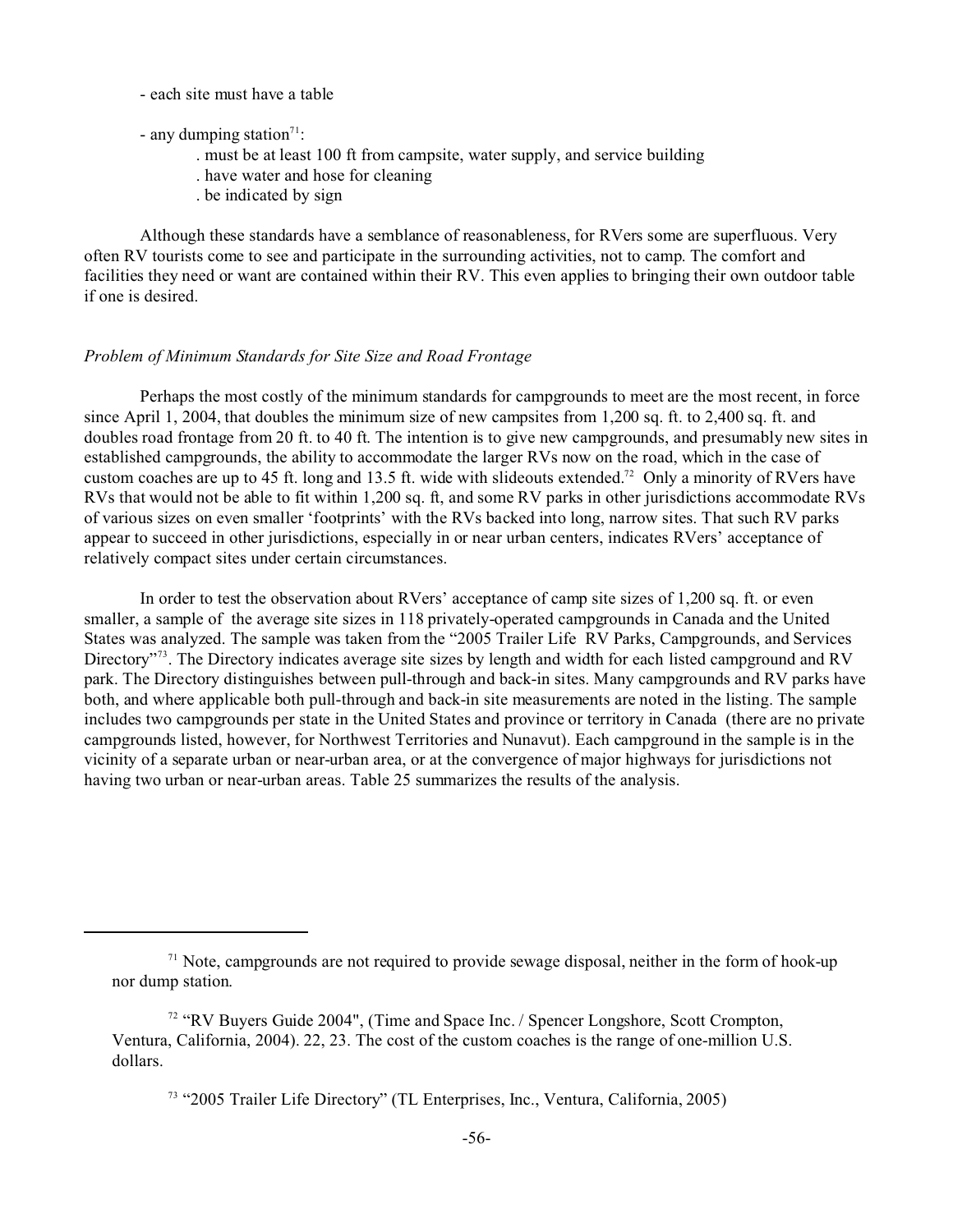- each site must have a table
- any dumping station<sup>71</sup>:
	- . must be at least 100 ft from campsite, water supply, and service building
	- . have water and hose for cleaning
	- . be indicated by sign

Although these standards have a semblance of reasonableness, for RVers some are superfluous. Very often RV tourists come to see and participate in the surrounding activities, not to camp. The comfort and facilities they need or want are contained within their RV. This even applies to bringing their own outdoor table if one is desired.

#### *Problem of Minimum Standards for Site Size and Road Frontage*

Perhaps the most costly of the minimum standards for campgrounds to meet are the most recent, in force since April 1, 2004, that doubles the minimum size of new campsites from 1,200 sq. ft. to 2,400 sq. ft. and doubles road frontage from 20 ft. to 40 ft. The intention is to give new campgrounds, and presumably new sites in established campgrounds, the ability to accommodate the larger RVs now on the road, which in the case of custom coaches are up to 45 ft. long and 13.5 ft. wide with slideouts extended.<sup>72</sup> Only a minority of RVers have RVs that would not be able to fit within 1,200 sq. ft, and some RV parks in other jurisdictions accommodate RVs of various sizes on even smaller 'footprints' with the RVs backed into long, narrow sites. That such RV parks appear to succeed in other jurisdictions, especially in or near urban centers, indicates RVers' acceptance of relatively compact sites under certain circumstances.

In order to test the observation about RVers' acceptance of camp site sizes of 1,200 sq. ft. or even smaller, a sample of the average site sizes in 118 privately-operated campgrounds in Canada and the United States was analyzed. The sample was taken from the "2005 Trailer Life RV Parks, Campgrounds, and Services Directory<sup>"73</sup>. The Directory indicates average site sizes by length and width for each listed campground and RV park. The Directory distinguishes between pull-through and back-in sites. Many campgrounds and RV parks have both, and where applicable both pull-through and back-in site measurements are noted in the listing. The sample includes two campgrounds per state in the United States and province or territory in Canada (there are no private campgrounds listed, however, for Northwest Territories and Nunavut). Each campground in the sample is in the vicinity of a separate urban or near-urban area, or at the convergence of major highways for jurisdictions not having two urban or near-urban areas. Table 25 summarizes the results of the analysis.

 $71$  Note, campgrounds are not required to provide sewage disposal, neither in the form of hook-up nor dump station.

<sup>72</sup> "RV Buyers Guide 2004", (Time and Space Inc. / Spencer Longshore, Scott Crompton, Ventura, California, 2004). 22, 23. The cost of the custom coaches is the range of one-million U.S. dollars.

<sup>73</sup> "2005 Trailer Life Directory" (TL Enterprises, Inc., Ventura, California, 2005)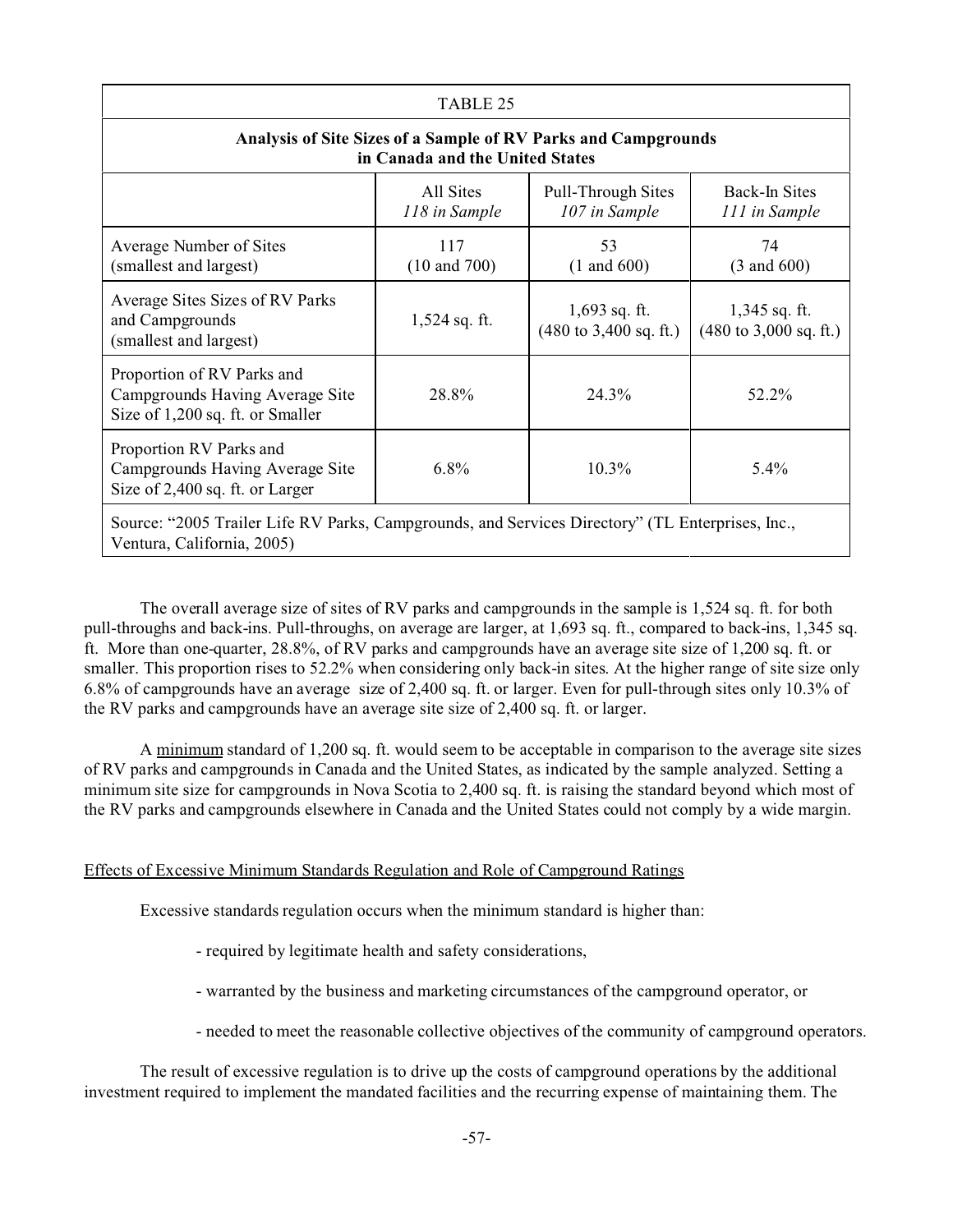| TABLE 25                                                                                                                       |                                |                                                              |                                                              |  |
|--------------------------------------------------------------------------------------------------------------------------------|--------------------------------|--------------------------------------------------------------|--------------------------------------------------------------|--|
| Analysis of Site Sizes of a Sample of RV Parks and Campgrounds<br>in Canada and the United States                              |                                |                                                              |                                                              |  |
| All Sites<br>Back-In Sites<br>Pull-Through Sites<br>107 in Sample<br>118 in Sample<br>111 in Sample                            |                                |                                                              |                                                              |  |
| Average Number of Sites<br>(smallest and largest)                                                                              | 117<br>$(10 \text{ and } 700)$ | 53<br>$(1 \text{ and } 600)$                                 | 74<br>$(3 \text{ and } 600)$                                 |  |
| Average Sites Sizes of RV Parks<br>and Campgrounds<br>(smallest and largest)                                                   | $1,524$ sq. ft.                | $1,693$ sq. ft.<br>$(480 \text{ to } 3,400 \text{ sq. ft.})$ | $1,345$ sq. ft.<br>$(480 \text{ to } 3,000 \text{ sq. ft.})$ |  |
| Proportion of RV Parks and<br>Campgrounds Having Average Site<br>Size of 1,200 sq. ft. or Smaller                              | 28.8%                          | 24.3%                                                        | 52.2%                                                        |  |
| Proportion RV Parks and<br>Campgrounds Having Average Site<br>Size of 2,400 sq. ft. or Larger                                  | $6.8\%$                        | $10.3\%$                                                     | $5.4\%$                                                      |  |
| Source: "2005 Trailer Life RV Parks, Campgrounds, and Services Directory" (TL Enterprises, Inc.,<br>Ventura, California, 2005) |                                |                                                              |                                                              |  |

The overall average size of sites of RV parks and campgrounds in the sample is 1,524 sq. ft. for both pull-throughs and back-ins. Pull-throughs, on average are larger, at 1,693 sq. ft., compared to back-ins, 1,345 sq. ft. More than one-quarter, 28.8%, of RV parks and campgrounds have an average site size of 1,200 sq. ft. or smaller. This proportion rises to 52.2% when considering only back-in sites. At the higher range of site size only 6.8% of campgrounds have an average size of 2,400 sq. ft. or larger. Even for pull-through sites only 10.3% of the RV parks and campgrounds have an average site size of 2,400 sq. ft. or larger.

A minimum standard of 1,200 sq. ft. would seem to be acceptable in comparison to the average site sizes of RV parks and campgrounds in Canada and the United States, as indicated by the sample analyzed. Setting a minimum site size for campgrounds in Nova Scotia to 2,400 sq. ft. is raising the standard beyond which most of the RV parks and campgrounds elsewhere in Canada and the United States could not comply by a wide margin.

### Effects of Excessive Minimum Standards Regulation and Role of Campground Ratings

Excessive standards regulation occurs when the minimum standard is higher than:

- required by legitimate health and safety considerations,
- warranted by the business and marketing circumstances of the campground operator, or
- needed to meet the reasonable collective objectives of the community of campground operators.

The result of excessive regulation is to drive up the costs of campground operations by the additional investment required to implement the mandated facilities and the recurring expense of maintaining them. The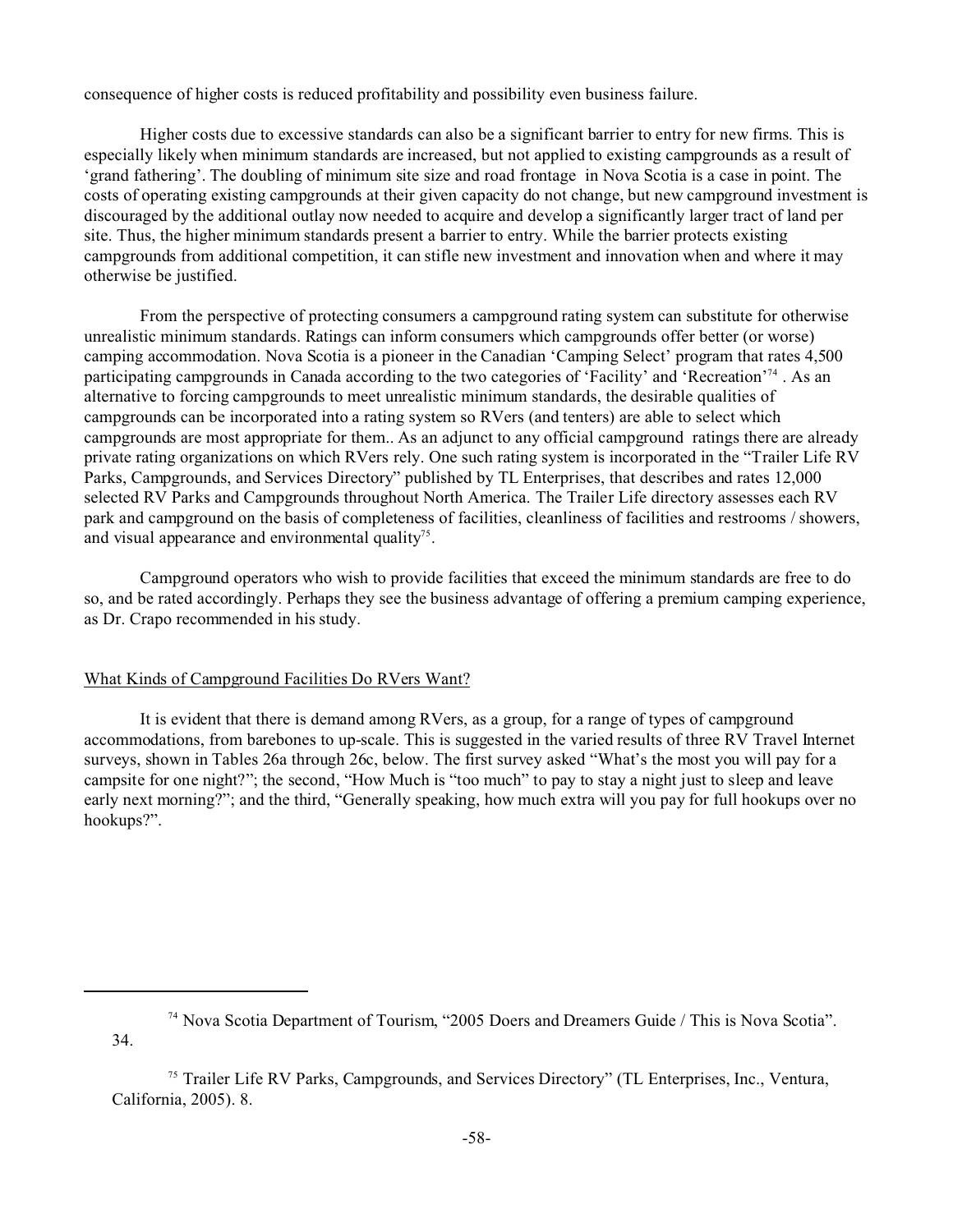consequence of higher costs is reduced profitability and possibility even business failure.

Higher costs due to excessive standards can also be a significant barrier to entry for new firms. This is especially likely when minimum standards are increased, but not applied to existing campgrounds as a result of 'grand fathering'. The doubling of minimum site size and road frontage in Nova Scotia is a case in point. The costs of operating existing campgrounds at their given capacity do not change, but new campground investment is discouraged by the additional outlay now needed to acquire and develop a significantly larger tract of land per site. Thus, the higher minimum standards present a barrier to entry. While the barrier protects existing campgrounds from additional competition, it can stifle new investment and innovation when and where it may otherwise be justified.

From the perspective of protecting consumers a campground rating system can substitute for otherwise unrealistic minimum standards. Ratings can inform consumers which campgrounds offer better (or worse) camping accommodation. Nova Scotia is a pioneer in the Canadian 'Camping Select' program that rates 4,500 participating campgrounds in Canada according to the two categories of 'Facility' and 'Recreation'<sup>74</sup> . As an alternative to forcing campgrounds to meet unrealistic minimum standards, the desirable qualities of campgrounds can be incorporated into a rating system so RVers (and tenters) are able to select which campgrounds are most appropriate for them.. As an adjunct to any official campground ratings there are already private rating organizations on which RVers rely. One such rating system is incorporated in the "Trailer Life RV Parks, Campgrounds, and Services Directory" published by TL Enterprises, that describes and rates 12,000 selected RV Parks and Campgrounds throughout North America. The Trailer Life directory assesses each RV park and campground on the basis of completeness of facilities, cleanliness of facilities and restrooms / showers, and visual appearance and environmental quality<sup>75</sup>.

Campground operators who wish to provide facilities that exceed the minimum standards are free to do so, and be rated accordingly. Perhaps they see the business advantage of offering a premium camping experience, as Dr. Crapo recommended in his study.

### What Kinds of Campground Facilities Do RVers Want?

It is evident that there is demand among RVers, as a group, for a range of types of campground accommodations, from barebones to up-scale. This is suggested in the varied results of three RV Travel Internet surveys, shown in Tables 26a through 26c, below. The first survey asked "What's the most you will pay for a campsite for one night?"; the second, "How Much is "too much" to pay to stay a night just to sleep and leave early next morning?"; and the third, "Generally speaking, how much extra will you pay for full hookups over no hookups?".

34.

<sup>74</sup> Nova Scotia Department of Tourism, "2005 Doers and Dreamers Guide / This is Nova Scotia".

<sup>&</sup>lt;sup>75</sup> Trailer Life RV Parks, Campgrounds, and Services Directory" (TL Enterprises, Inc., Ventura, California, 2005). 8.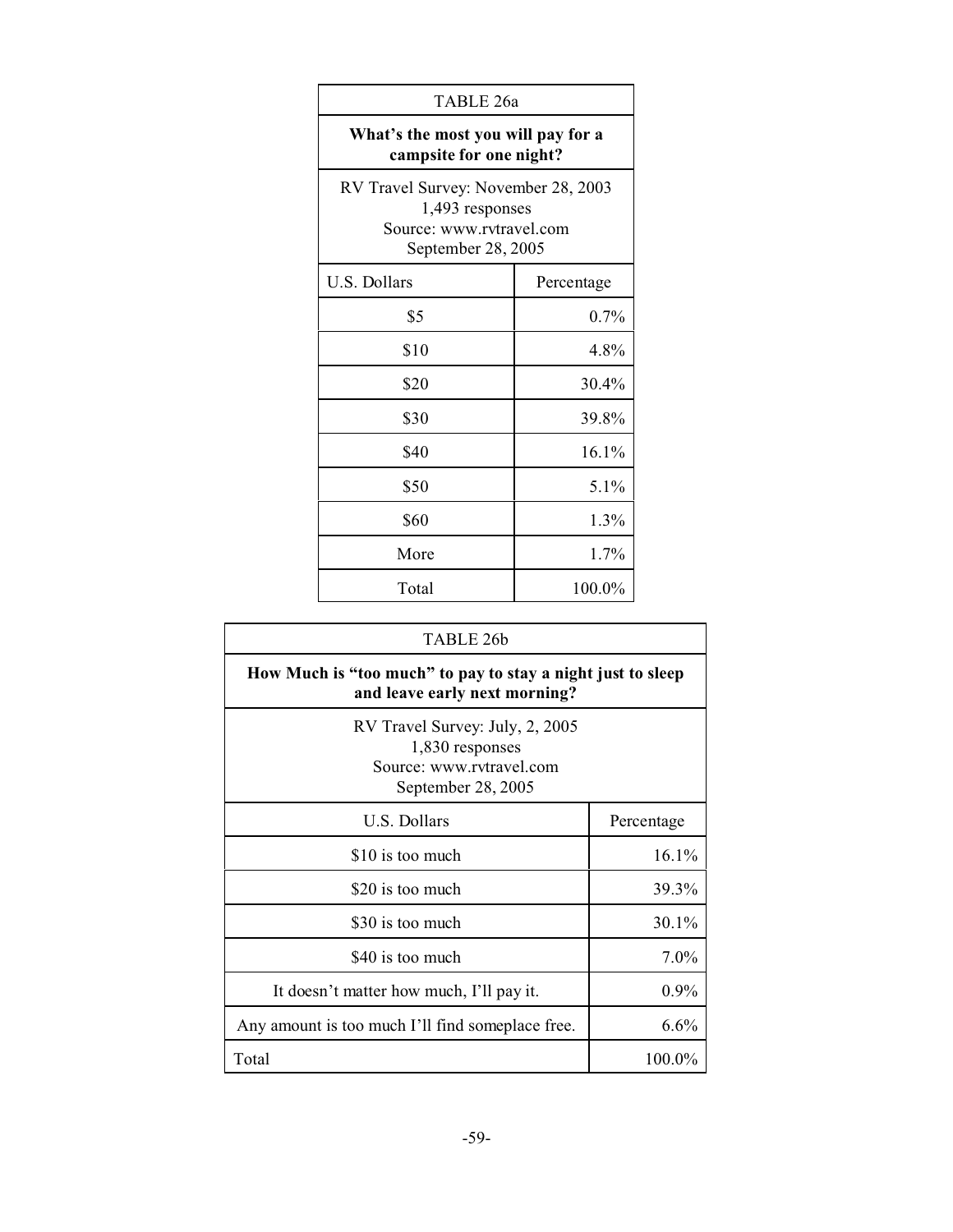| TABLE 26a                                                                                                |            |  |
|----------------------------------------------------------------------------------------------------------|------------|--|
| What's the most you will pay for a<br>campsite for one night?                                            |            |  |
| RV Travel Survey: November 28, 2003<br>1,493 responses<br>Source: www.rvtravel.com<br>September 28, 2005 |            |  |
| U.S. Dollars                                                                                             | Percentage |  |
| \$5                                                                                                      | 0.7%       |  |
| \$10                                                                                                     | 4.8%       |  |
| 30.4%<br>\$20                                                                                            |            |  |
| \$30<br>39.8%                                                                                            |            |  |
| 16.1%<br>\$40                                                                                            |            |  |
| $5.1\%$<br>\$50                                                                                          |            |  |
| \$60                                                                                                     | $1.3\%$    |  |
| More                                                                                                     | 1.7%       |  |
| Total                                                                                                    | 100.0%     |  |

| TABLE 26b<br>How Much is "too much" to pay to stay a night just to sleep<br>and leave early next morning? |            |
|-----------------------------------------------------------------------------------------------------------|------------|
|                                                                                                           |            |
| U.S. Dollars                                                                                              | Percentage |
| \$10 is too much                                                                                          | 16.1%      |
| \$20 is too much                                                                                          | 39.3%      |
| \$30 is too much                                                                                          | 30.1%      |
| \$40 is too much                                                                                          | $7.0\%$    |
| It doesn't matter how much, I'll pay it.                                                                  | $0.9\%$    |
| Any amount is too much I'll find someplace free.                                                          | 6.6%       |
| Total                                                                                                     | 100.0%     |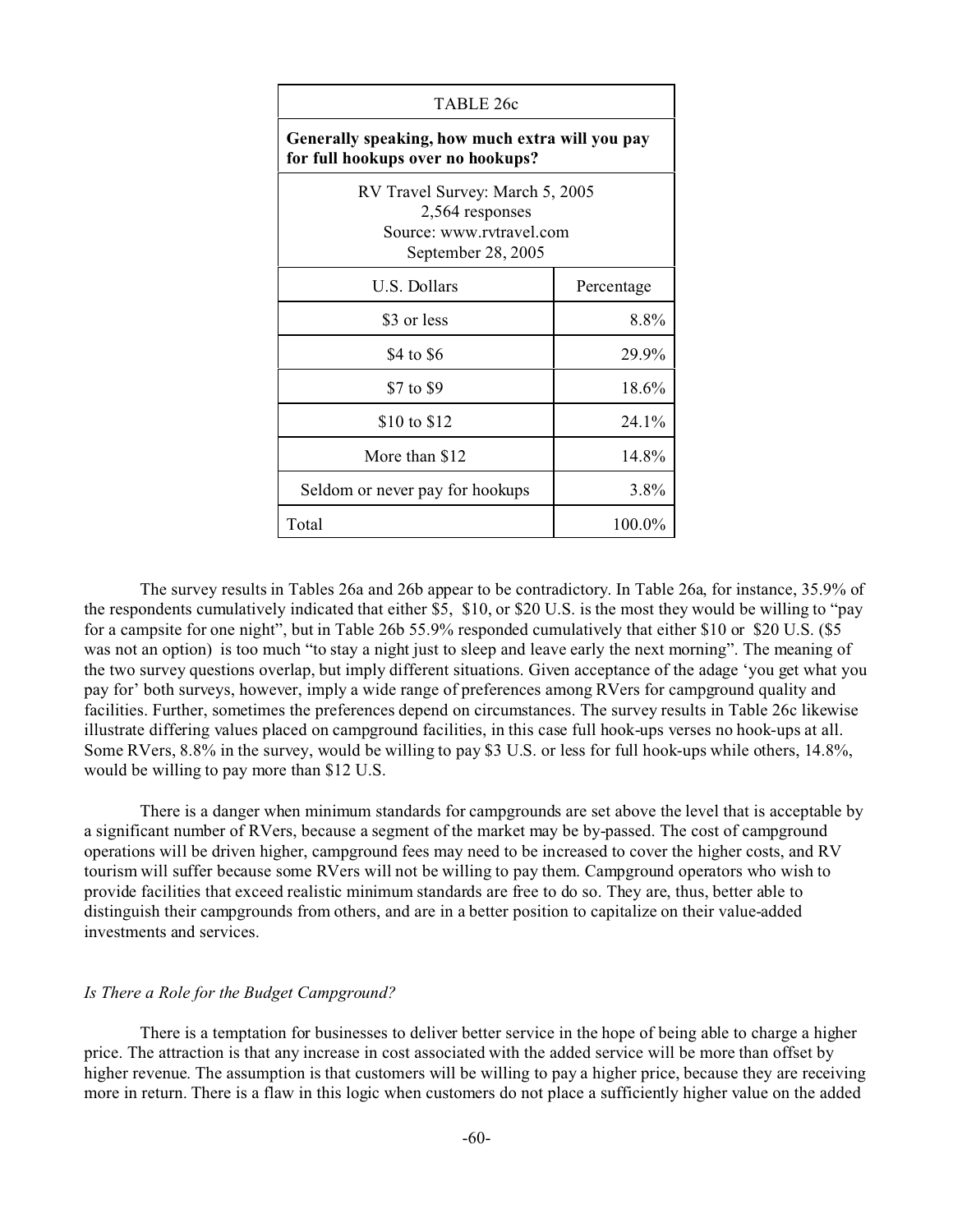| TABLE 26c                                                                                            |            |  |
|------------------------------------------------------------------------------------------------------|------------|--|
| Generally speaking, how much extra will you pay<br>for full hookups over no hookups?                 |            |  |
| RV Travel Survey: March 5, 2005<br>2,564 responses<br>Source: www.rvtravel.com<br>September 28, 2005 |            |  |
| U.S. Dollars                                                                                         | Percentage |  |
| \$3 or less                                                                                          | 8.8%       |  |
| \$4 to \$6                                                                                           | 29.9%      |  |
| \$7 to \$9                                                                                           | 18.6%      |  |
| \$10 to \$12                                                                                         | 24.1%      |  |
| More than \$12                                                                                       | 14.8%      |  |
| Seldom or never pay for hookups                                                                      | $3.8\%$    |  |
| Total                                                                                                | $100.0\%$  |  |

The survey results in Tables 26a and 26b appear to be contradictory. In Table 26a, for instance, 35.9% of the respondents cumulatively indicated that either \$5, \$10, or \$20 U.S. is the most they would be willing to "pay for a campsite for one night", but in Table 26b 55.9% responded cumulatively that either \$10 or \$20 U.S. (\$5 was not an option) is too much "to stay a night just to sleep and leave early the next morning". The meaning of the two survey questions overlap, but imply different situations. Given acceptance of the adage 'you get what you pay for' both surveys, however, imply a wide range of preferences among RVers for campground quality and facilities. Further, sometimes the preferences depend on circumstances. The survey results in Table 26c likewise illustrate differing values placed on campground facilities, in this case full hook-ups verses no hook-ups at all. Some RVers, 8.8% in the survey, would be willing to pay \$3 U.S. or less for full hook-ups while others, 14.8%, would be willing to pay more than \$12 U.S.

There is a danger when minimum standards for campgrounds are set above the level that is acceptable by a significant number of RVers, because a segment of the market may be by-passed. The cost of campground operations will be driven higher, campground fees may need to be increased to cover the higher costs, and RV tourism will suffer because some RVers will not be willing to pay them. Campground operators who wish to provide facilities that exceed realistic minimum standards are free to do so. They are, thus, better able to distinguish their campgrounds from others, and are in a better position to capitalize on their value-added investments and services.

#### *Is There a Role for the Budget Campground?*

There is a temptation for businesses to deliver better service in the hope of being able to charge a higher price. The attraction is that any increase in cost associated with the added service will be more than offset by higher revenue. The assumption is that customers will be willing to pay a higher price, because they are receiving more in return. There is a flaw in this logic when customers do not place a sufficiently higher value on the added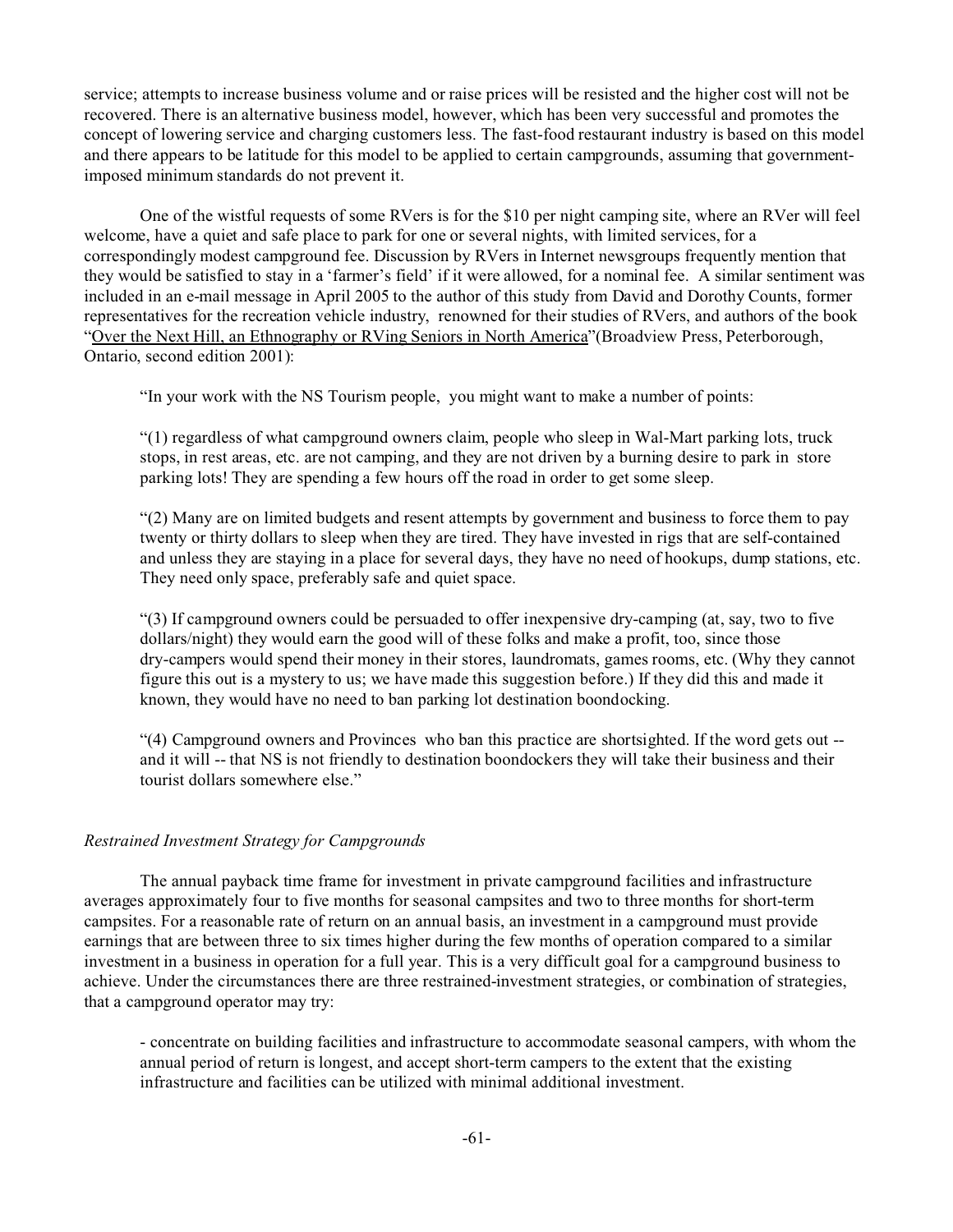service; attempts to increase business volume and or raise prices will be resisted and the higher cost will not be recovered. There is an alternative business model, however, which has been very successful and promotes the concept of lowering service and charging customers less. The fast-food restaurant industry is based on this model and there appears to be latitude for this model to be applied to certain campgrounds, assuming that governmentimposed minimum standards do not prevent it.

One of the wistful requests of some RVers is for the \$10 per night camping site, where an RVer will feel welcome, have a quiet and safe place to park for one or several nights, with limited services, for a correspondingly modest campground fee. Discussion by RVers in Internet newsgroups frequently mention that they would be satisfied to stay in a 'farmer's field' if it were allowed, for a nominal fee. A similar sentiment was included in an e-mail message in April 2005 to the author of this study from David and Dorothy Counts, former representatives for the recreation vehicle industry, renowned for their studies of RVers, and authors of the book "Over the Next Hill, an Ethnography or RVing Seniors in North America"(Broadview Press, Peterborough, Ontario, second edition 2001):

"In your work with the NS Tourism people, you might want to make a number of points:

"(1) regardless of what campground owners claim, people who sleep in Wal-Mart parking lots, truck stops, in rest areas, etc. are not camping, and they are not driven by a burning desire to park in store parking lots! They are spending a few hours off the road in order to get some sleep.

"(2) Many are on limited budgets and resent attempts by government and business to force them to pay twenty or thirty dollars to sleep when they are tired. They have invested in rigs that are self-contained and unless they are staying in a place for several days, they have no need of hookups, dump stations, etc. They need only space, preferably safe and quiet space.

"(3) If campground owners could be persuaded to offer inexpensive dry-camping (at, say, two to five dollars/night) they would earn the good will of these folks and make a profit, too, since those dry-campers would spend their money in their stores, laundromats, games rooms, etc. (Why they cannot figure this out is a mystery to us; we have made this suggestion before.) If they did this and made it known, they would have no need to ban parking lot destination boondocking.

"(4) Campground owners and Provinces who ban this practice are shortsighted. If the word gets out - and it will -- that NS is not friendly to destination boondockers they will take their business and their tourist dollars somewhere else."

#### *Restrained Investment Strategy for Campgrounds*

The annual payback time frame for investment in private campground facilities and infrastructure averages approximately four to five months for seasonal campsites and two to three months for short-term campsites. For a reasonable rate of return on an annual basis, an investment in a campground must provide earnings that are between three to six times higher during the few months of operation compared to a similar investment in a business in operation for a full year. This is a very difficult goal for a campground business to achieve. Under the circumstances there are three restrained-investment strategies, or combination of strategies, that a campground operator may try:

- concentrate on building facilities and infrastructure to accommodate seasonal campers, with whom the annual period of return is longest, and accept short-term campers to the extent that the existing infrastructure and facilities can be utilized with minimal additional investment.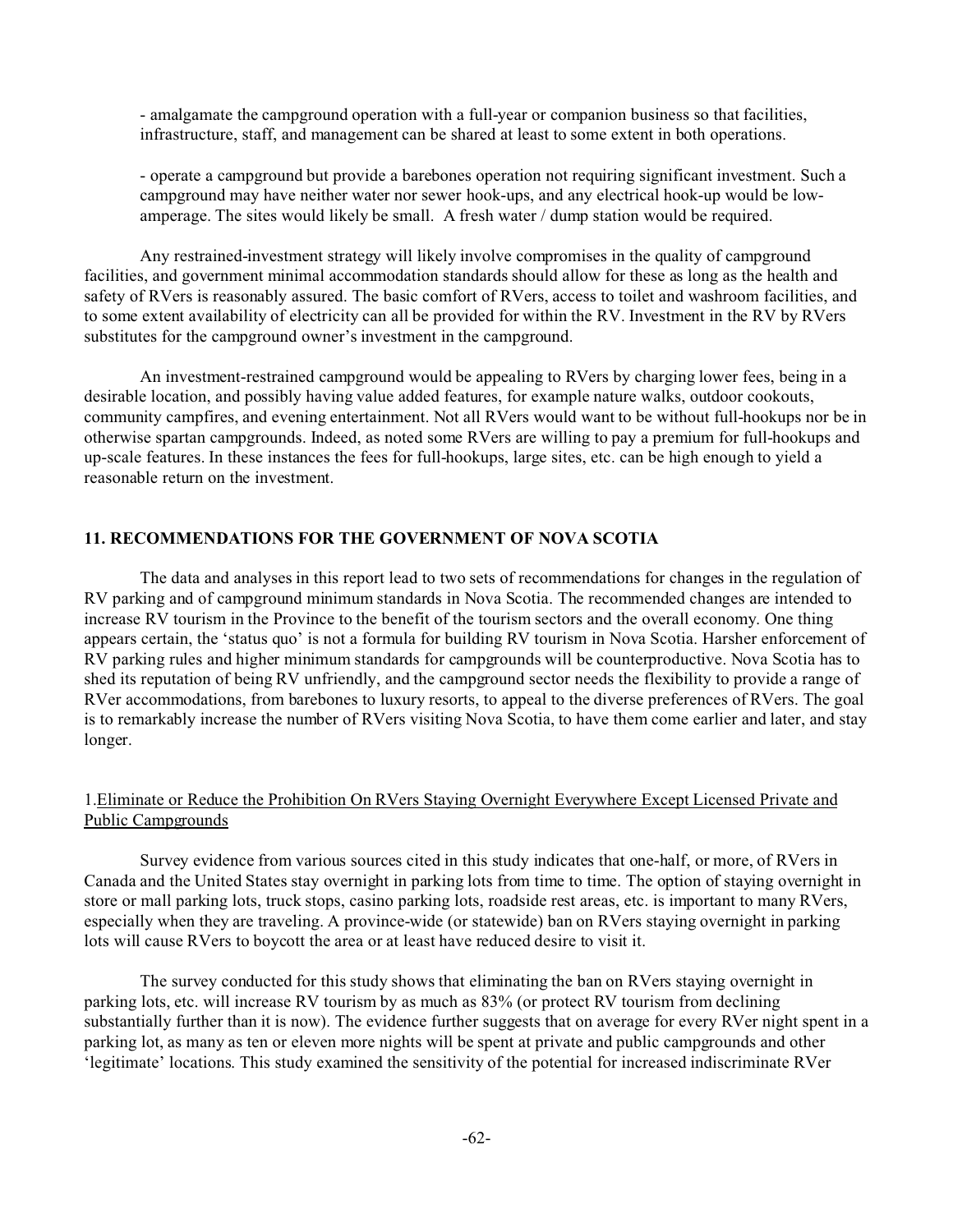- amalgamate the campground operation with a full-year or companion business so that facilities, infrastructure, staff, and management can be shared at least to some extent in both operations.

- operate a campground but provide a barebones operation not requiring significant investment. Such a campground may have neither water nor sewer hook-ups, and any electrical hook-up would be lowamperage. The sites would likely be small. A fresh water / dump station would be required.

Any restrained-investment strategy will likely involve compromises in the quality of campground facilities, and government minimal accommodation standards should allow for these as long as the health and safety of RVers is reasonably assured. The basic comfort of RVers, access to toilet and washroom facilities, and to some extent availability of electricity can all be provided for within the RV. Investment in the RV by RVers substitutes for the campground owner's investment in the campground.

An investment-restrained campground would be appealing to RVers by charging lower fees, being in a desirable location, and possibly having value added features, for example nature walks, outdoor cookouts, community campfires, and evening entertainment. Not all RVers would want to be without full-hookups nor be in otherwise spartan campgrounds. Indeed, as noted some RVers are willing to pay a premium for full-hookups and up-scale features. In these instances the fees for full-hookups, large sites, etc. can be high enough to yield a reasonable return on the investment.

### **11. RECOMMENDATIONS FOR THE GOVERNMENT OF NOVA SCOTIA**

The data and analyses in this report lead to two sets of recommendations for changes in the regulation of RV parking and of campground minimum standards in Nova Scotia. The recommended changes are intended to increase RV tourism in the Province to the benefit of the tourism sectors and the overall economy. One thing appears certain, the 'status quo' is not a formula for building RV tourism in Nova Scotia. Harsher enforcement of RV parking rules and higher minimum standards for campgrounds will be counterproductive. Nova Scotia has to shed its reputation of being RV unfriendly, and the campground sector needs the flexibility to provide a range of RVer accommodations, from barebones to luxury resorts, to appeal to the diverse preferences of RVers. The goal is to remarkably increase the number of RVers visiting Nova Scotia, to have them come earlier and later, and stay longer.

### 1.Eliminate or Reduce the Prohibition On RVers Staying Overnight Everywhere Except Licensed Private and Public Campgrounds

Survey evidence from various sources cited in this study indicates that one-half, or more, of RVers in Canada and the United States stay overnight in parking lots from time to time. The option of staying overnight in store or mall parking lots, truck stops, casino parking lots, roadside rest areas, etc. is important to many RVers, especially when they are traveling. A province-wide (or statewide) ban on RVers staying overnight in parking lots will cause RVers to boycott the area or at least have reduced desire to visit it.

The survey conducted for this study shows that eliminating the ban on RVers staying overnight in parking lots, etc. will increase RV tourism by as much as 83% (or protect RV tourism from declining substantially further than it is now). The evidence further suggests that on average for every RVer night spent in a parking lot, as many as ten or eleven more nights will be spent at private and public campgrounds and other 'legitimate' locations. This study examined the sensitivity of the potential for increased indiscriminate RVer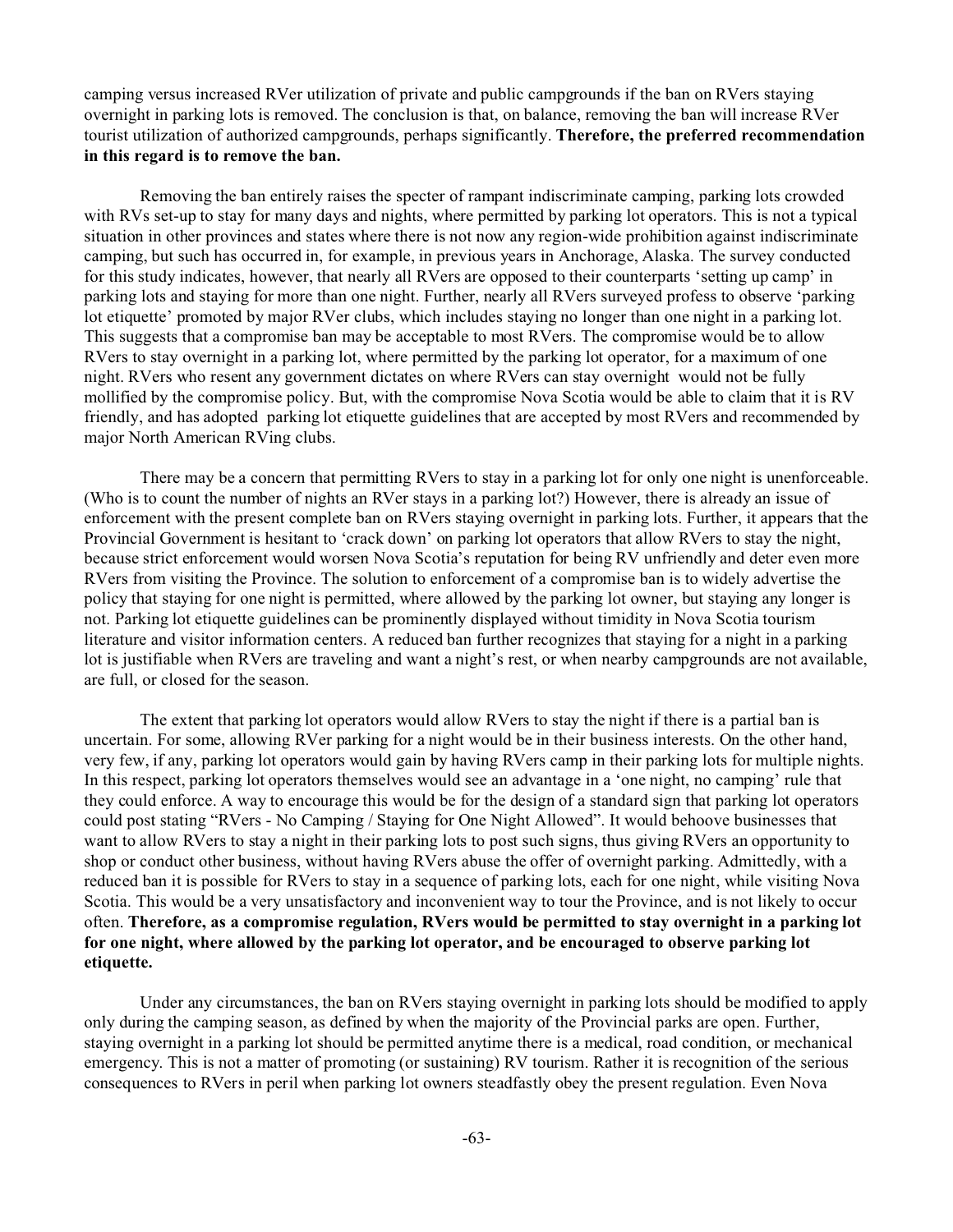camping versus increased RVer utilization of private and public campgrounds if the ban on RVers staying overnight in parking lots is removed. The conclusion is that, on balance, removing the ban will increase RVer tourist utilization of authorized campgrounds, perhaps significantly. **Therefore, the preferred recommendation in this regard is to remove the ban.**

Removing the ban entirely raises the specter of rampant indiscriminate camping, parking lots crowded with RVs set-up to stay for many days and nights, where permitted by parking lot operators. This is not a typical situation in other provinces and states where there is not now any region-wide prohibition against indiscriminate camping, but such has occurred in, for example, in previous years in Anchorage, Alaska. The survey conducted for this study indicates, however, that nearly all RVers are opposed to their counterparts 'setting up camp' in parking lots and staying for more than one night. Further, nearly all RVers surveyed profess to observe 'parking lot etiquette' promoted by major RVer clubs, which includes staying no longer than one night in a parking lot. This suggests that a compromise ban may be acceptable to most RVers. The compromise would be to allow RVers to stay overnight in a parking lot, where permitted by the parking lot operator, for a maximum of one night. RVers who resent any government dictates on where RVers can stay overnight would not be fully mollified by the compromise policy. But, with the compromise Nova Scotia would be able to claim that it is RV friendly, and has adopted parking lot etiquette guidelines that are accepted by most RVers and recommended by major North American RVing clubs.

There may be a concern that permitting RVers to stay in a parking lot for only one night is unenforceable. (Who is to count the number of nights an RVer stays in a parking lot?) However, there is already an issue of enforcement with the present complete ban on RVers staying overnight in parking lots. Further, it appears that the Provincial Government is hesitant to 'crack down' on parking lot operators that allow RVers to stay the night, because strict enforcement would worsen Nova Scotia's reputation for being RV unfriendly and deter even more RVers from visiting the Province. The solution to enforcement of a compromise ban is to widely advertise the policy that staying for one night is permitted, where allowed by the parking lot owner, but staying any longer is not. Parking lot etiquette guidelines can be prominently displayed without timidity in Nova Scotia tourism literature and visitor information centers. A reduced ban further recognizes that staying for a night in a parking lot is justifiable when RVers are traveling and want a night's rest, or when nearby campgrounds are not available, are full, or closed for the season.

The extent that parking lot operators would allow RVers to stay the night if there is a partial ban is uncertain. For some, allowing RVer parking for a night would be in their business interests. On the other hand, very few, if any, parking lot operators would gain by having RVers camp in their parking lots for multiple nights. In this respect, parking lot operators themselves would see an advantage in a 'one night, no camping' rule that they could enforce. A way to encourage this would be for the design of a standard sign that parking lot operators could post stating "RVers - No Camping / Staying for One Night Allowed". It would behoove businesses that want to allow RVers to stay a night in their parking lots to post such signs, thus giving RVers an opportunity to shop or conduct other business, without having RVers abuse the offer of overnight parking. Admittedly, with a reduced ban it is possible for RVers to stay in a sequence of parking lots, each for one night, while visiting Nova Scotia. This would be a very unsatisfactory and inconvenient way to tour the Province, and is not likely to occur often. **Therefore, as a compromise regulation, RVers would be permitted to stay overnight in a parking lot for one night, where allowed by the parking lot operator, and be encouraged to observe parking lot etiquette.**

Under any circumstances, the ban on RVers staying overnight in parking lots should be modified to apply only during the camping season, as defined by when the majority of the Provincial parks are open. Further, staying overnight in a parking lot should be permitted anytime there is a medical, road condition, or mechanical emergency. This is not a matter of promoting (or sustaining) RV tourism. Rather it is recognition of the serious consequences to RVers in peril when parking lot owners steadfastly obey the present regulation. Even Nova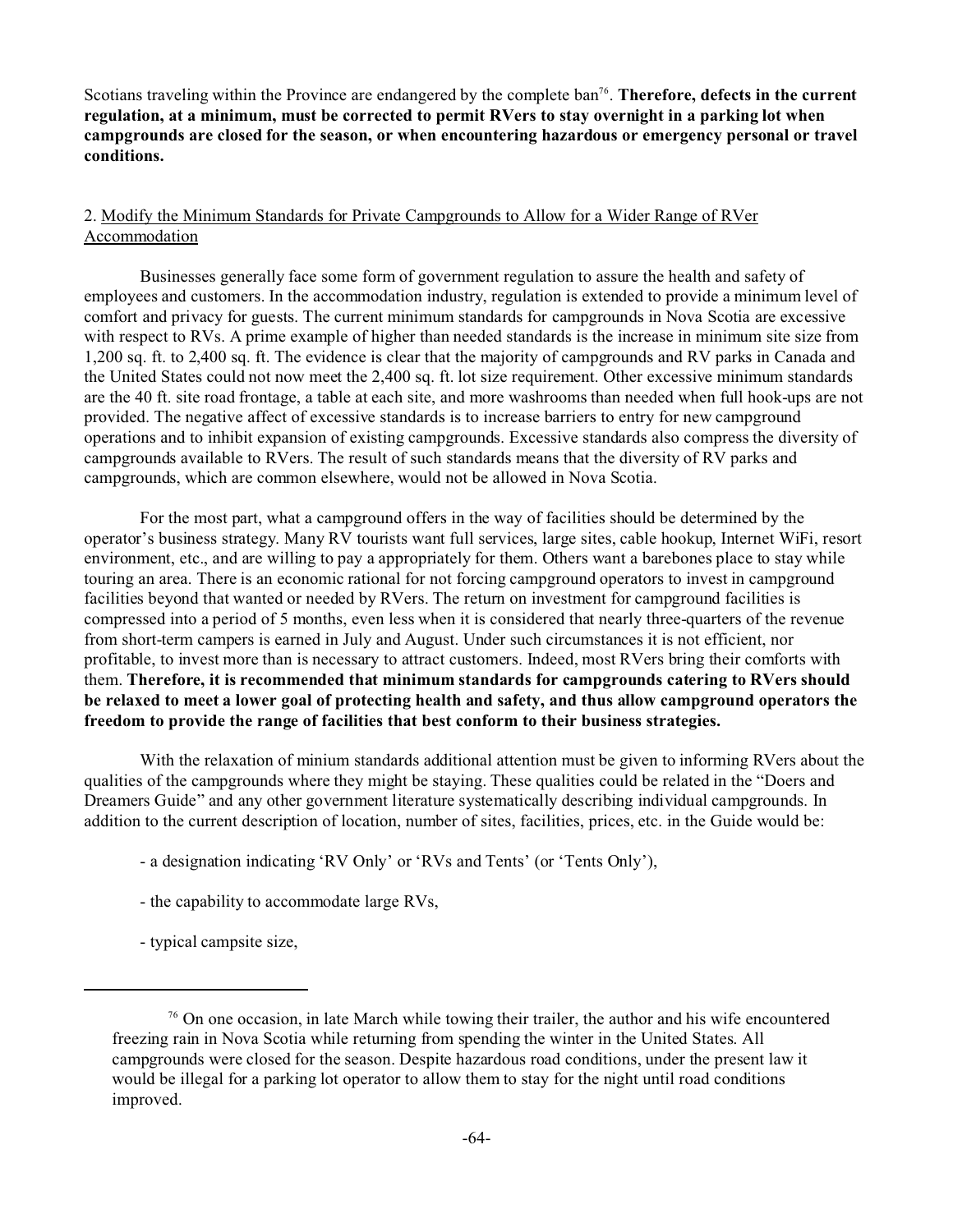Scotians traveling within the Province are endangered by the complete ban<sup>76</sup>. Therefore, defects in the current **regulation, at a minimum, must be corrected to permit RVers to stay overnight in a parking lot when campgrounds are closed for the season, or when encountering hazardous or emergency personal or travel conditions.**

### 2. Modify the Minimum Standards for Private Campgrounds to Allow for a Wider Range of RVer Accommodation

Businesses generally face some form of government regulation to assure the health and safety of employees and customers. In the accommodation industry, regulation is extended to provide a minimum level of comfort and privacy for guests. The current minimum standards for campgrounds in Nova Scotia are excessive with respect to RVs. A prime example of higher than needed standards is the increase in minimum site size from 1,200 sq. ft. to 2,400 sq. ft. The evidence is clear that the majority of campgrounds and RV parks in Canada and the United States could not now meet the 2,400 sq. ft. lot size requirement. Other excessive minimum standards are the 40 ft. site road frontage, a table at each site, and more washrooms than needed when full hook-ups are not provided. The negative affect of excessive standards is to increase barriers to entry for new campground operations and to inhibit expansion of existing campgrounds. Excessive standards also compress the diversity of campgrounds available to RVers. The result of such standards means that the diversity of RV parks and campgrounds, which are common elsewhere, would not be allowed in Nova Scotia.

For the most part, what a campground offers in the way of facilities should be determined by the operator's business strategy. Many RV tourists want full services, large sites, cable hookup, Internet WiFi, resort environment, etc., and are willing to pay a appropriately for them. Others want a barebones place to stay while touring an area. There is an economic rational for not forcing campground operators to invest in campground facilities beyond that wanted or needed by RVers. The return on investment for campground facilities is compressed into a period of 5 months, even less when it is considered that nearly three-quarters of the revenue from short-term campers is earned in July and August. Under such circumstances it is not efficient, nor profitable, to invest more than is necessary to attract customers. Indeed, most RVers bring their comforts with them. **Therefore, it is recommended that minimum standards for campgrounds catering to RVers should be relaxed to meet a lower goal of protecting health and safety, and thus allow campground operators the freedom to provide the range of facilities that best conform to their business strategies.**

With the relaxation of minium standards additional attention must be given to informing RVers about the qualities of the campgrounds where they might be staying. These qualities could be related in the "Doers and Dreamers Guide" and any other government literature systematically describing individual campgrounds. In addition to the current description of location, number of sites, facilities, prices, etc. in the Guide would be:

- a designation indicating 'RV Only' or 'RVs and Tents' (or 'Tents Only'),
- the capability to accommodate large RVs,
- typical campsite size,

 $76$  On one occasion, in late March while towing their trailer, the author and his wife encountered freezing rain in Nova Scotia while returning from spending the winter in the United States. All campgrounds were closed for the season. Despite hazardous road conditions, under the present law it would be illegal for a parking lot operator to allow them to stay for the night until road conditions improved.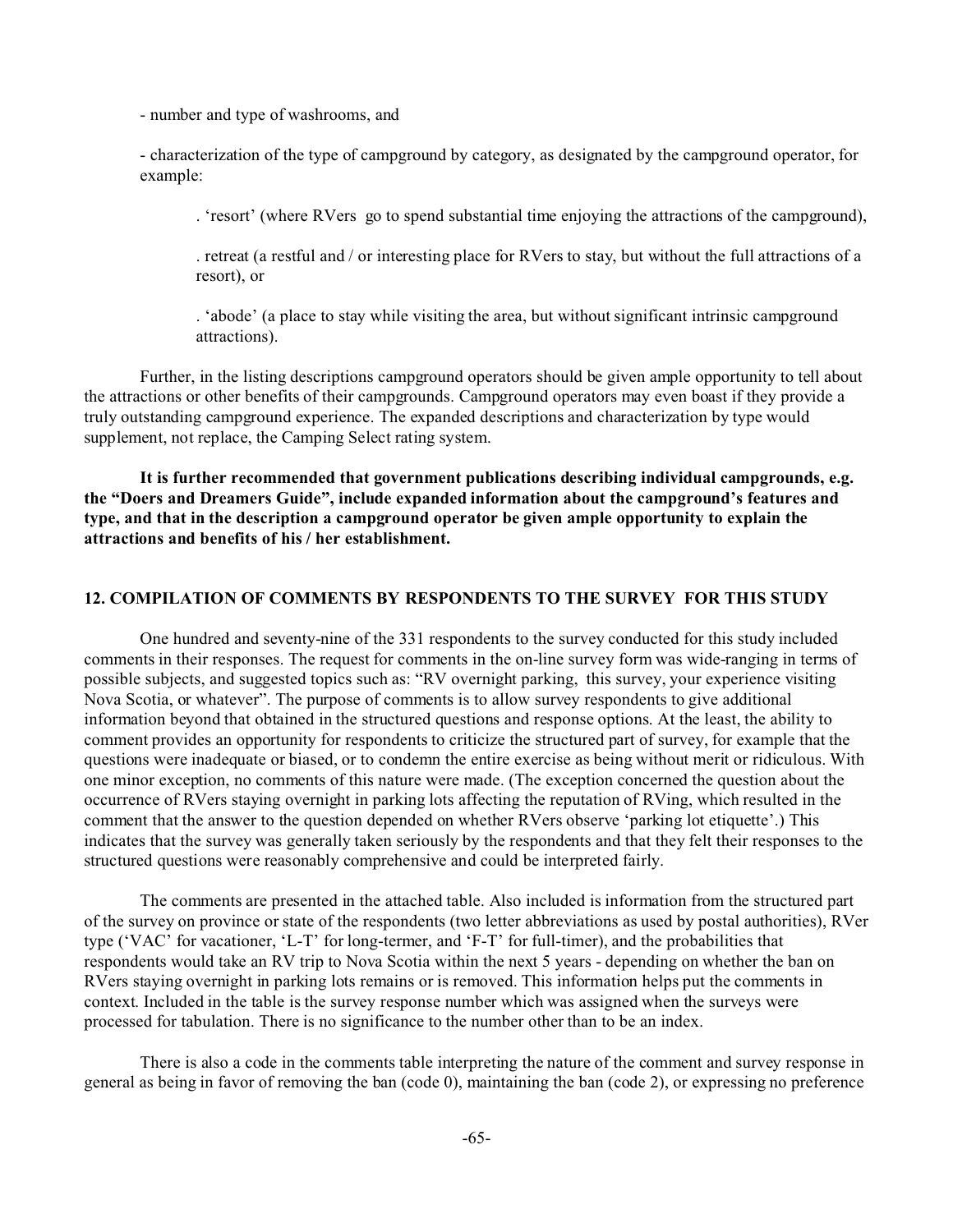- number and type of washrooms, and

- characterization of the type of campground by category, as designated by the campground operator, for example:

. 'resort' (where RVers go to spend substantial time enjoying the attractions of the campground),

. retreat (a restful and / or interesting place for RVers to stay, but without the full attractions of a resort), or

. 'abode' (a place to stay while visiting the area, but without significant intrinsic campground attractions).

Further, in the listing descriptions campground operators should be given ample opportunity to tell about the attractions or other benefits of their campgrounds. Campground operators may even boast if they provide a truly outstanding campground experience. The expanded descriptions and characterization by type would supplement, not replace, the Camping Select rating system.

**It is further recommended that government publications describing individual campgrounds, e.g. the "Doers and Dreamers Guide", include expanded information about the campground's features and type, and that in the description a campground operator be given ample opportunity to explain the attractions and benefits of his / her establishment.**

## **12. COMPILATION OF COMMENTS BY RESPONDENTS TO THE SURVEY FOR THIS STUDY**

One hundred and seventy-nine of the 331 respondents to the survey conducted for this study included comments in their responses. The request for comments in the on-line survey form was wide-ranging in terms of possible subjects, and suggested topics such as: "RV overnight parking, this survey, your experience visiting Nova Scotia, or whatever". The purpose of comments is to allow survey respondents to give additional information beyond that obtained in the structured questions and response options. At the least, the ability to comment provides an opportunity for respondents to criticize the structured part of survey, for example that the questions were inadequate or biased, or to condemn the entire exercise as being without merit or ridiculous. With one minor exception, no comments of this nature were made. (The exception concerned the question about the occurrence of RVers staying overnight in parking lots affecting the reputation of RVing, which resulted in the comment that the answer to the question depended on whether RVers observe 'parking lot etiquette'.) This indicates that the survey was generally taken seriously by the respondents and that they felt their responses to the structured questions were reasonably comprehensive and could be interpreted fairly.

The comments are presented in the attached table. Also included is information from the structured part of the survey on province or state of the respondents (two letter abbreviations as used by postal authorities), RVer type ('VAC' for vacationer, 'L-T' for long-termer, and 'F-T' for full-timer), and the probabilities that respondents would take an RV trip to Nova Scotia within the next 5 years - depending on whether the ban on RVers staying overnight in parking lots remains or is removed. This information helps put the comments in context. Included in the table is the survey response number which was assigned when the surveys were processed for tabulation. There is no significance to the number other than to be an index.

There is also a code in the comments table interpreting the nature of the comment and survey response in general as being in favor of removing the ban (code 0), maintaining the ban (code 2), or expressing no preference